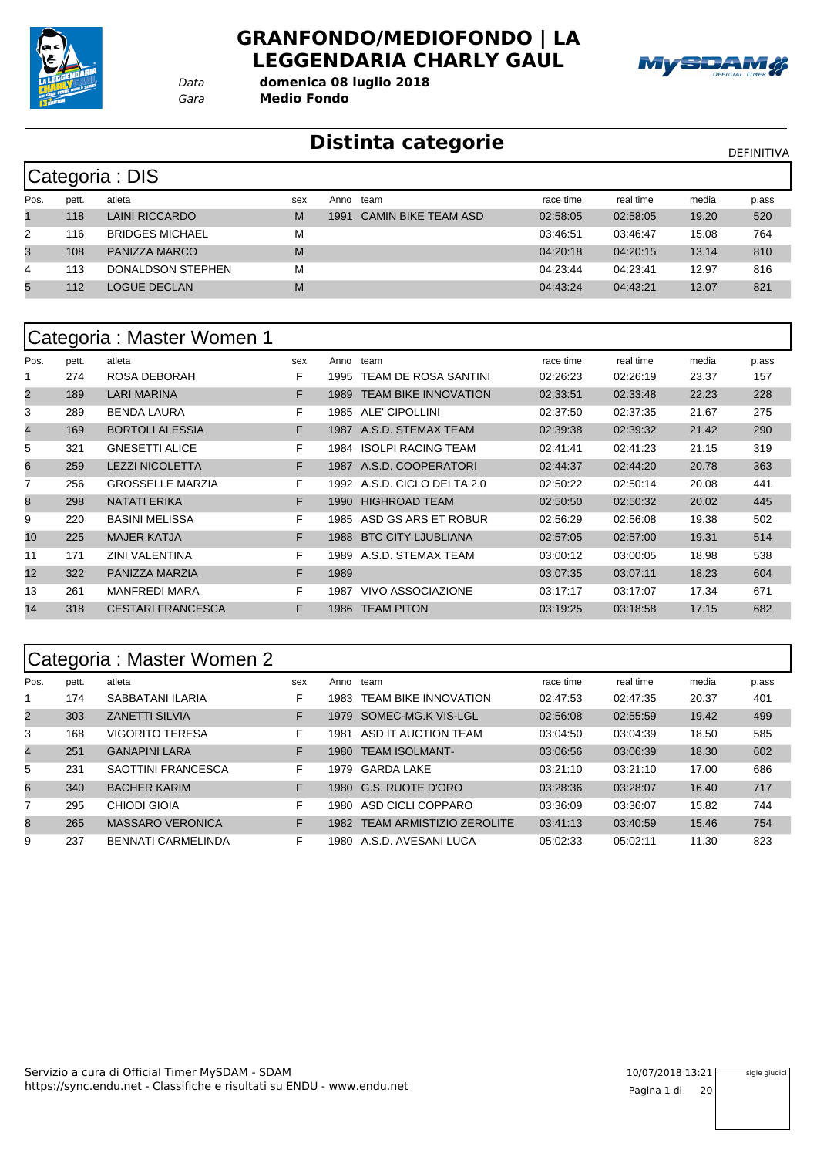

#### **GRANFONDO/MEDIOFONDO | LA LEGGENDARIA CHARLY GAUL**



*Gara* **Medio Fondo** *Data* **domenica 08 luglio 2018**

#### **Distinta categorie** Distintation of the DEFINITIVA

|      | Categoria : DIS |                        |     |      |                            |           |           |       |       |  |  |  |  |
|------|-----------------|------------------------|-----|------|----------------------------|-----------|-----------|-------|-------|--|--|--|--|
| Pos. | pett.           | atleta                 | sex | Anno | team                       | race time | real time | media | p.ass |  |  |  |  |
|      | 118             | LAINI RICCARDO         | M   | 1991 | <b>CAMIN BIKE TEAM ASD</b> | 02:58:05  | 02:58:05  | 19.20 | 520   |  |  |  |  |
| 2    | 116             | <b>BRIDGES MICHAEL</b> | M   |      |                            | 03:46:51  | 03:46:47  | 15.08 | 764   |  |  |  |  |
| 3    | 108             | PANIZZA MARCO          | M   |      |                            | 04:20:18  | 04:20:15  | 13.14 | 810   |  |  |  |  |
| 4    | 113             | DONALDSON STEPHEN      | M   |      |                            | 04:23:44  | 04:23:41  | 12.97 | 816   |  |  |  |  |
| 5    | 112             | LOGUE DECLAN           | M   |      |                            | 04:43:24  | 04:43:21  | 12.07 | 821   |  |  |  |  |

|                |       | Categoria : Master Women 1 |     |      |                             |           |           |       |       |
|----------------|-------|----------------------------|-----|------|-----------------------------|-----------|-----------|-------|-------|
| Pos.           | pett. | atleta                     | sex | Anno | team                        | race time | real time | media | p.ass |
|                | 274   | ROSA DEBORAH               | F   | 1995 | <b>TEAM DE ROSA SANTINI</b> | 02:26:23  | 02:26:19  | 23.37 | 157   |
| 2              | 189   | <b>LARI MARINA</b>         | F   | 1989 | <b>TEAM BIKE INNOVATION</b> | 02:33:51  | 02:33:48  | 22.23 | 228   |
| 3              | 289   | <b>BENDA LAURA</b>         | F   | 1985 | ALE' CIPOLLINI              | 02:37:50  | 02:37:35  | 21.67 | 275   |
| $\overline{4}$ | 169   | <b>BORTOLI ALESSIA</b>     | F   | 1987 | A.S.D. STEMAX TEAM          | 02:39:38  | 02:39:32  | 21.42 | 290   |
| 5              | 321   | <b>GNESETTI ALICE</b>      | F   | 1984 | <b>ISOLPI RACING TEAM</b>   | 02:41:41  | 02:41:23  | 21.15 | 319   |
| 6              | 259   | <b>LEZZI NICOLETTA</b>     | F   | 1987 | A.S.D. COOPERATORI          | 02:44:37  | 02:44:20  | 20.78 | 363   |
| 7              | 256   | <b>GROSSELLE MARZIA</b>    | F.  | 1992 | A.S.D. CICLO DELTA 2.0      | 02:50:22  | 02:50:14  | 20.08 | 441   |
| 8              | 298   | <b>NATATI ERIKA</b>        | F   | 1990 | <b>HIGHROAD TEAM</b>        | 02:50:50  | 02:50:32  | 20.02 | 445   |
| 9              | 220   | <b>BASINI MELISSA</b>      | F   | 1985 | ASD GS ARS ET ROBUR         | 02:56:29  | 02:56:08  | 19.38 | 502   |
| 10             | 225   | <b>MAJER KATJA</b>         | F.  | 1988 | <b>BTC CITY LJUBLIANA</b>   | 02:57:05  | 02:57:00  | 19.31 | 514   |
| 11             | 171   | <b>ZINI VALENTINA</b>      | F   | 1989 | A.S.D. STEMAX TEAM          | 03:00:12  | 03:00:05  | 18.98 | 538   |
| 12             | 322   | PANIZZA MARZIA             | F.  | 1989 |                             | 03:07:35  | 03:07:11  | 18.23 | 604   |
| 13             | 261   | <b>MANFREDI MARA</b>       | F   | 1987 | VIVO ASSOCIAZIONE           | 03:17:17  | 03:17:07  | 17.34 | 671   |
| 14             | 318   | <b>CESTARI FRANCESCA</b>   | F   | 1986 | <b>TEAM PITON</b>           | 03:19:25  | 03:18:58  | 17.15 | 682   |

#### Categoria : Master Women 2

|                | ້     |                           |     |       |                                 |           |           |       |       |
|----------------|-------|---------------------------|-----|-------|---------------------------------|-----------|-----------|-------|-------|
| Pos.           | pett. | atleta                    | sex | Anno  | team                            | race time | real time | media | p.ass |
|                | 174   | SABBATANI ILARIA          | F   | 1983  | <b>TEAM BIKE INNOVATION</b>     | 02:47:53  | 02:47:35  | 20.37 | 401   |
| $\overline{2}$ | 303   | <b>ZANETTI SILVIA</b>     | F   | 1979  | SOMEC-MG.K VIS-LGL              | 02:56:08  | 02:55:59  | 19.42 | 499   |
| 3              | 168   | <b>VIGORITO TERESA</b>    | F   | 1981  | ASD IT AUCTION TEAM             | 03:04:50  | 03:04:39  | 18.50 | 585   |
| $\overline{4}$ | 251   | <b>GANAPINI LARA</b>      | F   | 1980  | <b>TEAM ISOLMANT-</b>           | 03:06:56  | 03:06:39  | 18.30 | 602   |
| 5              | 231   | SAOTTINI FRANCESCA        | F   | 1979  | <b>GARDA LAKE</b>               | 03:21:10  | 03:21:10  | 17.00 | 686   |
| 6              | 340   | <b>BACHER KARIM</b>       | F   | 1980  | G.S. RUOTE D'ORO                | 03:28:36  | 03:28:07  | 16.40 | 717   |
| 7              | 295   | CHIODI GIOIA              | F   | 1980  | ASD CICLI COPPARO               | 03:36:09  | 03:36:07  | 15.82 | 744   |
| 8              | 265   | <b>MASSARO VERONICA</b>   | F   | 1982  | <b>TEAM ARMISTIZIO ZEROLITE</b> | 03:41:13  | 03:40:59  | 15.46 | 754   |
| 9              | 237   | <b>BENNATI CARMELINDA</b> | F   | 1980- | A.S.D. AVESANI LUCA             | 05:02:33  | 05:02:11  | 11.30 | 823   |

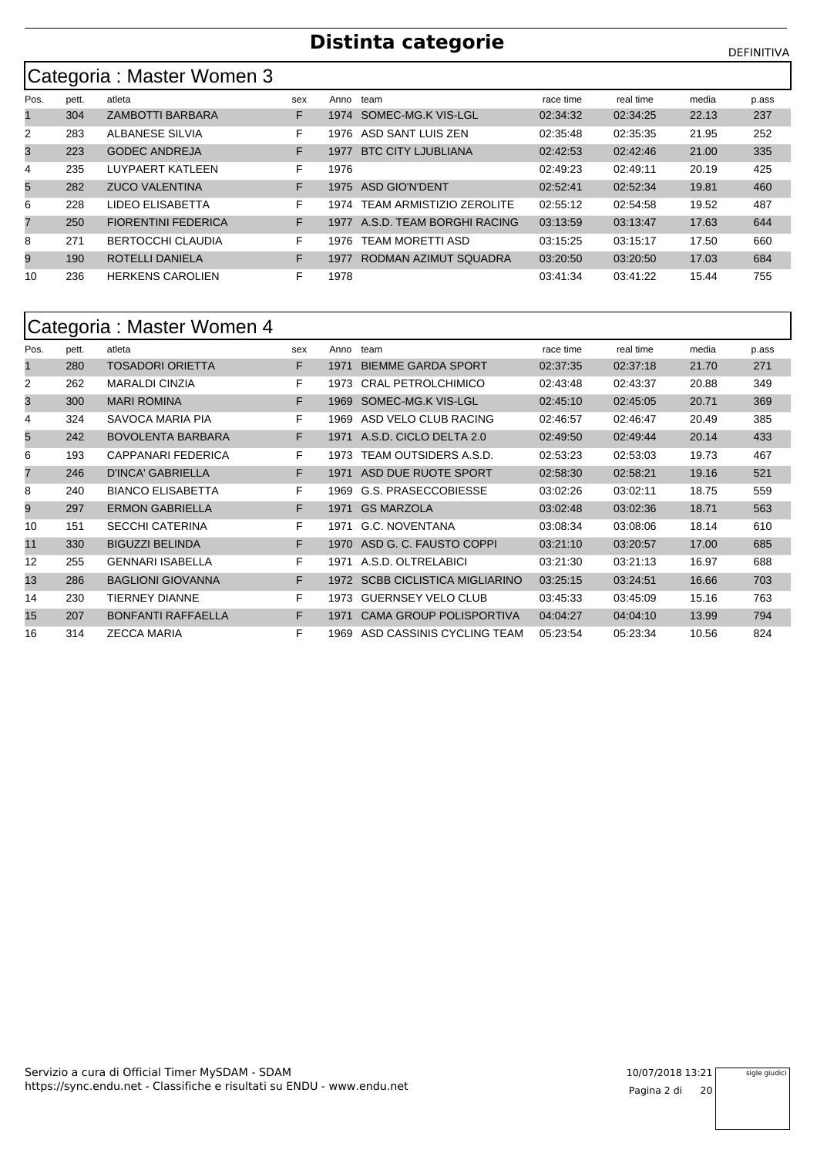#### Categoria : Master Women 3

| Pos.           | pett. | atleta                     | sex | Anno | team                            | race time | real time | media | p.ass |
|----------------|-------|----------------------------|-----|------|---------------------------------|-----------|-----------|-------|-------|
|                | 304   | <b>ZAMBOTTI BARBARA</b>    | F   | 1974 | SOMEC-MG.K VIS-LGL              | 02:34:32  | 02:34:25  | 22.13 | 237   |
| $\overline{2}$ | 283   | ALBANESE SILVIA            | F   | 1976 | ASD SANT LUIS ZEN               | 02:35:48  | 02:35:35  | 21.95 | 252   |
| 3              | 223   | <b>GODEC ANDREJA</b>       | F   | 1977 | <b>BTC CITY LJUBLIANA</b>       | 02:42:53  | 02:42:46  | 21.00 | 335   |
| 4              | 235   | LUYPAERT KATLEEN           | F   | 1976 |                                 | 02:49:23  | 02:49:11  | 20.19 | 425   |
| 5              | 282   | <b>ZUCO VALENTINA</b>      | F   | 1975 | ASD GIO'N'DENT                  | 02:52:41  | 02:52:34  | 19.81 | 460   |
| 6              | 228   | LIDEO ELISABETTA           | F   | 1974 | <b>TEAM ARMISTIZIO ZEROLITE</b> | 02:55:12  | 02:54:58  | 19.52 | 487   |
| $\overline{7}$ | 250   | <b>FIORENTINI FEDERICA</b> | F   | 1977 | A.S.D. TEAM BORGHI RACING       | 03:13:59  | 03:13:47  | 17.63 | 644   |
| 8              | 271   | <b>BERTOCCHI CLAUDIA</b>   | F   | 1976 | TEAM MORETTI ASD                | 03:15:25  | 03:15:17  | 17.50 | 660   |
| 9              | 190   | ROTELLI DANIELA            | F   | 1977 | RODMAN AZIMUT SQUADRA           | 03:20:50  | 03:20:50  | 17.03 | 684   |
| 10             | 236   | <b>HERKENS CAROLIEN</b>    | F   | 1978 |                                 | 03:41:34  | 03:41:22  | 15.44 | 755   |

#### Categoria : Master Women 4

| Pos. | pett. | atleta                    | sex | Anno | team                            | race time | real time | media | p.ass |
|------|-------|---------------------------|-----|------|---------------------------------|-----------|-----------|-------|-------|
| 1    | 280   | <b>TOSADORI ORIETTA</b>   | F.  | 1971 | <b>BIEMME GARDA SPORT</b>       | 02:37:35  | 02:37:18  | 21.70 | 271   |
| 2    | 262   | <b>MARALDI CINZIA</b>     | F   | 1973 | <b>CRAL PETROLCHIMICO</b>       | 02:43:48  | 02:43:37  | 20.88 | 349   |
| 3    | 300   | <b>MARI ROMINA</b>        | F.  | 1969 | SOMEC-MG.K VIS-LGL              | 02:45:10  | 02:45:05  | 20.71 | 369   |
| 4    | 324   | SAVOCA MARIA PIA          | F.  | 1969 | ASD VELO CLUB RACING            | 02:46:57  | 02:46:47  | 20.49 | 385   |
| 5    | 242   | <b>BOVOLENTA BARBARA</b>  | F.  | 1971 | A.S.D. CICLO DELTA 2.0          | 02:49:50  | 02:49:44  | 20.14 | 433   |
| 6    | 193   | CAPPANARI FEDERICA        | F   | 1973 | TEAM OUTSIDERS A.S.D.           | 02:53:23  | 02:53:03  | 19.73 | 467   |
| 7    | 246   | D'INCA' GABRIELLA         | F.  | 1971 | ASD DUE RUOTE SPORT             | 02:58:30  | 02:58:21  | 19.16 | 521   |
| 8    | 240   | <b>BIANCO ELISABETTA</b>  | F.  | 1969 | G.S. PRASECCOBIESSE             | 03:02:26  | 03:02:11  | 18.75 | 559   |
| 9    | 297   | <b>ERMON GABRIELLA</b>    | F   | 1971 | <b>GS MARZOLA</b>               | 03:02:48  | 03:02:36  | 18.71 | 563   |
| 10   | 151   | <b>SECCHI CATERINA</b>    | F.  | 1971 | G.C. NOVENTANA                  | 03:08:34  | 03:08:06  | 18.14 | 610   |
| 11   | 330   | <b>BIGUZZI BELINDA</b>    | F.  | 1970 | ASD G. C. FAUSTO COPPI          | 03:21:10  | 03:20:57  | 17.00 | 685   |
| 12   | 255   | <b>GENNARI ISABELLA</b>   | F.  | 1971 | A.S.D. OLTRELABICI              | 03:21:30  | 03:21:13  | 16.97 | 688   |
| 13   | 286   | <b>BAGLIONI GIOVANNA</b>  | F.  |      | 1972 SCBB CICLISTICA MIGLIARINO | 03:25:15  | 03:24:51  | 16.66 | 703   |
| 14   | 230   | <b>TIERNEY DIANNE</b>     | F   | 1973 | <b>GUERNSEY VELO CLUB</b>       | 03:45:33  | 03:45:09  | 15.16 | 763   |
| 15   | 207   | <b>BONFANTI RAFFAELLA</b> | F   | 1971 | <b>CAMA GROUP POLISPORTIVA</b>  | 04:04:27  | 04:04:10  | 13.99 | 794   |
| 16   | 314   | <b>ZECCA MARIA</b>        | F   | 1969 | ASD CASSINIS CYCLING TEAM       | 05:23:54  | 05:23:34  | 10.56 | 824   |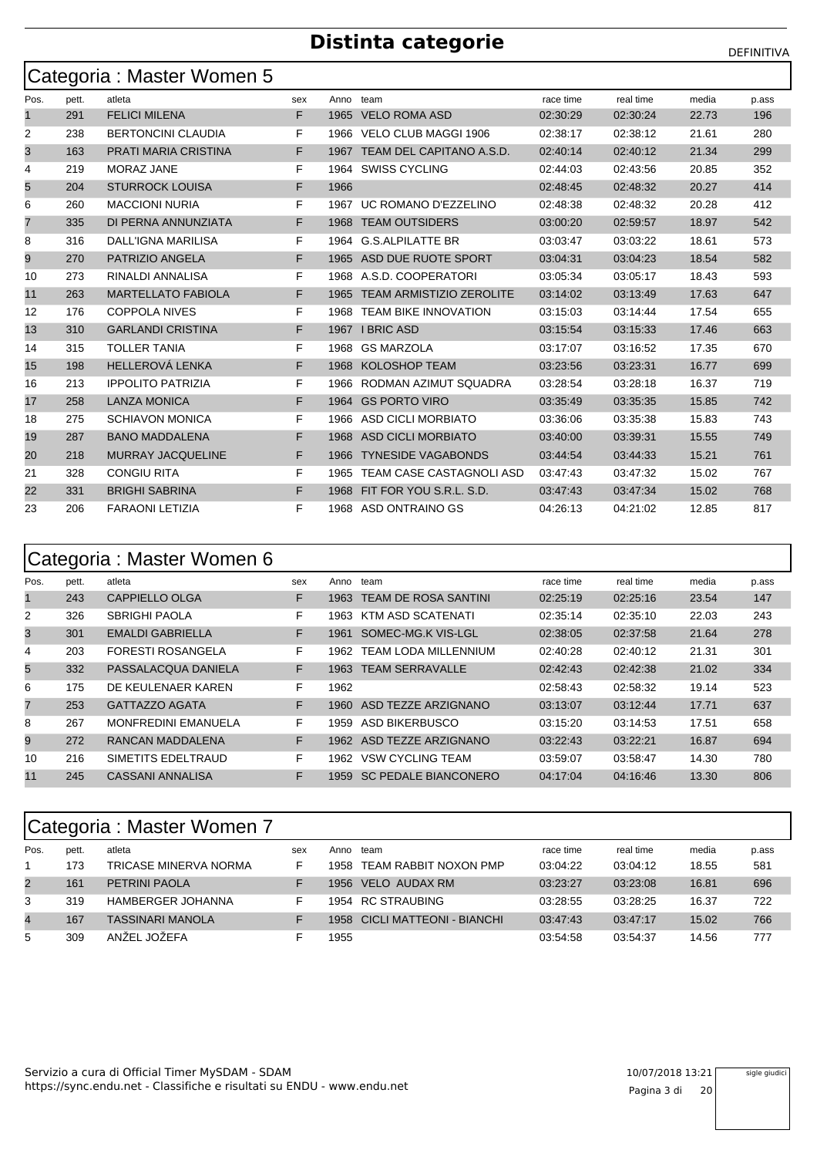|      |       | Categoria: Master Women 5   |     |      |                                 |           |           |       |       |
|------|-------|-----------------------------|-----|------|---------------------------------|-----------|-----------|-------|-------|
| Pos. | pett. | atleta                      | sex |      | Anno team                       | race time | real time | media | p.ass |
| 1    | 291   | <b>FELICI MILENA</b>        | F.  |      | 1965 VELO ROMA ASD              | 02:30:29  | 02:30:24  | 22.73 | 196   |
| 2    | 238   | <b>BERTONCINI CLAUDIA</b>   | F   |      | 1966 VELO CLUB MAGGI 1906       | 02:38:17  | 02:38:12  | 21.61 | 280   |
| 3    | 163   | <b>PRATI MARIA CRISTINA</b> | F.  |      | 1967 TEAM DEL CAPITANO A.S.D.   | 02:40:14  | 02:40:12  | 21.34 | 299   |
| 4    | 219   | <b>MORAZ JANE</b>           | F   |      | 1964 SWISS CYCLING              | 02:44:03  | 02:43:56  | 20.85 | 352   |
| 5    | 204   | <b>STURROCK LOUISA</b>      | F   | 1966 |                                 | 02:48:45  | 02:48:32  | 20.27 | 414   |
| 6    | 260   | <b>MACCIONI NURIA</b>       | F   |      | 1967 UC ROMANO D'EZZELINO       | 02:48:38  | 02:48:32  | 20.28 | 412   |
| 7    | 335   | DI PERNA ANNUNZIATA         | F.  |      | 1968 TEAM OUTSIDERS             | 03:00:20  | 02:59:57  | 18.97 | 542   |
| 8    | 316   | DALL'IGNA MARILISA          | F   |      | 1964 G.S.ALPILATTE BR           | 03.03.47  | 03:03:22  | 18.61 | 573   |
| 9    | 270   | PATRIZIO ANGELA             | F.  |      | 1965 ASD DUE RUOTE SPORT        | 03:04:31  | 03:04:23  | 18.54 | 582   |
| 10   | 273   | RINALDI ANNALISA            | F   |      | 1968 A.S.D. COOPERATORI         | 03:05:34  | 03:05:17  | 18.43 | 593   |
| 11   | 263   | <b>MARTELLATO FABIOLA</b>   | F.  | 1965 | <b>TEAM ARMISTIZIO ZEROLITE</b> | 03:14:02  | 03:13:49  | 17.63 | 647   |
| 12   | 176   | <b>COPPOLA NIVES</b>        | F   |      | 1968 TEAM BIKE INNOVATION       | 03:15:03  | 03:14:44  | 17.54 | 655   |
| 13   | 310   | <b>GARLANDI CRISTINA</b>    | F   |      | 1967 I BRIC ASD                 | 03:15:54  | 03:15:33  | 17.46 | 663   |
| 14   | 315   | <b>TOLLER TANIA</b>         | F   |      | 1968 GS MARZOLA                 | 03:17:07  | 03:16:52  | 17.35 | 670   |
| 15   | 198   | <b>HELLEROVÁ LENKA</b>      | F   | 1968 | <b>KOLOSHOP TEAM</b>            | 03:23:56  | 03:23:31  | 16.77 | 699   |
| 16   | 213   | <b>IPPOLITO PATRIZIA</b>    | F   |      | 1966 RODMAN AZIMUT SQUADRA      | 03.28.54  | 03:28:18  | 16.37 | 719   |
| 17   | 258   | <b>LANZA MONICA</b>         | F   |      | 1964 GS PORTO VIRO              | 03:35:49  | 03:35:35  | 15.85 | 742   |
| 18   | 275   | <b>SCHIAVON MONICA</b>      | F   |      | 1966 ASD CICLI MORBIATO         | 03:36:06  | 03:35:38  | 15.83 | 743   |
| 19   | 287   | <b>BANO MADDALENA</b>       | F.  | 1968 | ASD CICLI MORBIATO              | 03:40:00  | 03:39:31  | 15.55 | 749   |
| 20   | 218   | <b>MURRAY JACQUELINE</b>    | F.  | 1966 | <b>TYNESIDE VAGABONDS</b>       | 03:44:54  | 03.44.33  | 15.21 | 761   |
| 21   | 328   | <b>CONGIU RITA</b>          | F.  | 1965 | TEAM CASE CASTAGNOLI ASD        | 03:47:43  | 03:47:32  | 15.02 | 767   |
| 22   | 331   | <b>BRIGHI SABRINA</b>       | F   | 1968 | FIT FOR YOU S.R.L. S.D.         | 03:47:43  | 03:47:34  | 15.02 | 768   |
| 23   | 206   | <b>FARAONI LETIZIA</b>      | F   |      | 1968 ASD ONTRAINO GS            | 04:26:13  | 04:21:02  | 12.85 | 817   |

|              | Categoria : Master Women 6 |                            |     |      |                             |           |           |       |       |  |  |  |  |
|--------------|----------------------------|----------------------------|-----|------|-----------------------------|-----------|-----------|-------|-------|--|--|--|--|
| Pos.         | pett.                      | atleta                     | sex | Anno | team                        | race time | real time | media | p ass |  |  |  |  |
| $\mathbf{1}$ | 243                        | CAPPIELLO OLGA             | F   | 1963 | <b>TEAM DE ROSA SANTINI</b> | 02:25:19  | 02:25:16  | 23.54 | 147   |  |  |  |  |
| 2            | 326                        | <b>SBRIGHI PAOLA</b>       | F   | 1963 | KTM ASD SCATENATI           | 02:35:14  | 02:35:10  | 22.03 | 243   |  |  |  |  |
| 3            | 301                        | <b>EMALDI GABRIELLA</b>    | F.  | 1961 | SOMEC-MG.K VIS-LGL          | 02:38:05  | 02:37:58  | 21.64 | 278   |  |  |  |  |
| 4            | 203                        | <b>FORESTI ROSANGELA</b>   | F.  | 1962 | <b>TEAM LODA MILLENNIUM</b> | 02:40:28  | 02:40:12  | 21.31 | 301   |  |  |  |  |
| 5            | 332                        | PASSALACQUA DANIELA        | F   | 1963 | <b>TEAM SERRAVALLE</b>      | 02:42:43  | 02:42:38  | 21.02 | 334   |  |  |  |  |
| 6            | 175                        | DE KEULENAER KAREN         | F   | 1962 |                             | 02:58:43  | 02:58:32  | 19.14 | 523   |  |  |  |  |
| 7            | 253                        | <b>GATTAZZO AGATA</b>      | F   | 1960 | ASD TEZZE ARZIGNANO         | 03:13:07  | 03:12:44  | 17.71 | 637   |  |  |  |  |
| 8            | 267                        | <b>MONFREDINI EMANUELA</b> | F   | 1959 | ASD BIKERBUSCO              | 03:15:20  | 03:14:53  | 17.51 | 658   |  |  |  |  |
| 9            | 272                        | RANCAN MADDALENA           | F.  | 1962 | ASD TEZZE ARZIGNANO         | 03:22:43  | 03:22:21  | 16.87 | 694   |  |  |  |  |
| 10           | 216                        | SIMETITS EDELTRAUD         | F   | 1962 | <b>VSW CYCLING TEAM</b>     | 03:59:07  | 03.58.47  | 14.30 | 780   |  |  |  |  |
| 11           | 245                        | <b>CASSANI ANNALISA</b>    | F   | 1959 | <b>SC PEDALE BIANCONERO</b> | 04:17:04  | 04:16:46  | 13.30 | 806   |  |  |  |  |

|                | Categoria: Master Women 7 |                         |     |      |                          |           |           |       |       |  |  |  |  |  |
|----------------|---------------------------|-------------------------|-----|------|--------------------------|-----------|-----------|-------|-------|--|--|--|--|--|
| Pos.           | pett.                     | atleta                  | sex | Anno | team                     | race time | real time | media | p.ass |  |  |  |  |  |
|                | 173                       | TRICASE MINERVA NORMA   |     | 1958 | TEAM RABBIT NOXON PMP    | 03:04:22  | 03:04:12  | 18.55 | 581   |  |  |  |  |  |
| $\overline{2}$ | 161                       | <b>PETRINI PAOLA</b>    |     | 1956 | VELO AUDAX RM            | 03:23:27  | 03:23:08  | 16.81 | 696   |  |  |  |  |  |
| 3              | 319                       | HAMBERGER JOHANNA       |     |      | 1954 RC STRAUBING        | 03:28:55  | 03:28:25  | 16.37 | 722   |  |  |  |  |  |
| 4              | 167                       | <b>TASSINARI MANOLA</b> |     | 1958 | CICLI MATTEONI - BIANCHI | 03:47:43  | 03:47:17  | 15.02 | 766   |  |  |  |  |  |
| 5              | 309                       | ANŽEL JOŽEFA            |     | 1955 |                          | 03:54:58  | 03:54:37  | 14.56 | 777   |  |  |  |  |  |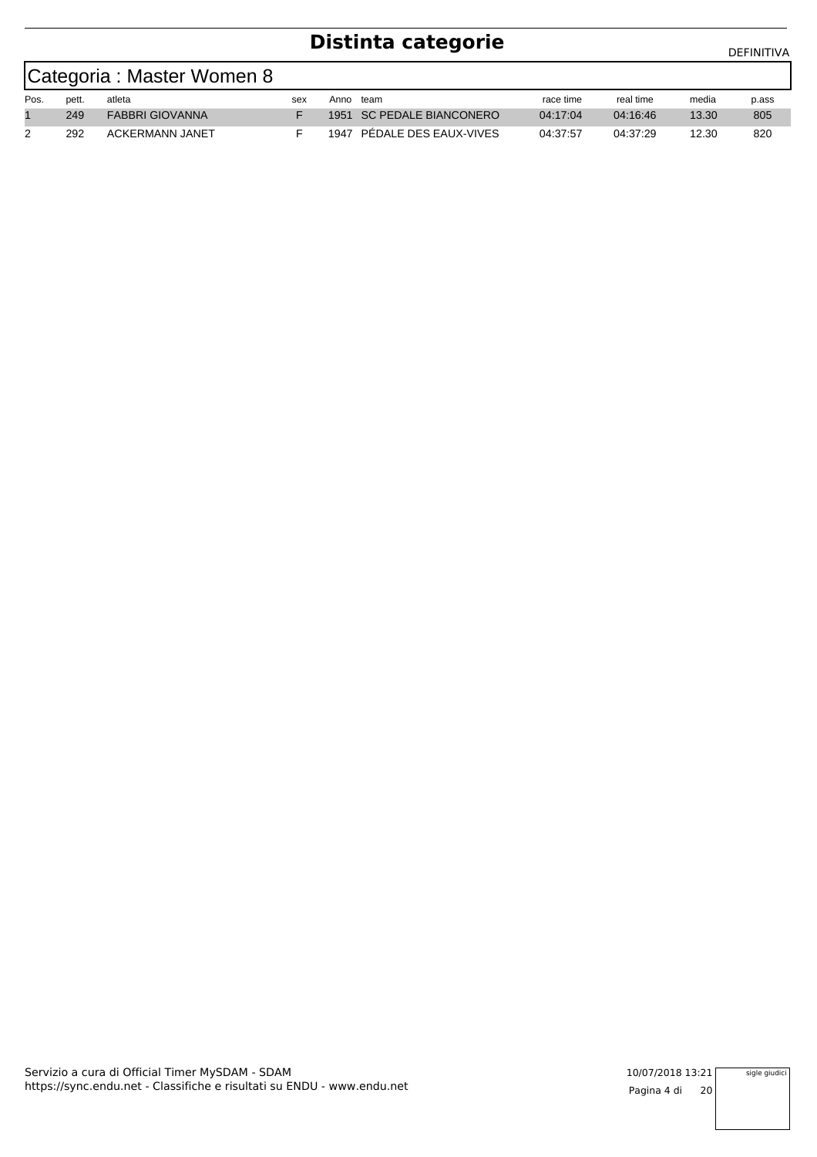|      | Categoria : Master Women 8 |                        |     |      |                            |           |           |       |       |  |  |  |  |
|------|----------------------------|------------------------|-----|------|----------------------------|-----------|-----------|-------|-------|--|--|--|--|
| Pos. | pett.                      | atleta                 | sex | Anno | team                       | race time | real time | media | p.ass |  |  |  |  |
|      | 249                        | <b>FABBRI GIOVANNA</b> |     |      | 1951 SC PEDALE BIANCONERO  | 04:17:04  | 04:16:46  | 13.30 | 805   |  |  |  |  |
|      | 292                        | ACKERMANN JANET        |     |      | 1947 PEDALE DES EAUX-VIVES | 04:37:57  | 04:37:29  | 12.30 | 820   |  |  |  |  |

https://sync.endu.net - Classifiche e risultati su ENDU - www.endu.net Servizio a cura di Official Timer MySDAM - SDAM 10/07/2018 13:21

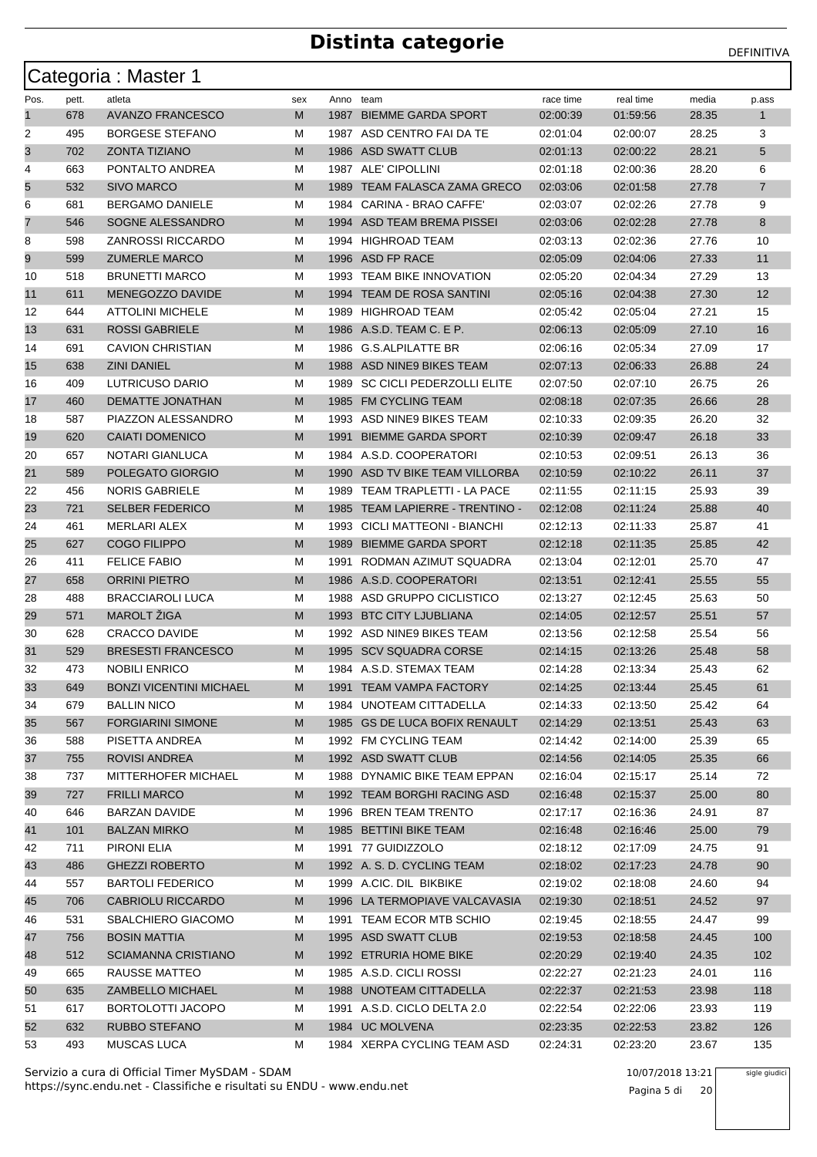|      |       | Categoria: Master 1            |     |           |                                 |           |           |       |                |
|------|-------|--------------------------------|-----|-----------|---------------------------------|-----------|-----------|-------|----------------|
| Pos. | pett. | atleta                         | sex | Anno team |                                 | race time | real time | media | p.ass          |
| 1    | 678   | <b>AVANZO FRANCESCO</b>        | M   | 1987      | <b>BIEMME GARDA SPORT</b>       | 02:00:39  | 01:59:56  | 28.35 | $\mathbf{1}$   |
| 2    | 495   | <b>BORGESE STEFANO</b>         | м   |           | 1987 ASD CENTRO FAI DA TE       | 02:01:04  | 02:00:07  | 28.25 | 3              |
| 3    | 702   | ZONTA TIZIANO                  | M   | 1986      | ASD SWATT CLUB                  | 02:01:13  | 02:00:22  | 28.21 | 5              |
| 4    | 663   | PONTALTO ANDREA                | М   |           | 1987 ALE' CIPOLLINI             | 02:01:18  | 02:00:36  | 28.20 | 6              |
| 5    | 532   | <b>SIVO MARCO</b>              | M   | 1989      | TEAM FALASCA ZAMA GRECO         | 02:03:06  | 02:01:58  | 27.78 | $\overline{7}$ |
| 6    | 681   | <b>BERGAMO DANIELE</b>         | М   |           | 1984 CARINA - BRAO CAFFE'       | 02:03:07  | 02:02:26  | 27.78 | 9              |
| 7    | 546   | SOGNE ALESSANDRO               | M   |           | 1994 ASD TEAM BREMA PISSEI      | 02:03:06  | 02:02:28  | 27.78 | 8              |
| 8    | 598   | <b>ZANROSSI RICCARDO</b>       | м   |           | 1994 HIGHROAD TEAM              | 02:03:13  | 02:02:36  | 27.76 | 10             |
| 9    | 599   | <b>ZUMERLE MARCO</b>           | M   |           | 1996 ASD FP RACE                | 02:05:09  | 02:04:06  | 27.33 | 11             |
| 10   | 518   | <b>BRUNETTI MARCO</b>          | М   |           | 1993 TEAM BIKE INNOVATION       | 02:05:20  | 02:04:34  | 27.29 | 13             |
| 11   | 611   | MENEGOZZO DAVIDE               | M   |           | 1994 TEAM DE ROSA SANTINI       | 02:05:16  | 02:04:38  | 27.30 | 12             |
| 12   | 644   | <b>ATTOLINI MICHELE</b>        | М   | 1989      | HIGHROAD TEAM                   | 02:05:42  | 02:05:04  | 27.21 | 15             |
| 13   | 631   | <b>ROSSI GABRIELE</b>          | M   |           | 1986 A.S.D. TEAM C. E P.        | 02:06:13  | 02:05:09  | 27.10 | 16             |
| 14   | 691   | <b>CAVION CHRISTIAN</b>        | М   |           | 1986 G.S.ALPILATTE BR           | 02:06:16  | 02:05:34  | 27.09 | 17             |
| 15   | 638   | <b>ZINI DANIEL</b>             | M   |           | 1988 ASD NINE9 BIKES TEAM       | 02:07:13  | 02:06:33  | 26.88 | 24             |
| 16   | 409   | LUTRICUSO DARIO                | М   | 1989      | SC CICLI PEDERZOLLI ELITE       | 02:07:50  | 02:07:10  | 26.75 | 26             |
| 17   | 460   | <b>DEMATTE JONATHAN</b>        | M   |           | 1985 FM CYCLING TEAM            | 02:08:18  | 02:07:35  | 26.66 | 28             |
| 18   | 587   | PIAZZON ALESSANDRO             | М   |           | 1993 ASD NINE9 BIKES TEAM       | 02:10:33  | 02:09:35  | 26.20 | 32             |
| 19   | 620   | <b>CAIATI DOMENICO</b>         | M   | 1991      | <b>BIEMME GARDA SPORT</b>       | 02:10:39  | 02:09:47  | 26.18 | 33             |
| 20   | 657   | NOTARI GIANLUCA                | м   |           | 1984 A.S.D. COOPERATORI         | 02:10:53  | 02:09:51  | 26.13 | 36             |
| 21   | 589   | POLEGATO GIORGIO               | M   |           | 1990 ASD TV BIKE TEAM VILLORBA  | 02:10:59  | 02:10:22  | 26.11 | 37             |
| 22   | 456   | <b>NORIS GABRIELE</b>          | М   |           | 1989 TEAM TRAPLETTI - LA PACE   | 02:11:55  | 02:11:15  | 25.93 | 39             |
| 23   | 721   | <b>SELBER FEDERICO</b>         | M   |           | 1985 TEAM LAPIERRE - TRENTINO - | 02:12:08  | 02:11:24  | 25.88 | 40             |
| 24   | 461   | <b>MERLARI ALEX</b>            | М   | 1993      | CICLI MATTEONI - BIANCHI        | 02:12:13  | 02:11:33  | 25.87 | 41             |
| 25   | 627   | <b>COGO FILIPPO</b>            | M   | 1989      | <b>BIEMME GARDA SPORT</b>       | 02:12:18  | 02:11:35  | 25.85 | 42             |
| 26   | 411   | <b>FELICE FABIO</b>            | м   |           | 1991 RODMAN AZIMUT SQUADRA      | 02:13:04  | 02:12:01  | 25.70 | 47             |
| 27   | 658   | <b>ORRINI PIETRO</b>           | M   |           | 1986 A.S.D. COOPERATORI         | 02:13:51  | 02:12:41  | 25.55 | 55             |
| 28   | 488   | <b>BRACCIAROLI LUCA</b>        | М   |           | 1988 ASD GRUPPO CICLISTICO      | 02:13:27  | 02:12:45  | 25.63 | 50             |
| 29   | 571   | MAROLT ŽIGA                    | M   |           | 1993 BTC CITY LJUBLIANA         | 02:14:05  | 02:12:57  | 25.51 | 57             |
| 30   | 628   | <b>CRACCO DAVIDE</b>           | М   |           | 1992 ASD NINE9 BIKES TEAM       | 02:13:56  | 02:12:58  | 25.54 | 56             |
| 31   | 529   | <b>BRESESTI FRANCESCO</b>      | M   |           | 1995 SCV SQUADRA CORSE          | 02:14:15  | 02:13:26  | 25.48 | 58             |
| 32   | 473   | <b>NOBILI ENRICO</b>           | М   |           | 1984 A.S.D. STEMAX TEAM         | 02:14:28  | 02:13:34  | 25.43 | 62             |
| 33   | 649   | <b>BONZI VICENTINI MICHAEL</b> | M   |           | 1991 TEAM VAMPA FACTORY         | 02:14:25  | 02:13:44  | 25.45 | 61             |
| 34   | 679   | <b>BALLIN NICO</b>             | M   |           | 1984 UNOTEAM CITTADELLA         | 02:14:33  | 02:13:50  | 25.42 | 64             |
| 35   | 567   | <b>FORGIARINI SIMONE</b>       | M   |           | 1985 GS DE LUCA BOFIX RENAULT   | 02:14:29  | 02:13:51  | 25.43 | 63             |
| 36   | 588   | PISETTA ANDREA                 | М   |           | 1992 FM CYCLING TEAM            | 02:14:42  | 02:14:00  | 25.39 | 65             |
| 37   | 755   | <b>ROVISI ANDREA</b>           | M   |           | 1992 ASD SWATT CLUB             | 02:14:56  | 02:14:05  | 25.35 | 66             |
| 38   | 737   | MITTERHOFER MICHAEL            | м   |           | 1988 DYNAMIC BIKE TEAM EPPAN    | 02:16:04  | 02:15:17  | 25.14 | 72             |
| 39   | 727   | <b>FRILLI MARCO</b>            | M   |           | 1992 TEAM BORGHI RACING ASD     | 02:16:48  | 02:15:37  | 25.00 | 80             |
| 40   | 646   | BARZAN DAVIDE                  | M   |           | 1996 BREN TEAM TRENTO           | 02:17:17  | 02:16:36  | 24.91 | 87             |
| 41   | 101   | <b>BALZAN MIRKO</b>            | M   |           | 1985 BETTINI BIKE TEAM          | 02:16:48  | 02:16:46  | 25.00 | 79             |
| 42   | 711   | PIRONI ELIA                    | М   |           | 1991 77 GUIDIZZOLO              | 02:18:12  | 02:17:09  | 24.75 | 91             |
| 43   | 486   | <b>GHEZZI ROBERTO</b>          | M   |           | 1992 A. S. D. CYCLING TEAM      | 02:18:02  | 02:17:23  | 24.78 | 90             |
| 44   | 557   | <b>BARTOLI FEDERICO</b>        | м   |           | 1999 A.CIC. DIL BIKBIKE         | 02:19:02  | 02:18:08  | 24.60 | 94             |
| 45   | 706   | CABRIOLU RICCARDO              | M   |           | 1996 LA TERMOPIAVE VALCAVASIA   | 02:19:30  | 02:18:51  | 24.52 | 97             |
| 46   | 531   | SBALCHIERO GIACOMO             | M   |           | 1991 TEAM ECOR MTB SCHIO        | 02:19:45  | 02:18:55  | 24.47 | 99             |
| 47   | 756   | <b>BOSIN MATTIA</b>            | M   |           | 1995 ASD SWATT CLUB             | 02:19:53  | 02:18:58  | 24.45 | 100            |
| 48   | 512   | <b>SCIAMANNA CRISTIANO</b>     | M   |           | 1992 ETRURIA HOME BIKE          | 02:20:29  | 02:19:40  | 24.35 | 102            |
| 49   | 665   | RAUSSE MATTEO                  | M   |           | 1985 A.S.D. CICLI ROSSI         | 02:22:27  | 02:21:23  | 24.01 | 116            |
| 50   | 635   | ZAMBELLO MICHAEL               | M   |           | 1988 UNOTEAM CITTADELLA         | 02:22:37  | 02:21:53  | 23.98 | 118            |
| 51   | 617   | BORTOLOTTI JACOPO              | М   |           | 1991 A.S.D. CICLO DELTA 2.0     | 02:22:54  | 02:22:06  | 23.93 | 119            |
| 52   | 632   | RUBBO STEFANO                  | M   |           | 1984 UC MOLVENA                 | 02:23:35  | 02:22:53  | 23.82 | 126            |
| 53   | 493   | MUSCAS LUCA                    | м   |           | 1984 XERPA CYCLING TEAM ASD     | 02:24:31  | 02:23:20  | 23.67 | 135            |

https://sync.endu.net - Classifiche e risultati su ENDU - www.endu.net Servizio a cura di Official Timer MySDAM - SDAM 10/07/2018 13:21

Pagina 5 di 20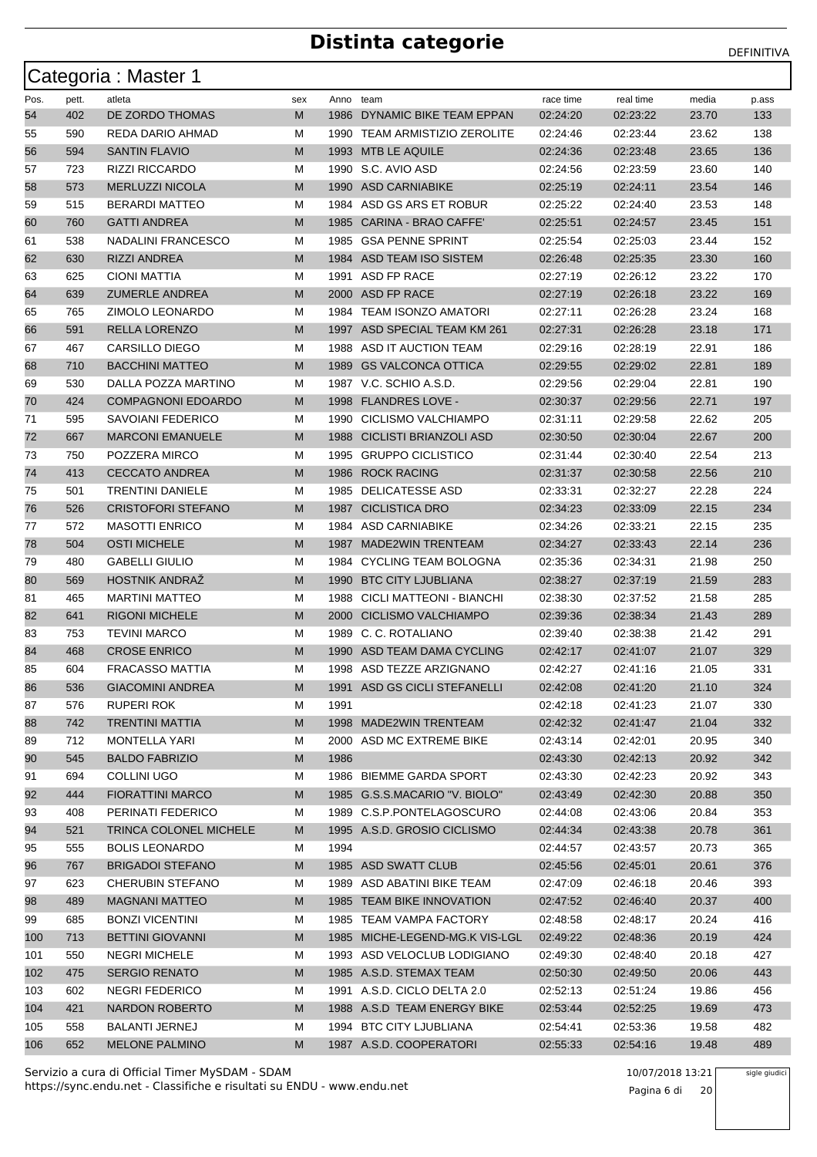|      |       | Categoria : Master 1      |     |           |                                |           |           |       |       |
|------|-------|---------------------------|-----|-----------|--------------------------------|-----------|-----------|-------|-------|
| Pos. | pett. | atleta                    | sex | Anno team |                                | race time | real time | media | p.ass |
| 54   | 402   | DE ZORDO THOMAS           | M   | 1986      | DYNAMIC BIKE TEAM EPPAN        | 02:24:20  | 02:23:22  | 23.70 | 133   |
| 55   | 590   | REDA DARIO AHMAD          | М   |           | 1990 TEAM ARMISTIZIO ZEROLITE  | 02:24:46  | 02:23:44  | 23.62 | 138   |
| 56   | 594   | <b>SANTIN FLAVIO</b>      | M   |           | 1993 MTB LE AQUILE             | 02:24:36  | 02:23:48  | 23.65 | 136   |
| 57   | 723   | <b>RIZZI RICCARDO</b>     | м   |           | 1990 S.C. AVIO ASD             | 02:24:56  | 02:23:59  | 23.60 | 140   |
| 58   | 573   | <b>MERLUZZI NICOLA</b>    | M   |           | 1990 ASD CARNIABIKE            | 02:25:19  | 02:24:11  | 23.54 | 146   |
| 59   | 515   | <b>BERARDI MATTEO</b>     | м   |           | 1984 ASD GS ARS ET ROBUR       | 02:25:22  | 02:24:40  | 23.53 | 148   |
| 60   | 760   | <b>GATTI ANDREA</b>       | M   | 1985      | CARINA - BRAO CAFFE'           | 02:25:51  | 02:24:57  | 23.45 | 151   |
| 61   | 538   | NADALINI FRANCESCO        | м   | 1985      | <b>GSA PENNE SPRINT</b>        | 02:25:54  | 02.25:03  | 23.44 | 152   |
| 62   | 630   | <b>RIZZI ANDREA</b>       | M   |           | 1984 ASD TEAM ISO SISTEM       | 02:26:48  | 02:25:35  | 23.30 | 160   |
| 63   | 625   | CIONI MATTIA              | м   | 1991      | ASD FP RACE                    | 02:27:19  | 02.26:12  | 23.22 | 170   |
| 64   | 639   | <b>ZUMERLE ANDREA</b>     | M   |           | 2000 ASD FP RACE               | 02:27:19  | 02:26:18  | 23.22 | 169   |
| 65   | 765   | ZIMOLO LEONARDO           | M   | 1984      | <b>TEAM ISONZO AMATORI</b>     | 02:27:11  | 02:26:28  | 23.24 | 168   |
| 66   | 591   | <b>RELLA LORENZO</b>      | M   |           | 1997 ASD SPECIAL TEAM KM 261   | 02:27:31  | 02:26:28  | 23.18 | 171   |
| 67   | 467   | <b>CARSILLO DIEGO</b>     | M   |           | 1988 ASD IT AUCTION TEAM       | 02:29:16  | 02:28:19  | 22.91 | 186   |
| 68   | 710   | <b>BACCHINI MATTEO</b>    | M   | 1989      | <b>GS VALCONCA OTTICA</b>      | 02:29:55  | 02:29:02  | 22.81 | 189   |
| 69   | 530   | DALLA POZZA MARTINO       | M   |           | 1987 V.C. SCHIO A.S.D.         | 02:29:56  | 02:29:04  | 22.81 | 190   |
| 70   | 424   | <b>COMPAGNONI EDOARDO</b> | M   |           | 1998 FLANDRES LOVE -           | 02:30:37  | 02:29:56  | 22.71 | 197   |
| 71   | 595   | <b>SAVOIANI FEDERICO</b>  | M   | 1990      | CICLISMO VALCHIAMPO            | 02:31:11  | 02:29:58  | 22.62 | 205   |
| 72   | 667   | <b>MARCONI EMANUELE</b>   | M   | 1988      | CICLISTI BRIANZOLI ASD         | 02:30:50  | 02:30:04  | 22.67 | 200   |
| 73   | 750   | POZZERA MIRCO             | М   | 1995      | <b>GRUPPO CICLISTICO</b>       | 02:31:44  | 02:30:40  | 22.54 | 213   |
| 74   | 413   | <b>CECCATO ANDREA</b>     | M   |           | 1986 ROCK RACING               | 02:31:37  | 02:30:58  | 22.56 | 210   |
| 75   | 501   | <b>TRENTINI DANIELE</b>   | м   | 1985      | DELICATESSE ASD                | 02:33:31  | 02:32:27  | 22.28 | 224   |
| 76   | 526   | <b>CRISTOFORI STEFANO</b> | M   | 1987      | <b>CICLISTICA DRO</b>          | 02:34:23  | 02:33:09  | 22.15 | 234   |
| 77   | 572   | <b>MASOTTI ENRICO</b>     | м   |           | 1984 ASD CARNIABIKE            | 02:34:26  | 02:33:21  | 22.15 | 235   |
| 78   | 504   | <b>OSTI MICHELE</b>       | M   | 1987      | <b>MADE2WIN TRENTEAM</b>       | 02:34:27  | 02:33:43  | 22.14 | 236   |
| 79   | 480   | <b>GABELLI GIULIO</b>     | М   |           | 1984 CYCLING TEAM BOLOGNA      | 02:35:36  | 02:34:31  | 21.98 | 250   |
| 80   | 569   | <b>HOSTNIK ANDRAZ</b>     | M   | 1990      | <b>BTC CITY LJUBLIANA</b>      | 02:38:27  | 02:37:19  | 21.59 | 283   |
| 81   | 465   | <b>MARTINI MATTEO</b>     | М   | 1988      | CICLI MATTEONI - BIANCHI       | 02:38:30  | 02:37:52  | 21.58 | 285   |
| 82   | 641   | <b>RIGONI MICHELE</b>     | M   |           | 2000 CICLISMO VALCHIAMPO       | 02:39:36  | 02:38:34  | 21.43 | 289   |
| 83   | 753   | <b>TEVINI MARCO</b>       | M   | 1989      | C. C. ROTALIANO                | 02:39:40  | 02:38:38  | 21.42 | 291   |
| 84   | 468   | <b>CROSE ENRICO</b>       | M   | 1990      | ASD TEAM DAMA CYCLING          | 02:42:17  | 02:41:07  | 21.07 | 329   |
| 85   | 604   | <b>FRACASSO MATTIA</b>    | M   |           | 1998 ASD TEZZE ARZIGNANO       | 02:42:27  | 02:41:16  | 21.05 | 331   |
| 86   | 536   | <b>GIACOMINI ANDREA</b>   | M   |           | 1991 ASD GS CICLI STEFANELLI   | 02:42:08  | 02:41:20  | 21.10 | 324   |
| 87   | 576   | RUPERI ROK                | м   | 1991      |                                | 02:42:18  | 02:41:23  | 21.07 | 330   |
| 88   | 742   | <b>TRENTINI MATTIA</b>    | M   |           | 1998 MADE2WIN TRENTEAM         | 02:42:32  | 02:41:47  | 21.04 | 332   |
| 89   | 712   | <b>MONTELLA YARI</b>      | M   |           | 2000 ASD MC EXTREME BIKE       | 02:43:14  | 02:42:01  | 20.95 | 340   |
| 90   | 545   | <b>BALDO FABRIZIO</b>     | M   | 1986      |                                | 02:43:30  | 02:42:13  | 20.92 | 342   |
| 91   | 694   | COLLINI UGO               | м   |           | 1986 BIEMME GARDA SPORT        | 02:43:30  | 02:42:23  | 20.92 | 343   |
| 92   | 444   | <b>FIORATTINI MARCO</b>   | M   |           | 1985 G.S.S.MACARIO "V. BIOLO"  | 02:43:49  | 02:42:30  | 20.88 | 350   |
| 93   | 408   | PERINATI FEDERICO         | м   |           | 1989 C.S.P.PONTELAGOSCURO      | 02:44:08  | 02:43:06  | 20.84 | 353   |
| 94   | 521   | TRINCA COLONEL MICHELE    | M   |           | 1995 A.S.D. GROSIO CICLISMO    | 02:44:34  | 02:43:38  | 20.78 | 361   |
| 95   | 555   | <b>BOLIS LEONARDO</b>     | M   | 1994      |                                | 02:44:57  | 02:43:57  | 20.73 | 365   |
| 96   | 767   | <b>BRIGADOI STEFANO</b>   | M   |           | 1985 ASD SWATT CLUB            | 02:45:56  | 02:45:01  | 20.61 | 376   |
| 97   | 623   | <b>CHERUBIN STEFANO</b>   | М   |           | 1989 ASD ABATINI BIKE TEAM     | 02:47:09  | 02:46:18  | 20.46 | 393   |
| 98   | 489   | <b>MAGNANI MATTEO</b>     | M   |           | 1985 TEAM BIKE INNOVATION      | 02:47:52  | 02:46:40  | 20.37 | 400   |
| 99   | 685   | <b>BONZI VICENTINI</b>    | м   |           | 1985 TEAM VAMPA FACTORY        | 02:48:58  | 02:48:17  | 20.24 | 416   |
| 100  | 713   | <b>BETTINI GIOVANNI</b>   | M   |           | 1985 MICHE-LEGEND-MG.K VIS-LGL | 02:49:22  | 02:48:36  | 20.19 | 424   |
| 101  | 550   | <b>NEGRI MICHELE</b>      | M   |           | 1993 ASD VELOCLUB LODIGIANO    | 02:49:30  | 02:48:40  | 20.18 | 427   |
| 102  | 475   | <b>SERGIO RENATO</b>      | M   |           | 1985 A.S.D. STEMAX TEAM        | 02:50:30  | 02:49:50  | 20.06 | 443   |
| 103  | 602   | NEGRI FEDERICO            | м   |           | 1991 A.S.D. CICLO DELTA 2.0    | 02:52:13  | 02:51:24  | 19.86 | 456   |
| 104  | 421   | NARDON ROBERTO            | M   |           | 1988 A.S.D TEAM ENERGY BIKE    | 02:53:44  | 02:52:25  | 19.69 | 473   |
| 105  | 558   | <b>BALANTI JERNEJ</b>     | м   |           | 1994 BTC CITY LJUBLIANA        | 02:54:41  | 02:53:36  | 19.58 | 482   |
| 106  | 652   | <b>MELONE PALMINO</b>     | M   |           | 1987 A.S.D. COOPERATORI        | 02:55:33  | 02:54:16  | 19.48 | 489   |

sigle giudici

Pagina 6 di 20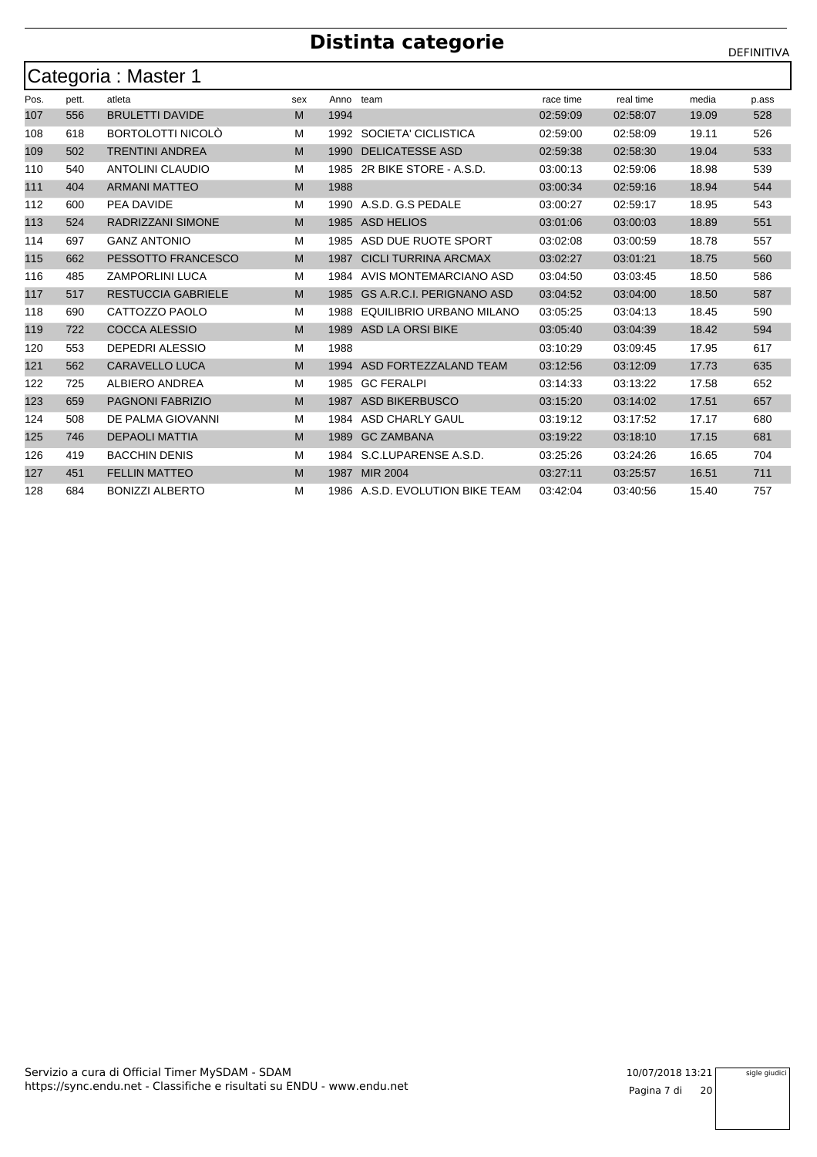|      | Categoria : Master 1 |                           |     |      |                                  |           |           |       |       |  |  |  |  |  |
|------|----------------------|---------------------------|-----|------|----------------------------------|-----------|-----------|-------|-------|--|--|--|--|--|
| Pos. | pett.                | atleta                    | sex | Anno | team                             | race time | real time | media | p.ass |  |  |  |  |  |
| 107  | 556                  | <b>BRULETTI DAVIDE</b>    | M   | 1994 |                                  | 02:59:09  | 02:58:07  | 19.09 | 528   |  |  |  |  |  |
| 108  | 618                  | <b>BORTOLOTTI NICOLO</b>  | м   |      | 1992 SOCIETA' CICLISTICA         | 02:59:00  | 02:58:09  | 19.11 | 526   |  |  |  |  |  |
| 109  | 502                  | <b>TRENTINI ANDREA</b>    | M   | 1990 | <b>DELICATESSE ASD</b>           | 02:59:38  | 02:58:30  | 19.04 | 533   |  |  |  |  |  |
| 110  | 540                  | <b>ANTOLINI CLAUDIO</b>   | м   | 1985 | 2R BIKE STORE - A.S.D.           | 03:00:13  | 02:59:06  | 18.98 | 539   |  |  |  |  |  |
| 111  | 404                  | <b>ARMANI MATTEO</b>      | M   | 1988 |                                  | 03:00:34  | 02:59:16  | 18.94 | 544   |  |  |  |  |  |
| 112  | 600                  | PEA DAVIDE                | м   |      | 1990 A.S.D. G.S PEDALE           | 03:00:27  | 02:59:17  | 18.95 | 543   |  |  |  |  |  |
| 113  | 524                  | <b>RADRIZZANI SIMONE</b>  | M   | 1985 | ASD HELIOS                       | 03:01:06  | 03:00:03  | 18.89 | 551   |  |  |  |  |  |
| 114  | 697                  | <b>GANZ ANTONIO</b>       | м   | 1985 | ASD DUE RUOTE SPORT              | 03:02:08  | 03:00:59  | 18.78 | 557   |  |  |  |  |  |
| 115  | 662                  | PESSOTTO FRANCESCO        | M   | 1987 | <b>CICLI TURRINA ARCMAX</b>      | 03:02:27  | 03:01:21  | 18.75 | 560   |  |  |  |  |  |
| 116  | 485                  | <b>ZAMPORLINI LUCA</b>    | м   | 1984 | AVIS MONTEMARCIANO ASD           | 03:04:50  | 03:03:45  | 18.50 | 586   |  |  |  |  |  |
| 117  | 517                  | <b>RESTUCCIA GABRIELE</b> | M   | 1985 | <b>GS A.R.C.I. PERIGNANO ASD</b> | 03:04:52  | 03:04:00  | 18.50 | 587   |  |  |  |  |  |
| 118  | 690                  | CATTOZZO PAOLO            | м   | 1988 | EQUILIBRIO URBANO MILANO         | 03:05:25  | 03:04:13  | 18.45 | 590   |  |  |  |  |  |
| 119  | 722                  | <b>COCCA ALESSIO</b>      | M   | 1989 | <b>ASD LA ORSI BIKE</b>          | 03:05:40  | 03:04:39  | 18.42 | 594   |  |  |  |  |  |
| 120  | 553                  | <b>DEPEDRI ALESSIO</b>    | M   | 1988 |                                  | 03:10:29  | 03:09:45  | 17.95 | 617   |  |  |  |  |  |
| 121  | 562                  | <b>CARAVELLO LUCA</b>     | M   | 1994 | ASD FORTEZZALAND TEAM            | 03:12:56  | 03:12:09  | 17.73 | 635   |  |  |  |  |  |
| 122  | 725                  | ALBIERO ANDREA            | м   | 1985 | <b>GC FERALPI</b>                | 03:14:33  | 03:13:22  | 17.58 | 652   |  |  |  |  |  |
| 123  | 659                  | <b>PAGNONI FABRIZIO</b>   | M   | 1987 | <b>ASD BIKERBUSCO</b>            | 03:15:20  | 03:14:02  | 17.51 | 657   |  |  |  |  |  |
| 124  | 508                  | DE PALMA GIOVANNI         | м   | 1984 | ASD CHARLY GAUL                  | 03:19:12  | 03:17:52  | 17.17 | 680   |  |  |  |  |  |
| 125  | 746                  | <b>DEPAOLI MATTIA</b>     | M   | 1989 | <b>GC ZAMBANA</b>                | 03:19:22  | 03:18:10  | 17.15 | 681   |  |  |  |  |  |
| 126  | 419                  | <b>BACCHIN DENIS</b>      | м   |      | 1984 S.C.LUPARENSE A.S.D.        | 03:25:26  | 03:24:26  | 16.65 | 704   |  |  |  |  |  |
| 127  | 451                  | <b>FELLIN MATTEO</b>      | M   | 1987 | <b>MIR 2004</b>                  | 03:27:11  | 03:25:57  | 16.51 | 711   |  |  |  |  |  |
| 128  | 684                  | <b>BONIZZI ALBERTO</b>    | м   |      | 1986 A.S.D. EVOLUTION BIKE TEAM  | 03:42:04  | 03:40:56  | 15.40 | 757   |  |  |  |  |  |

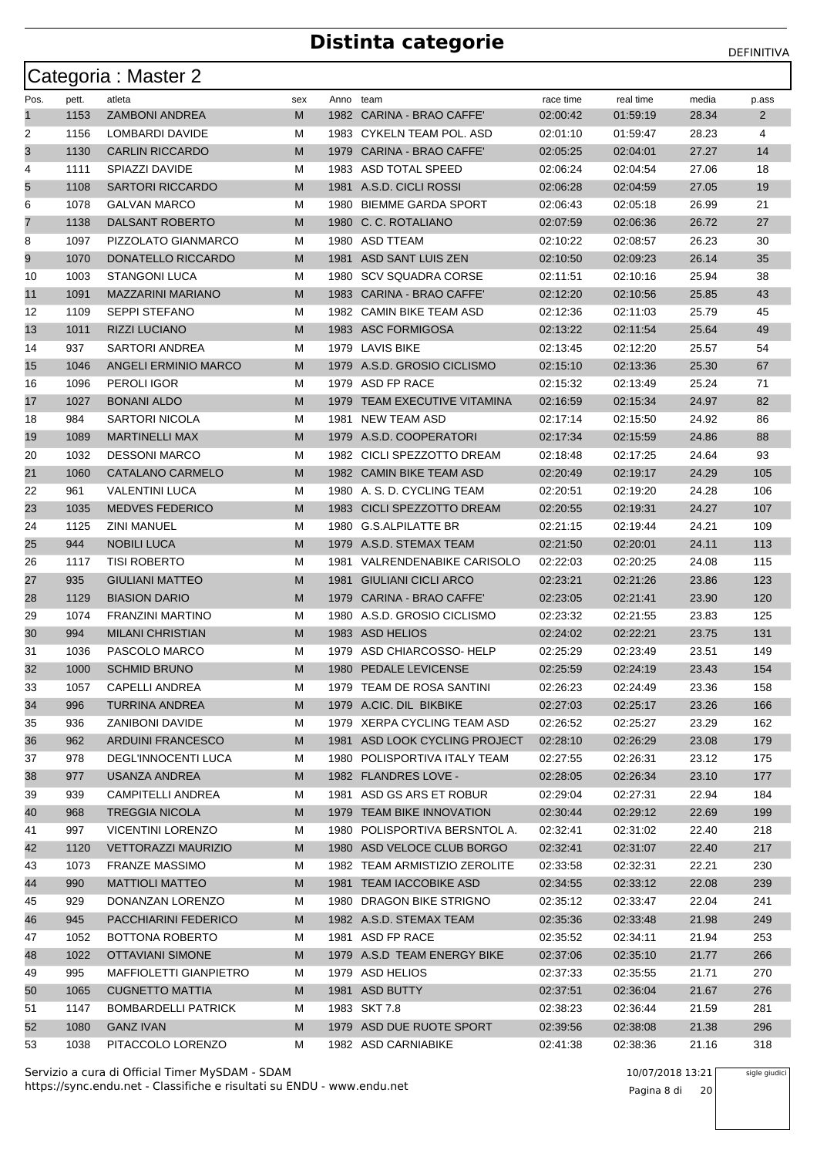|      |       | Categoria: Master 2           |     |           |                               |           |           |       |       |
|------|-------|-------------------------------|-----|-----------|-------------------------------|-----------|-----------|-------|-------|
| Pos. | pett. | atleta                        | sex | Anno team |                               | race time | real time | media | p.ass |
| 1    | 1153  | <b>ZAMBONI ANDREA</b>         | М   |           | 1982 CARINA - BRAO CAFFE'     | 02:00:42  | 01:59:19  | 28.34 | 2     |
| 2    | 1156  | LOMBARDI DAVIDE               | М   |           | 1983 CYKELN TEAM POL. ASD     | 02:01:10  | 01:59:47  | 28.23 | 4     |
| 3    | 1130  | <b>CARLIN RICCARDO</b>        | М   | 1979      | CARINA - BRAO CAFFE'          | 02:05:25  | 02:04:01  | 27.27 | 14    |
| 4    | 1111  | SPIAZZI DAVIDE                | М   |           | 1983 ASD TOTAL SPEED          | 02:06:24  | 02:04:54  | 27.06 | 18    |
| 5    | 1108  | <b>SARTORI RICCARDO</b>       | М   |           | 1981 A.S.D. CICLI ROSSI       | 02:06:28  | 02:04:59  | 27.05 | 19    |
| 6    | 1078  | <b>GALVAN MARCO</b>           | М   | 1980      | <b>BIEMME GARDA SPORT</b>     | 02:06:43  | 02:05:18  | 26.99 | 21    |
| 7    | 1138  | <b>DALSANT ROBERTO</b>        | М   |           | 1980 C. C. ROTALIANO          | 02:07:59  | 02:06:36  | 26.72 | 27    |
| 8    | 1097  | PIZZOLATO GIANMARCO           | М   |           | 1980 ASD TTEAM                | 02:10:22  | 02:08:57  | 26.23 | 30    |
| 9    | 1070  | DONATELLO RICCARDO            | М   |           | 1981 ASD SANT LUIS ZEN        | 02:10:50  | 02:09:23  | 26.14 | 35    |
| 10   | 1003  | <b>STANGONI LUCA</b>          | м   | 1980      | <b>SCV SQUADRA CORSE</b>      | 02:11:51  | 02:10:16  | 25.94 | 38    |
| 11   | 1091  | <b>MAZZARINI MARIANO</b>      | М   |           | 1983 CARINA - BRAO CAFFE'     | 02:12:20  | 02:10:56  | 25.85 | 43    |
| 12   | 1109  | <b>SEPPI STEFANO</b>          | М   |           | 1982 CAMIN BIKE TEAM ASD      | 02:12:36  | 02:11:03  | 25.79 | 45    |
| 13   | 1011  | <b>RIZZI LUCIANO</b>          | М   |           | 1983 ASC FORMIGOSA            | 02:13:22  | 02:11:54  | 25.64 | 49    |
| 14   | 937   | SARTORI ANDREA                | М   |           | 1979 LAVIS BIKE               | 02:13:45  | 02:12:20  | 25.57 | 54    |
| 15   | 1046  | <b>ANGELI ERMINIO MARCO</b>   | М   |           | 1979 A.S.D. GROSIO CICLISMO   | 02:15:10  | 02:13:36  | 25.30 | 67    |
| 16   | 1096  | <b>PEROLI IGOR</b>            | М   |           | 1979 ASD FP RACE              | 02:15:32  | 02:13:49  | 25.24 | 71    |
| 17   | 1027  | <b>BONANI ALDO</b>            | М   |           | 1979 TEAM EXECUTIVE VITAMINA  | 02:16:59  | 02:15:34  | 24.97 | 82    |
| 18   | 984   | <b>SARTORI NICOLA</b>         | М   | 1981      | <b>NEW TEAM ASD</b>           | 02:17:14  | 02:15:50  | 24.92 | 86    |
| 19   | 1089  | <b>MARTINELLI MAX</b>         | М   |           | 1979 A.S.D. COOPERATORI       | 02:17:34  | 02:15:59  | 24.86 | 88    |
| 20   | 1032  | <b>DESSONI MARCO</b>          | М   |           | 1982 CICLI SPEZZOTTO DREAM    | 02:18:48  | 02:17:25  | 24.64 | 93    |
| 21   | 1060  | CATALANO CARMELO              | М   |           | 1982 CAMIN BIKE TEAM ASD      | 02:20:49  | 02:19:17  | 24.29 | 105   |
| 22   | 961   | VALENTINI LUCA                | М   |           | 1980 A. S. D. CYCLING TEAM    | 02:20:51  | 02:19:20  | 24.28 | 106   |
| 23   | 1035  | <b>MEDVES FEDERICO</b>        | М   |           | 1983 CICLI SPEZZOTTO DREAM    | 02:20:55  | 02:19:31  | 24.27 | 107   |
| 24   | 1125  | <b>ZINI MANUEL</b>            | М   | 1980      | <b>G.S.ALPILATTE BR</b>       | 02:21:15  | 02:19:44  | 24.21 | 109   |
| 25   | 944   | <b>NOBILI LUCA</b>            | M   |           | 1979 A.S.D. STEMAX TEAM       | 02:21:50  | 02:20:01  | 24.11 | 113   |
| 26   | 1117  | <b>TISI ROBERTO</b>           | М   |           | 1981 VALRENDENABIKE CARISOLO  | 02:22:03  | 02:20:25  | 24.08 | 115   |
| 27   | 935   | <b>GIULIANI MATTEO</b>        | М   | 1981      | <b>GIULIANI CICLI ARCO</b>    | 02:23:21  | 02:21:26  | 23.86 | 123   |
| 28   | 1129  | <b>BIASION DARIO</b>          | М   | 1979      | CARINA - BRAO CAFFE'          | 02:23:05  | 02:21:41  | 23.90 | 120   |
| 29   | 1074  | <b>FRANZINI MARTINO</b>       | М   |           | 1980 A.S.D. GROSIO CICLISMO   | 02:23:32  | 02:21:55  | 23.83 | 125   |
| 30   | 994   | <b>MILANI CHRISTIAN</b>       | М   |           | 1983 ASD HELIOS               | 02:24:02  | 02:22:21  | 23.75 | 131   |
| 31   | 1036  | PASCOLO MARCO                 | М   |           | 1979 ASD CHIARCOSSO-HELP      | 02:25:29  | 02:23:49  | 23.51 | 149   |
| 32   | 1000  | <b>SCHMID BRUNO</b>           | M   |           | 1980 PEDALE LEVICENSE         | 02:25:59  | 02:24:19  | 23.43 | 154   |
| 33   | 105/  | CAPELLI ANDREA                | M   |           | 1979 TEAM DE ROSA SANTINI     | 02:26:23  | 02:24:49  | 23.36 | 158   |
| 34   | 996   | TURRINA ANDREA                | M   |           | 1979 A.CIC. DIL BIKBIKE       | 02:27:03  | 02:25:17  | 23.26 | 166   |
| 35   | 936   | ZANIBONI DAVIDE               | M   |           | 1979 XERPA CYCLING TEAM ASD   | 02:26:52  | 02:25:27  | 23.29 | 162   |
| 36   | 962   | <b>ARDUINI FRANCESCO</b>      | M   |           | 1981 ASD LOOK CYCLING PROJECT | 02:28:10  | 02:26:29  | 23.08 | 179   |
| 37   | 978   | DEGL'INNOCENTI LUCA           | М   |           | 1980 POLISPORTIVA ITALY TEAM  | 02:27:55  | 02:26:31  | 23.12 | 175   |
| 38   | 977   | USANZA ANDREA                 | M   |           | 1982 FLANDRES LOVE -          | 02:28:05  | 02:26:34  | 23.10 | 177   |
| 39   | 939   | CAMPITELLI ANDREA             | М   |           | 1981 ASD GS ARS ET ROBUR      | 02:29:04  | 02:27:31  | 22.94 | 184   |
| 40   | 968   | <b>TREGGIA NICOLA</b>         | M   |           | 1979 TEAM BIKE INNOVATION     | 02:30:44  | 02:29:12  | 22.69 | 199   |
| 41   | 997   | <b>VICENTINI LORENZO</b>      | M   |           | 1980 POLISPORTIVA BERSNTOL A. | 02:32:41  | 02:31:02  | 22.40 | 218   |
| 42   | 1120  | <b>VETTORAZZI MAURIZIO</b>    | M   |           | 1980 ASD VELOCE CLUB BORGO    | 02:32:41  | 02:31:07  | 22.40 | 217   |
| 43   | 1073  | <b>FRANZE MASSIMO</b>         | М   |           | 1982 TEAM ARMISTIZIO ZEROLITE | 02:33:58  | 02:32:31  | 22.21 | 230   |
| 44   | 990   | <b>MATTIOLI MATTEO</b>        | M   |           | 1981 TEAM IACCOBIKE ASD       | 02:34:55  | 02:33:12  | 22.08 | 239   |
| 45   | 929   | DONANZAN LORENZO              | M   |           | 1980 DRAGON BIKE STRIGNO      | 02:35:12  | 02:33:47  | 22.04 | 241   |
| 46   | 945   | PACCHIARINI FEDERICO          | M   |           | 1982 A.S.D. STEMAX TEAM       | 02:35:36  | 02:33:48  | 21.98 | 249   |
| 47   | 1052  | BOTTONA ROBERTO               | M   |           | 1981 ASD FP RACE              | 02:35:52  | 02:34:11  | 21.94 | 253   |
| 48   | 1022  | <b>OTTAVIANI SIMONE</b>       | M   |           | 1979 A.S.D TEAM ENERGY BIKE   | 02:37:06  | 02:35:10  | 21.77 | 266   |
| 49   | 995   | <b>MAFFIOLETTI GIANPIETRO</b> | М   |           | 1979 ASD HELIOS               | 02:37:33  | 02:35:55  | 21.71 | 270   |
| 50   | 1065  | <b>CUGNETTO MATTIA</b>        | M   |           | 1981 ASD BUTTY                | 02:37:51  | 02:36:04  | 21.67 | 276   |
| 51   | 1147  | <b>BOMBARDELLI PATRICK</b>    | M   |           | 1983 SKT 7.8                  | 02:38:23  | 02:36:44  | 21.59 | 281   |
| 52   | 1080  | <b>GANZ IVAN</b>              | M   |           | 1979 ASD DUE RUOTE SPORT      | 02:39:56  | 02:38:08  | 21.38 | 296   |
| 53   | 1038  | PITACCOLO LORENZO             | м   |           | 1982 ASD CARNIABIKE           | 02:41:38  | 02:38:36  | 21.16 | 318   |

https://sync.endu.net - Classifiche e risultati su ENDU - www.endu.net Servizio a cura di Official Timer MySDAM - SDAM 10/07/2018 13:21

Pagina 8 di 20

sigle giudici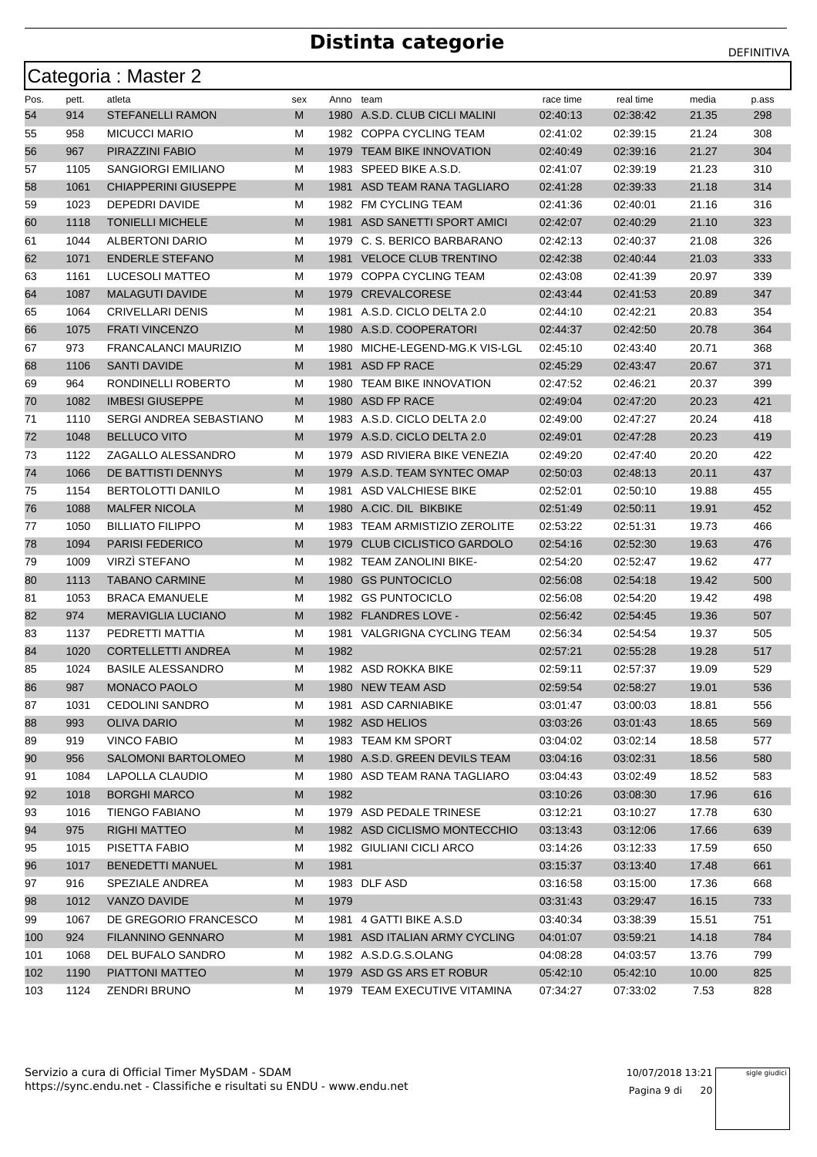|      |       | Categoria: Master 2         |     |      |                                 |           |           |       |       |
|------|-------|-----------------------------|-----|------|---------------------------------|-----------|-----------|-------|-------|
| Pos. | pett. | atleta                      | sex |      | Anno team                       | race time | real time | media | p.ass |
| 54   | 914   | <b>STEFANELLI RAMON</b>     | M   |      | 1980 A.S.D. CLUB CICLI MALINI   | 02:40:13  | 02:38:42  | 21.35 | 298   |
| 55   | 958   | <b>MICUCCI MARIO</b>        | м   |      | 1982 COPPA CYCLING TEAM         | 02:41:02  | 02:39:15  | 21.24 | 308   |
| 56   | 967   | PIRAZZINI FABIO             | M   |      | 1979 TEAM BIKE INNOVATION       | 02:40:49  | 02:39:16  | 21.27 | 304   |
| 57   | 1105  | <b>SANGIORGI EMILIANO</b>   | м   |      | 1983 SPEED BIKE A.S.D.          | 02:41:07  | 02:39:19  | 21.23 | 310   |
| 58   | 1061  | <b>CHIAPPERINI GIUSEPPE</b> | M   | 1981 | ASD TEAM RANA TAGLIARO          | 02:41:28  | 02:39:33  | 21.18 | 314   |
| 59   | 1023  | DEPEDRI DAVIDE              | м   | 1982 | <b>FM CYCLING TEAM</b>          | 02:41:36  | 02:40:01  | 21.16 | 316   |
| 60   | 1118  | <b>TONIELLI MICHELE</b>     | M   | 1981 | ASD SANETTI SPORT AMICI         | 02:42:07  | 02:40:29  | 21.10 | 323   |
| 61   | 1044  | <b>ALBERTONI DARIO</b>      | м   | 1979 | C. S. BERICO BARBARANO          | 02:42:13  | 02:40:37  | 21.08 | 326   |
| 62   | 1071  | <b>ENDERLE STEFANO</b>      | M   | 1981 | <b>VELOCE CLUB TRENTINO</b>     | 02:42:38  | 02:40:44  | 21.03 | 333   |
| 63   | 1161  | LUCESOLI MATTEO             | м   | 1979 | COPPA CYCLING TEAM              | 02:43:08  | 02:41:39  | 20.97 | 339   |
| 64   | 1087  | <b>MALAGUTI DAVIDE</b>      | M   |      | 1979 CREVALCORESE               | 02:43:44  | 02:41:53  | 20.89 | 347   |
| 65   | 1064  | <b>CRIVELLARI DENIS</b>     | М   | 1981 | A.S.D. CICLO DELTA 2.0          | 02:44:10  | 02:42:21  | 20.83 | 354   |
| 66   | 1075  | <b>FRATI VINCENZO</b>       | M   |      | 1980 A.S.D. COOPERATORI         | 02:44:37  | 02:42:50  | 20.78 | 364   |
| 67   | 973   | FRANCALANCI MAURIZIO        | м   |      | 1980 MICHE-LEGEND-MG.K VIS-LGL  | 02:45:10  | 02:43:40  | 20.71 | 368   |
| 68   | 1106  | <b>SANTI DAVIDE</b>         | M   | 1981 | ASD FP RACE                     | 02:45:29  | 02:43:47  | 20.67 | 371   |
| 69   | 964   | RONDINELLI ROBERTO          | м   | 1980 | <b>TEAM BIKE INNOVATION</b>     | 02:47:52  | 02:46:21  | 20.37 | 399   |
| 70   | 1082  | <b>IMBESI GIUSEPPE</b>      | M   |      | 1980 ASD FP RACE                | 02:49:04  | 02:47:20  | 20.23 | 421   |
| 71   | 1110  | SERGI ANDREA SEBASTIANO     | М   |      | 1983 A.S.D. CICLO DELTA 2.0     | 02:49:00  | 02:47:27  | 20.24 | 418   |
| 72   | 1048  | <b>BELLUCO VITO</b>         | M   | 1979 | A.S.D. CICLO DELTA 2.0          | 02:49:01  | 02:47:28  | 20.23 | 419   |
| 73   | 1122  | ZAGALLO ALESSANDRO          | м   | 1979 | ASD RIVIERA BIKE VENEZIA        | 02:49:20  | 02:47:40  | 20.20 | 422   |
| 74   | 1066  | DE BATTISTI DENNYS          | M   | 1979 | A.S.D. TEAM SYNTEC OMAP         | 02:50:03  | 02:48:13  | 20.11 | 437   |
| 75   | 1154  | <b>BERTOLOTTI DANILO</b>    | м   | 1981 | ASD VALCHIESE BIKE              | 02:52:01  | 02:50:10  | 19.88 | 455   |
| 76   | 1088  | <b>MALFER NICOLA</b>        | M   |      | 1980 A.CIC. DIL BIKBIKE         | 02:51:49  | 02:50:11  | 19.91 | 452   |
| 77   | 1050  | <b>BILLIATO FILIPPO</b>     | м   | 1983 | <b>TEAM ARMISTIZIO ZEROLITE</b> | 02:53:22  | 02:51:31  | 19.73 | 466   |
| 78   | 1094  | <b>PARISI FEDERICO</b>      | M   | 1979 | <b>CLUB CICLISTICO GARDOLO</b>  | 02:54:16  | 02:52:30  | 19.63 | 476   |
| 79   | 1009  | <b>VIRZI STEFANO</b>        | м   |      | 1982 TEAM ZANOLINI BIKE-        | 02:54:20  | 02:52:47  | 19.62 | 477   |
| 80   | 1113  | <b>TABANO CARMINE</b>       | M   | 1980 | <b>GS PUNTOCICLO</b>            | 02:56:08  | 02:54:18  | 19.42 | 500   |
| 81   | 1053  | <b>BRACA EMANUELE</b>       | м   |      | 1982 GS PUNTOCICLO              | 02:56:08  | 02:54:20  | 19.42 | 498   |
| 82   | 974   | <b>MERAVIGLIA LUCIANO</b>   | M   |      | 1982 FLANDRES LOVE -            | 02:56:42  | 02:54:45  | 19.36 | 507   |
| 83   | 1137  | PEDRETTI MATTIA             | М   |      | 1981 VALGRIGNA CYCLING TEAM     | 02:56:34  | 02:54:54  | 19.37 | 505   |
| 84   | 1020  | <b>CORTELLETTI ANDREA</b>   | M   | 1982 |                                 | 02:57:21  | 02:55:28  | 19.28 | 517   |
| 85   | 1024  | <b>BASILE ALESSANDRO</b>    | М   |      | 1982 ASD ROKKA BIKE             | 02:59:11  | 02:57:37  | 19.09 | 529   |
| 86   | 987   | MONACO PAOLO                | M   |      | 1980 NEW TEAM ASD               | 02:59:54  | 02:58:27  | 19.01 | 536   |
| 87   | 1031  | <b>CEDOLINI SANDRO</b>      | M   |      | 1981 ASD CARNIABIKE             | 03:01:47  | 03:00:03  | 18.81 | 556   |
| 88   | 993   | <b>OLIVA DARIO</b>          | M   |      | 1982 ASD HELIOS                 | 03:03:26  | 03:01:43  | 18.65 | 569   |
| 89   | 919   | <b>VINCO FABIO</b>          | м   |      | 1983 TEAM KM SPORT              | 03:04:02  | 03:02:14  | 18.58 | 577   |
| 90   | 956   | SALOMONI BARTOLOMEO         | M   |      | 1980 A.S.D. GREEN DEVILS TEAM   | 03:04:16  | 03:02:31  | 18.56 | 580   |
| 91   | 1084  | LAPOLLA CLAUDIO             | м   |      | 1980 ASD TEAM RANA TAGLIARO     | 03:04:43  | 03:02:49  | 18.52 | 583   |
| 92   | 1018  | <b>BORGHI MARCO</b>         | M   | 1982 |                                 | 03:10:26  | 03:08:30  | 17.96 | 616   |
| 93   | 1016  | <b>TIENGO FABIANO</b>       | м   |      | 1979 ASD PEDALE TRINESE         | 03:12:21  | 03:10:27  | 17.78 | 630   |
| 94   | 975   | <b>RIGHI MATTEO</b>         | M   |      | 1982 ASD CICLISMO MONTECCHIO    | 03:13:43  | 03:12:06  | 17.66 | 639   |
| 95   | 1015  | PISETTA FABIO               | м   |      | 1982 GIULIANI CICLI ARCO        | 03:14:26  | 03:12:33  | 17.59 | 650   |
| 96   | 1017  | <b>BENEDETTI MANUEL</b>     | M   | 1981 |                                 | 03:15:37  | 03:13:40  | 17.48 | 661   |
| 97   | 916   | SPEZIALE ANDREA             | М   |      | 1983 DLF ASD                    | 03:16:58  | 03:15:00  | 17.36 | 668   |
| 98   | 1012  | VANZO DAVIDE                | M   | 1979 |                                 | 03:31:43  | 03:29:47  | 16.15 | 733   |
| 99   | 1067  | DE GREGORIO FRANCESCO       | м   |      | 1981 4 GATTI BIKE A.S.D         | 03:40:34  | 03:38:39  | 15.51 | 751   |
| 100  | 924   | FILANNINO GENNARO           | M   |      | 1981 ASD ITALIAN ARMY CYCLING   | 04:01:07  | 03:59:21  | 14.18 | 784   |
| 101  | 1068  | DEL BUFALO SANDRO           | м   |      | 1982 A.S.D.G.S.OLANG            | 04:08:28  | 04:03:57  | 13.76 | 799   |
| 102  | 1190  | PIATTONI MATTEO             | M   |      | 1979 ASD GS ARS ET ROBUR        | 05:42:10  | 05:42:10  | 10.00 | 825   |
| 103  | 1124  | ZENDRI BRUNO                | м   |      | 1979 TEAM EXECUTIVE VITAMINA    | 07:34:27  | 07:33:02  | 7.53  | 828   |

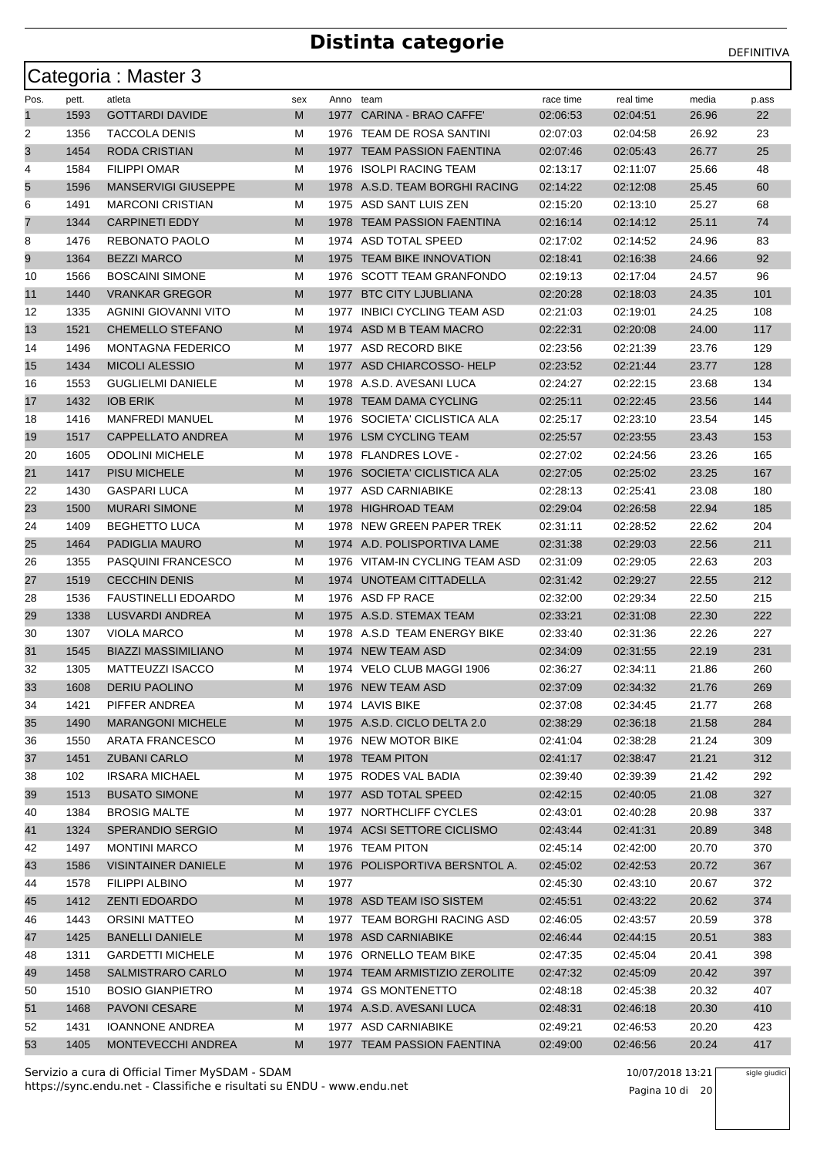|      |       | Categoria: Master 3        |     |           |                                |           |           |       |       |
|------|-------|----------------------------|-----|-----------|--------------------------------|-----------|-----------|-------|-------|
| Pos. | pett. | atleta                     | sex | Anno team |                                | race time | real time | media | p.ass |
| 1    | 1593  | <b>GOTTARDI DAVIDE</b>     | M   |           | 1977 CARINA - BRAO CAFFE'      | 02:06:53  | 02:04:51  | 26.96 | 22    |
| 2    | 1356  | <b>TACCOLA DENIS</b>       | м   |           | 1976 TEAM DE ROSA SANTINI      | 02:07:03  | 02:04:58  | 26.92 | 23    |
| 3    | 1454  | RODA CRISTIAN              | M   |           | 1977 TEAM PASSION FAENTINA     | 02:07:46  | 02:05:43  | 26.77 | 25    |
| 4    | 1584  | <b>FILIPPI OMAR</b>        | М   |           | 1976 ISOLPI RACING TEAM        | 02:13:17  | 02:11:07  | 25.66 | 48    |
| 5    | 1596  | <b>MANSERVIGI GIUSEPPE</b> | M   |           | 1978 A.S.D. TEAM BORGHI RACING | 02:14:22  | 02:12:08  | 25.45 | 60    |
| 6    | 1491  | <b>MARCONI CRISTIAN</b>    | М   |           | 1975 ASD SANT LUIS ZEN         | 02:15:20  | 02:13:10  | 25.27 | 68    |
| 7    | 1344  | <b>CARPINETI EDDY</b>      | M   |           | 1978 TEAM PASSION FAENTINA     | 02:16:14  | 02:14:12  | 25.11 | 74    |
| 8    | 1476  | REBONATO PAOLO             | м   |           | 1974 ASD TOTAL SPEED           | 02:17:02  | 02:14:52  | 24.96 | 83    |
| 9    | 1364  | <b>BEZZI MARCO</b>         | M   | 1975      | <b>TEAM BIKE INNOVATION</b>    | 02:18:41  | 02:16:38  | 24.66 | 92    |
| 10   | 1566  | <b>BOSCAINI SIMONE</b>     | М   |           | 1976 SCOTT TEAM GRANFONDO      | 02:19:13  | 02:17:04  | 24.57 | 96    |
| 11   | 1440  | <b>VRANKAR GREGOR</b>      | M   |           | 1977 BTC CITY LJUBLIANA        | 02:20:28  | 02:18:03  | 24.35 | 101   |
| 12   | 1335  | AGNINI GIOVANNI VITO       | М   | 1977      | <b>INBICI CYCLING TEAM ASD</b> | 02:21:03  | 02:19:01  | 24.25 | 108   |
| 13   | 1521  | <b>CHEMELLO STEFANO</b>    | M   |           | 1974 ASD M B TEAM MACRO        | 02:22:31  | 02:20:08  | 24.00 | 117   |
| 14   | 1496  | <b>MONTAGNA FEDERICO</b>   | м   |           | 1977 ASD RECORD BIKE           | 02:23:56  | 02:21:39  | 23.76 | 129   |
| 15   | 1434  | <b>MICOLI ALESSIO</b>      | M   |           | 1977 ASD CHIARCOSSO-HELP       | 02:23:52  | 02:21:44  | 23.77 | 128   |
| 16   | 1553  | <b>GUGLIELMI DANIELE</b>   | М   |           | 1978 A.S.D. AVESANI LUCA       | 02:24:27  | 02:22:15  | 23.68 | 134   |
| 17   | 1432  | <b>IOB ERIK</b>            | M   |           | 1978 TEAM DAMA CYCLING         | 02:25:11  | 02:22:45  | 23.56 | 144   |
| 18   | 1416  | <b>MANFREDI MANUEL</b>     | М   | 1976      | SOCIETA' CICLISTICA ALA        | 02:25:17  | 02:23:10  | 23.54 | 145   |
| 19   | 1517  | <b>CAPPELLATO ANDREA</b>   | M   |           | 1976 LSM CYCLING TEAM          | 02:25:57  | 02:23:55  | 23.43 | 153   |
| 20   | 1605  | <b>ODOLINI MICHELE</b>     | м   |           | 1978 FLANDRES LOVE -           | 02:27:02  | 02:24:56  | 23.26 | 165   |
| 21   | 1417  | <b>PISU MICHELE</b>        | M   |           | 1976 SOCIETA' CICLISTICA ALA   | 02:27:05  | 02:25:02  | 23.25 | 167   |
| 22   | 1430  | <b>GASPARI LUCA</b>        | М   |           | 1977 ASD CARNIABIKE            | 02:28:13  | 02:25:41  | 23.08 | 180   |
| 23   | 1500  | <b>MURARI SIMONE</b>       | M   |           | 1978 HIGHROAD TEAM             | 02:29:04  | 02:26:58  | 22.94 | 185   |
| 24   | 1409  | <b>BEGHETTO LUCA</b>       | М   | 1978      | NEW GREEN PAPER TREK           | 02:31:11  | 02:28:52  | 22.62 | 204   |
| 25   | 1464  | PADIGLIA MAURO             | M   |           | 1974 A.D. POLISPORTIVA LAME    | 02:31:38  | 02:29:03  | 22.56 | 211   |
| 26   | 1355  | <b>PASQUINI FRANCESCO</b>  | м   |           | 1976 VITAM-IN CYCLING TEAM ASD | 02:31:09  | 02:29:05  | 22.63 | 203   |
| 27   | 1519  | <b>CECCHIN DENIS</b>       | M   |           | 1974 UNOTEAM CITTADELLA        | 02:31:42  | 02:29:27  | 22.55 | 212   |
| 28   | 1536  | <b>FAUSTINELLI EDOARDO</b> | М   |           | 1976 ASD FP RACE               | 02:32:00  | 02:29:34  | 22.50 | 215   |
| 29   | 1338  | LUSVARDI ANDREA            | M   |           | 1975 A.S.D. STEMAX TEAM        | 02:33:21  | 02:31:08  | 22.30 | 222   |
| 30   | 1307  | <b>VIOLA MARCO</b>         | М   |           | 1978 A.S.D TEAM ENERGY BIKE    | 02:33:40  | 02:31:36  | 22.26 | 227   |
| 31   | 1545  | <b>BIAZZI MASSIMILIANO</b> | M   |           | 1974 NEW TEAM ASD              | 02:34:09  | 02:31:55  | 22.19 | 231   |
| 32   | 1305  | <b>MATTEUZZI ISACCO</b>    | м   |           | 1974 VELO CLUB MAGGI 1906      | 02:36:27  | 02:34:11  | 21.86 | 260   |
| 33   | 1608  | DERIU PAOLINO              | M   |           | 1976 NEW TEAM ASD              | 02:37:09  | 02:34:32  | 21.76 | 269   |
| 34   | 1421  | PIFFER ANDREA              | M   |           | 1974 LAVIS BIKE                | 02:37:08  | 02:34:45  | 21.77 | 268   |
| 35   | 1490  | <b>MARANGONI MICHELE</b>   | M   |           | 1975 A.S.D. CICLO DELTA 2.0    | 02:38:29  | 02:36:18  | 21.58 | 284   |
| 36   | 1550  | <b>ARATA FRANCESCO</b>     | М   |           | 1976 NEW MOTOR BIKE            | 02:41:04  | 02:38:28  | 21.24 | 309   |
| 37   | 1451  | <b>ZUBANI CARLO</b>        | M   |           | 1978 TEAM PITON                | 02:41:17  | 02:38:47  | 21.21 | 312   |
| 38   | 102   | <b>IRSARA MICHAEL</b>      | М   |           | 1975 RODES VAL BADIA           | 02:39:40  | 02:39:39  | 21.42 | 292   |
| 39   | 1513  | <b>BUSATO SIMONE</b>       | M   |           | 1977 ASD TOTAL SPEED           | 02:42:15  | 02:40:05  | 21.08 | 327   |
| 40   | 1384  | <b>BROSIG MALTE</b>        | M   |           | 1977 NORTHCLIFF CYCLES         | 02:43:01  | 02:40:28  | 20.98 | 337   |
| 41   | 1324  | <b>SPERANDIO SERGIO</b>    | M   |           | 1974 ACSI SETTORE CICLISMO     | 02:43:44  | 02:41:31  | 20.89 | 348   |
| 42   | 1497  | <b>MONTINI MARCO</b>       | М   |           | 1976 TEAM PITON                | 02:45:14  | 02:42:00  | 20.70 | 370   |
| 43   | 1586  | <b>VISINTAINER DANIELE</b> | M   |           | 1976 POLISPORTIVA BERSNTOL A.  | 02:45:02  | 02:42:53  | 20.72 | 367   |
| 44   | 1578  | FILIPPI ALBINO             | M   | 1977      |                                | 02:45:30  | 02:43:10  | 20.67 | 372   |
| 45   | 1412  | <b>ZENTI EDOARDO</b>       | M   |           | 1978 ASD TEAM ISO SISTEM       | 02:45:51  | 02:43:22  | 20.62 | 374   |
| 46   | 1443  | ORSINI MATTEO              | M   |           | 1977 TEAM BORGHI RACING ASD    | 02:46:05  | 02:43:57  | 20.59 | 378   |
| 47   | 1425  | <b>BANELLI DANIELE</b>     | M   |           | 1978 ASD CARNIABIKE            | 02:46:44  | 02:44:15  | 20.51 | 383   |
| 48   | 1311  | <b>GARDETTI MICHELE</b>    | М   |           | 1976 ORNELLO TEAM BIKE         | 02:47:35  | 02:45:04  | 20.41 | 398   |
| 49   | 1458  | <b>SALMISTRARO CARLO</b>   | M   |           | 1974 TEAM ARMISTIZIO ZEROLITE  | 02:47:32  | 02:45:09  | 20.42 | 397   |
| 50   | 1510  | <b>BOSIO GIANPIETRO</b>    | м   |           | 1974 GS MONTENETTO             | 02:48:18  | 02:45:38  | 20.32 | 407   |
| 51   | 1468  | <b>PAVONI CESARE</b>       | M   |           | 1974 A.S.D. AVESANI LUCA       | 02:48:31  | 02:46:18  | 20.30 | 410   |
| 52   | 1431  | <b>IOANNONE ANDREA</b>     | м   |           | 1977 ASD CARNIABIKE            | 02:49:21  | 02:46:53  | 20.20 | 423   |
| 53   | 1405  | MONTEVECCHI ANDREA         | M   |           | 1977 TEAM PASSION FAENTINA     | 02:49:00  | 02:46:56  | 20.24 | 417   |

https://sync.endu.net - Classifiche e risultati su ENDU - www.endu.net Servizio a cura di Official Timer MySDAM - SDAM 10/07/2018 13:21

Pagina 10 di 20

sigle giudici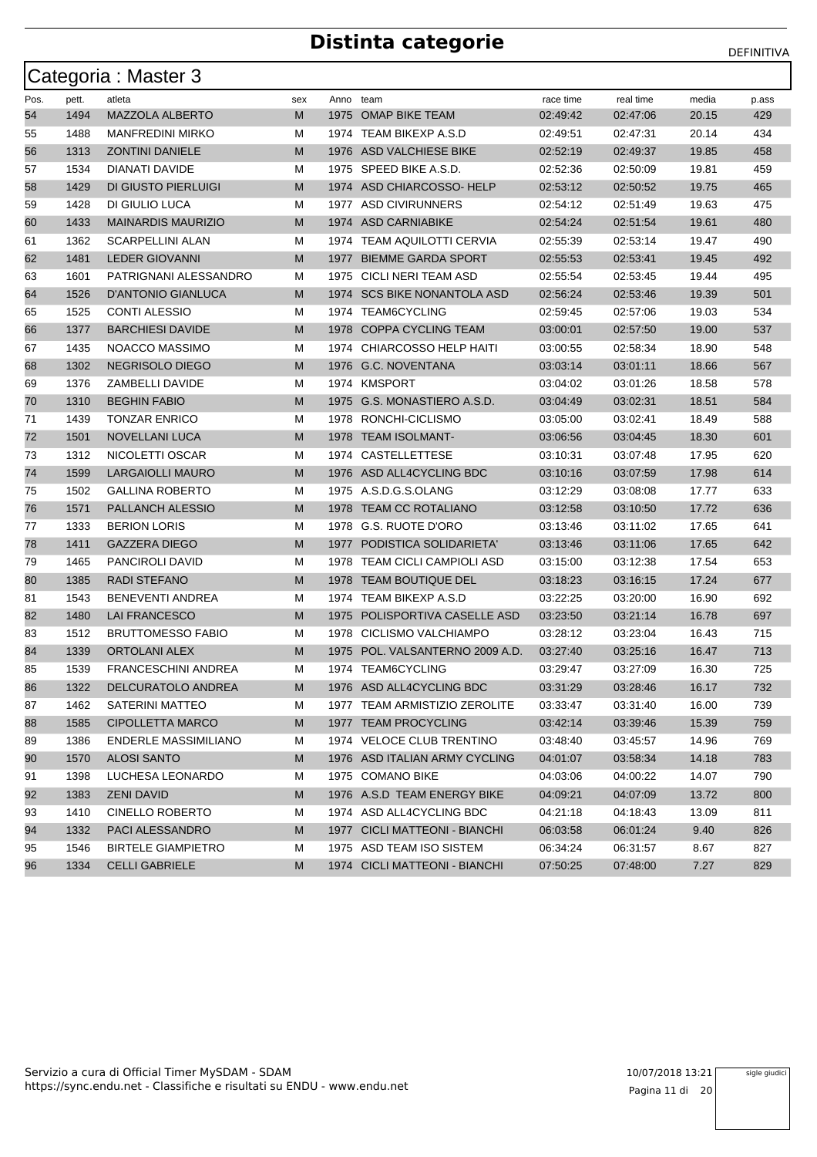|      |       | Categoria: Master 3         |     |      |                               |           |           |       |       |
|------|-------|-----------------------------|-----|------|-------------------------------|-----------|-----------|-------|-------|
| Pos. | pett. | atleta                      | sex |      | Anno team                     | race time | real time | media | p.ass |
| 54   | 1494  | <b>MAZZOLA ALBERTO</b>      | M   |      | 1975 OMAP BIKE TEAM           | 02:49:42  | 02:47:06  | 20.15 | 429   |
| 55   | 1488  | <b>MANFREDINI MIRKO</b>     | м   |      | 1974 TEAM BIKEXP A.S.D        | 02:49:51  | 02:47:31  | 20.14 | 434   |
| 56   | 1313  | <b>ZONTINI DANIELE</b>      | M   |      | 1976 ASD VALCHIESE BIKE       | 02:52:19  | 02:49:37  | 19.85 | 458   |
| 57   | 1534  | DIANATI DAVIDE              | M   |      | 1975 SPEED BIKE A.S.D.        | 02:52:36  | 02:50:09  | 19.81 | 459   |
| 58   | 1429  | DI GIUSTO PIERLUIGI         | M   |      | 1974 ASD CHIARCOSSO-HELP      | 02:53:12  | 02:50:52  | 19.75 | 465   |
| 59   | 1428  | DI GIULIO LUCA              | м   | 1977 | <b>ASD CIVIRUNNERS</b>        | 02:54:12  | 02:51:49  | 19.63 | 475   |
| 60   | 1433  | <b>MAINARDIS MAURIZIO</b>   | M   |      | 1974 ASD CARNIABIKE           | 02:54:24  | 02:51:54  | 19.61 | 480   |
| 61   | 1362  | <b>SCARPELLINI ALAN</b>     | м   |      | 1974 TEAM AQUILOTTI CERVIA    | 02:55:39  | 02:53:14  | 19.47 | 490   |
| 62   | 1481  | <b>LEDER GIOVANNI</b>       | M   | 1977 | <b>BIEMME GARDA SPORT</b>     | 02:55:53  | 02:53:41  | 19.45 | 492   |
| 63   | 1601  | PATRIGNANI ALESSANDRO       | м   |      | 1975 CICLI NERI TEAM ASD      | 02:55:54  | 02:53:45  | 19.44 | 495   |
| 64   | 1526  | D'ANTONIO GIANLUCA          | M   |      | 1974 SCS BIKE NONANTOLA ASD   | 02:56:24  | 02:53:46  | 19.39 | 501   |
| 65   | 1525  | <b>CONTI ALESSIO</b>        | м   | 1974 | <b>TEAM6CYCLING</b>           | 02:59:45  | 02:57:06  | 19.03 | 534   |
| 66   | 1377  | <b>BARCHIESI DAVIDE</b>     | M   | 1978 | COPPA CYCLING TEAM            | 03:00:01  | 02:57:50  | 19.00 | 537   |
| 67   | 1435  | NOACCO MASSIMO              | м   |      | 1974 CHIARCOSSO HELP HAITI    | 03:00:55  | 02:58:34  | 18.90 | 548   |
| 68   | 1302  | NEGRISOLO DIEGO             | M   | 1976 | <b>G.C. NOVENTANA</b>         | 03:03:14  | 03:01:11  | 18.66 | 567   |
| 69   | 1376  | ZAMBELLI DAVIDE             | м   |      | 1974 KMSPORT                  | 03:04:02  | 03:01:26  | 18.58 | 578   |
| 70   | 1310  | <b>BEGHIN FABIO</b>         | M   |      | 1975 G.S. MONASTIERO A.S.D.   | 03:04:49  | 03:02:31  | 18.51 | 584   |
| 71   | 1439  | <b>TONZAR ENRICO</b>        | M   | 1978 | RONCHI-CICLISMO               | 03:05:00  | 03:02:41  | 18.49 | 588   |
| 72   | 1501  | <b>NOVELLANI LUCA</b>       | M   | 1978 | <b>TEAM ISOLMANT-</b>         | 03:06:56  | 03:04:45  | 18.30 | 601   |
| 73   | 1312  | NICOLETTI OSCAR             | м   |      | 1974 CASTELLETTESE            | 03:10:31  | 03:07:48  | 17.95 | 620   |
| 74   | 1599  | <b>LARGAIOLLI MAURO</b>     | M   | 1976 | ASD ALL4CYCLING BDC           | 03:10:16  | 03:07:59  | 17.98 | 614   |
| 75   | 1502  | <b>GALLINA ROBERTO</b>      | м   |      | 1975 A.S.D.G.S.OLANG          | 03:12:29  | 03:08:08  | 17.77 | 633   |
| 76   | 1571  | <b>PALLANCH ALESSIO</b>     | M   |      | 1978 TEAM CC ROTALIANO        | 03:12:58  | 03:10:50  | 17.72 | 636   |
| 77   | 1333  | <b>BERION LORIS</b>         | м   | 1978 | G.S. RUOTE D'ORO              | 03:13:46  | 03:11:02  | 17.65 | 641   |
| 78   | 1411  | <b>GAZZERA DIEGO</b>        | M   | 1977 | PODISTICA SOLIDARIETA'        | 03:13:46  | 03:11:06  | 17.65 | 642   |
| 79   | 1465  | PANCIROLI DAVID             | м   |      | 1978 TEAM CICLI CAMPIOLI ASD  | 03:15:00  | 03:12:38  | 17.54 | 653   |
| 80   | 1385  | <b>RADI STEFANO</b>         | M   | 1978 | <b>TEAM BOUTIQUE DEL</b>      | 03:18:23  | 03:16:15  | 17.24 | 677   |
| 81   | 1543  | <b>BENEVENTI ANDREA</b>     | м   |      | 1974 TEAM BIKEXP A.S.D        | 03:22:25  | 03:20:00  | 16.90 | 692   |
| 82   | 1480  | <b>LAI FRANCESCO</b>        | M   |      | 1975 POLISPORTIVA CASELLE ASD | 03:23:50  | 03:21:14  | 16.78 | 697   |
| 83   | 1512  | <b>BRUTTOMESSO FABIO</b>    | M   | 1978 | <b>CICLISMO VALCHIAMPO</b>    | 03:28:12  | 03:23:04  | 16.43 | 715   |
| 84   | 1339  | <b>ORTOLANI ALEX</b>        | M   | 1975 | POL. VALSANTERNO 2009 A.D.    | 03:27:40  | 03:25:16  | 16.47 | 713   |
| 85   | 1539  | <b>FRANCESCHINI ANDREA</b>  | М   |      | 1974 TEAM6CYCLING             | 03:29:47  | 03:27:09  | 16.30 | 725   |
| 86   | 1322  | DELCURATOLO ANDREA          | M   |      | 1976 ASD ALL4CYCLING BDC      | 03:31:29  | 03:28:46  | 16.17 | 732   |
| 87   | 1462  | <b>SATERINI MATTEO</b>      | м   |      | 1977 TEAM ARMISTIZIO ZEROLITE | 03:33:47  | 03:31:40  | 16.00 | 739   |
| 88   | 1585  | <b>CIPOLLETTA MARCO</b>     | M   |      | 1977 TEAM PROCYCLING          | 03:42:14  | 03:39:46  | 15.39 | 759   |
| 89   | 1386  | <b>ENDERLE MASSIMILIANO</b> | М   |      | 1974 VELOCE CLUB TRENTINO     | 03:48:40  | 03:45:57  | 14.96 | 769   |
| 90   | 1570  | <b>ALOSI SANTO</b>          | M   |      | 1976 ASD ITALIAN ARMY CYCLING | 04:01:07  | 03:58:34  | 14.18 | 783   |
| 91   | 1398  | LUCHESA LEONARDO            | м   |      | 1975 COMANO BIKE              | 04:03:06  | 04:00:22  | 14.07 | 790   |
| 92   | 1383  | <b>ZENI DAVID</b>           | M   |      | 1976 A.S.D TEAM ENERGY BIKE   | 04:09:21  | 04:07:09  | 13.72 | 800   |
| 93   | 1410  | CINELLO ROBERTO             | M   |      | 1974 ASD ALL4CYCLING BDC      | 04:21:18  | 04:18:43  | 13.09 | 811   |
| 94   | 1332  | PACI ALESSANDRO             | M   |      | 1977 CICLI MATTEONI - BIANCHI | 06:03:58  | 06:01:24  | 9.40  | 826   |
| 95   | 1546  | <b>BIRTELE GIAMPIETRO</b>   | м   |      | 1975 ASD TEAM ISO SISTEM      | 06:34:24  | 06:31:57  | 8.67  | 827   |
| 96   | 1334  | <b>CELLI GABRIELE</b>       | M   |      | 1974 CICLI MATTEONI - BIANCHI | 07:50:25  | 07:48:00  | 7.27  | 829   |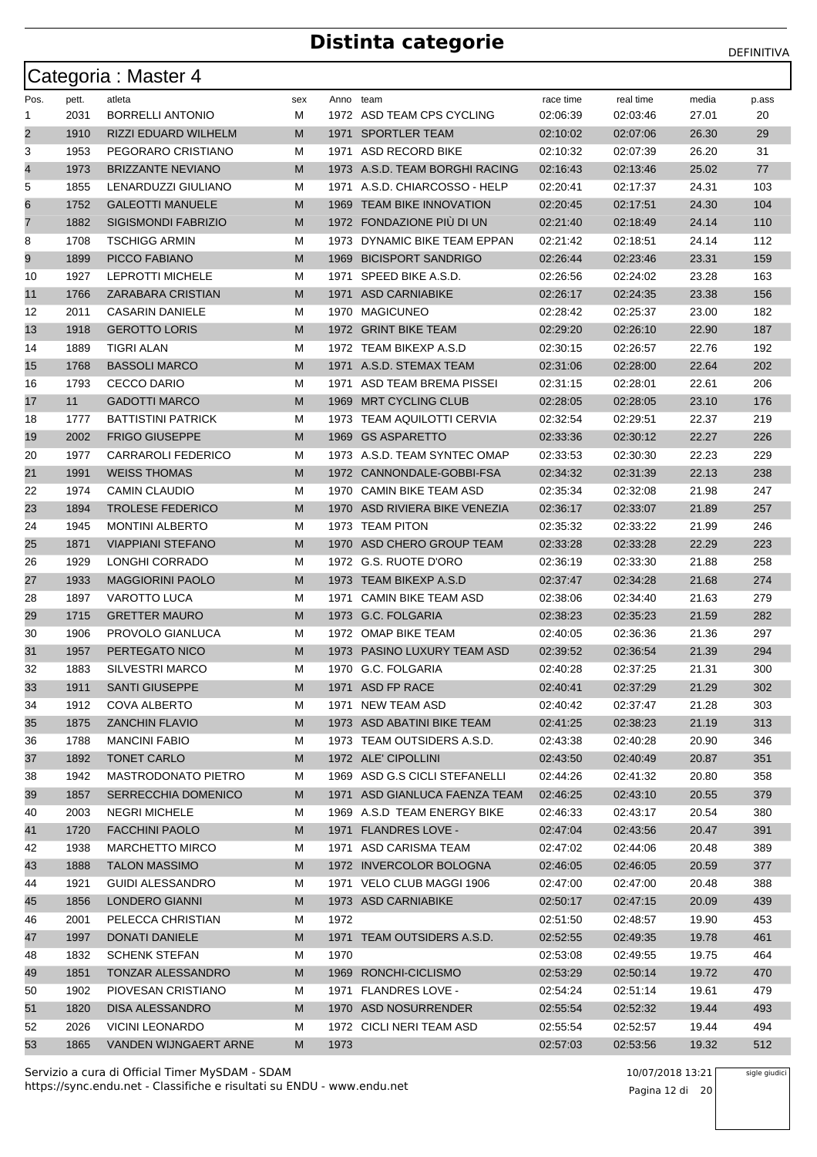|          |              | Categoria: Master 4                        |        |           |                                              |                      |                      |                |            |
|----------|--------------|--------------------------------------------|--------|-----------|----------------------------------------------|----------------------|----------------------|----------------|------------|
| Pos.     | pett.        | atleta                                     | sex    | Anno team |                                              | race time            | real time            | media          | p.ass      |
| 1        | 2031         | <b>BORRELLI ANTONIO</b>                    | М      |           | 1972 ASD TEAM CPS CYCLING                    | 02:06:39             | 02:03:46             | 27.01          | 20         |
| 2        | 1910         | RIZZI EDUARD WILHELM                       | M      |           | 1971 SPORTLER TEAM                           | 02:10:02             | 02:07:06             | 26.30          | 29         |
| 3        | 1953         | PEGORARO CRISTIANO                         | м      | 1971      | ASD RECORD BIKE                              | 02:10:32             | 02:07:39             | 26.20          | 31         |
| 4        | 1973         | <b>BRIZZANTE NEVIANO</b>                   | M      |           | 1973 A.S.D. TEAM BORGHI RACING               | 02:16:43             | 02:13:46             | 25.02          | 77         |
| 5        | 1855         | LENARDUZZI GIULIANO                        | м      | 1971      | A.S.D. CHIARCOSSO - HELP                     | 02:20:41             | 02:17:37             | 24.31          | 103        |
| 6        | 1752         | <b>GALEOTTI MANUELE</b>                    | M      | 1969      | <b>TEAM BIKE INNOVATION</b>                  | 02:20:45             | 02:17:51             | 24.30          | 104        |
| 7        | 1882         | <b>SIGISMONDI FABRIZIO</b>                 | M      |           | 1972 FONDAZIONE PIÙ DI UN                    | 02:21:40             | 02:18:49             | 24.14          | 110        |
| 8        | 1708         | <b>TSCHIGG ARMIN</b>                       | м      |           | 1973 DYNAMIC BIKE TEAM EPPAN                 | 02:21:42             | 02:18:51             | 24.14          | 112        |
| 9        | 1899         | PICCO FABIANO                              | M      | 1969      | <b>BICISPORT SANDRIGO</b>                    | 02.26.44             | 02:23:46             | 23.31          | 159        |
| 10       | 1927         | <b>LEPROTTI MICHELE</b>                    | М      | 1971      | SPEED BIKE A.S.D.                            | 02:26:56             | 02:24:02             | 23.28          | 163        |
| 11       | 1766         | ZARABARA CRISTIAN                          | M      | 1971      | <b>ASD CARNIABIKE</b>                        | 02:26:17             | 02:24:35             | 23.38          | 156        |
| 12       | 2011         | <b>CASARIN DANIELE</b>                     | М      | 1970      | <b>MAGICUNEO</b>                             | 02:28:42             | 02:25:37             | 23.00          | 182        |
| 13       | 1918         | <b>GEROTTO LORIS</b>                       | M      |           | 1972 GRINT BIKE TEAM                         | 02:29:20             | 02:26:10             | 22.90          | 187        |
| 14       | 1889         | TIGRI ALAN                                 | м      |           | 1972 TEAM BIKEXP A.S.D                       | 02:30:15             | 02:26:57             | 22.76          | 192        |
| 15       | 1768         | <b>BASSOLI MARCO</b>                       | M      |           | 1971 A.S.D. STEMAX TEAM                      | 02:31:06             | 02:28:00             | 22.64          | 202        |
| 16       | 1793         | <b>CECCO DARIO</b>                         | м      | 1971      | ASD TEAM BREMA PISSEI                        | 02:31:15             | 02:28:01             | 22.61          | 206        |
| 17       | 11           | <b>GADOTTI MARCO</b>                       | M      | 1969      | <b>MRT CYCLING CLUB</b>                      | 02:28:05             | 02:28:05             | 23.10          | 176        |
| 18       | 1777         | <b>BATTISTINI PATRICK</b>                  | М      | 1973      | <b>TEAM AQUILOTTI CERVIA</b>                 | 02:32:54             | 02:29:51             | 22.37          | 219        |
| 19       | 2002         | <b>FRIGO GIUSEPPE</b>                      | M      | 1969      | <b>GS ASPARETTO</b>                          | 02:33:36             | 02:30:12             | 22.27          | 226        |
| 20       | 1977         | <b>CARRAROLI FEDERICO</b>                  | м      |           | 1973 A.S.D. TEAM SYNTEC OMAP                 | 02:33:53             | 02:30:30             | 22.23          | 229        |
| 21       | 1991         | <b>WEISS THOMAS</b>                        | M      |           | 1972 CANNONDALE-GOBBI-FSA                    | 02:34:32             | 02:31:39             | 22.13          | 238        |
| 22       | 1974         | CAMIN CLAUDIO                              | м      |           | 1970 CAMIN BIKE TEAM ASD                     | 02:35:34             | 02:32:08             | 21.98          | 247        |
| 23       | 1894         | <b>TROLESE FEDERICO</b>                    | M      |           | 1970 ASD RIVIERA BIKE VENEZIA                | 02:36:17             | 02:33:07             | 21.89          | 257        |
| 24       | 1945         | <b>MONTINI ALBERTO</b>                     | М      | 1973      | <b>TEAM PITON</b>                            | 02:35:32             | 02:33:22             | 21.99          | 246        |
| 25       | 1871         | <b>VIAPPIANI STEFANO</b>                   | M      | 1970      | ASD CHERO GROUP TEAM                         | 02:33:28             | 02:33:28             | 22.29          | 223        |
| 26       | 1929         | LONGHI CORRADO                             | м      |           | 1972 G.S. RUOTE D'ORO                        | 02:36:19             | 02:33:30             | 21.88          | 258        |
| 27       | 1933         | <b>MAGGIORINI PAOLO</b>                    | M      |           | 1973 TEAM BIKEXP A.S.D                       | 02:37:47             | 02:34:28             | 21.68          | 274        |
| 28       | 1897         | VAROTTO LUCA                               | м      | 1971      | <b>CAMIN BIKE TEAM ASD</b>                   | 02:38:06             | 02:34:40             | 21.63          | 279        |
| 29       | 1715         | <b>GRETTER MAURO</b>                       | M      |           | 1973 G.C. FOLGARIA                           | 02:38:23             | 02:35:23             | 21.59          | 282        |
| 30       | 1906         | PROVOLO GIANLUCA                           | м      |           | 1972 OMAP BIKE TEAM                          | 02:40:05             | 02:36:36             | 21.36          | 297        |
| 31       | 1957         | PERTEGATO NICO                             | M      |           | 1973 PASINO LUXURY TEAM ASD                  | 02:39:52             | 02:36:54             | 21.39          | 294        |
| 32       | 1883         | <b>SILVESTRI MARCO</b>                     | м      |           | 1970 G.C. FOLGARIA                           | 02:40:28             | 02:37:25             | 21.31          | 300        |
| 33       | 1911         | SANTI GIUSEPPE                             | M      |           | 1971 ASD FP RACE                             | 02:40:41             | 02:37:29             | 21.29          | 302        |
| 34       | 1912         | COVA ALBERTO                               | м      |           | 1971 NEW TEAM ASD                            | 02:40:42             | 02:37:47             | 21.28          | 303        |
| 35       | 1875         | <b>ZANCHIN FLAVIO</b>                      | M      |           | 1973 ASD ABATINI BIKE TEAM                   | 02:41:25             | 02:38:23             | 21.19          | 313        |
| 36       | 1788         | <b>MANCINI FABIO</b>                       | М      |           | 1973 TEAM OUTSIDERS A.S.D.                   | 02:43:38             | 02:40:28             | 20.90          | 346        |
| 37       | 1892         | <b>TONET CARLO</b>                         | M      |           | 1972 ALE' CIPOLLINI                          | 02:43:50             | 02:40:49             | 20.87          | 351        |
| 38       | 1942         | <b>MASTRODONATO PIETRO</b>                 | М      |           | 1969 ASD G.S CICLI STEFANELLI                | 02:44:26             | 02:41:32             | 20.80          | 358        |
| 39       | 1857         | <b>SERRECCHIA DOMENICO</b>                 | M      |           | 1971 ASD GIANLUCA FAENZA TEAM                | 02:46:25             | 02:43:10             | 20.55          | 379        |
| 40       | 2003         | <b>NEGRI MICHELE</b>                       | м      |           | 1969 A.S.D TEAM ENERGY BIKE                  | 02:46:33             | 02:43:17             | 20.54          | 380        |
| 41       | 1720         | <b>FACCHINI PAOLO</b>                      | M      |           | 1971 FLANDRES LOVE -                         | 02:47:04             | 02:43:56             | 20.47          | 391        |
| 42       | 1938         | <b>MARCHETTO MIRCO</b>                     | М      | 1971      | ASD CARISMA TEAM                             | 02:47:02             | 02:44:06             | 20.48          | 389        |
| 43       | 1888         | <b>TALON MASSIMO</b>                       | M      |           | 1972 INVERCOLOR BOLOGNA                      | 02:46:05             | 02:46:05             | 20.59          | 377        |
| 44       | 1921         | GUIDI ALESSANDRO                           | M      |           | 1971 VELO CLUB MAGGI 1906                    | 02:47:00             | 02:47:00             | 20.48          | 388        |
| 45       | 1856         | LONDERO GIANNI                             | M      |           | 1973 ASD CARNIABIKE                          | 02:50:17             | 02:47:15             | 20.09          | 439        |
| 46       | 2001         | PELECCA CHRISTIAN<br><b>DONATI DANIELE</b> | м      | 1972      | 1971 TEAM OUTSIDERS A.S.D.                   | 02:51:50             | 02:48:57             | 19.90          | 453        |
| 47       | 1997         |                                            | M      |           |                                              | 02:52:55             | 02:49:35             | 19.78          | 461        |
| 48       | 1832         | <b>SCHENK STEFAN</b>                       | M      | 1970      |                                              | 02:53:08             | 02:49:55             | 19.75          | 464        |
| 49       | 1851         | <b>TONZAR ALESSANDRO</b>                   | M      |           | 1969 RONCHI-CICLISMO                         | 02:53:29             | 02:50:14             | 19.72          | 470        |
| 50       | 1902<br>1820 | PIOVESAN CRISTIANO<br>DISA ALESSANDRO      | M      |           | 1971 FLANDRES LOVE -<br>1970 ASD NOSURRENDER | 02:54:24             | 02:51:14             | 19.61<br>19.44 | 479        |
| 51<br>52 | 2026         | <b>VICINI LEONARDO</b>                     | M<br>м |           | 1972 CICLI NERI TEAM ASD                     | 02:55:54<br>02:55:54 | 02:52:32<br>02:52:57 | 19.44          | 493<br>494 |
| 53       | 1865         | VANDEN WIJNGAERT ARNE                      | M      | 1973      |                                              | 02:57:03             | 02:53:56             | 19.32          | 512        |
|          |              |                                            |        |           |                                              |                      |                      |                |            |

https://sync.endu.net - Classifiche e risultati su ENDU - www.endu.net Servizio a cura di Official Timer MySDAM - SDAM 10/07/2018 13:21

sigle giudici

Pagina 12 di 20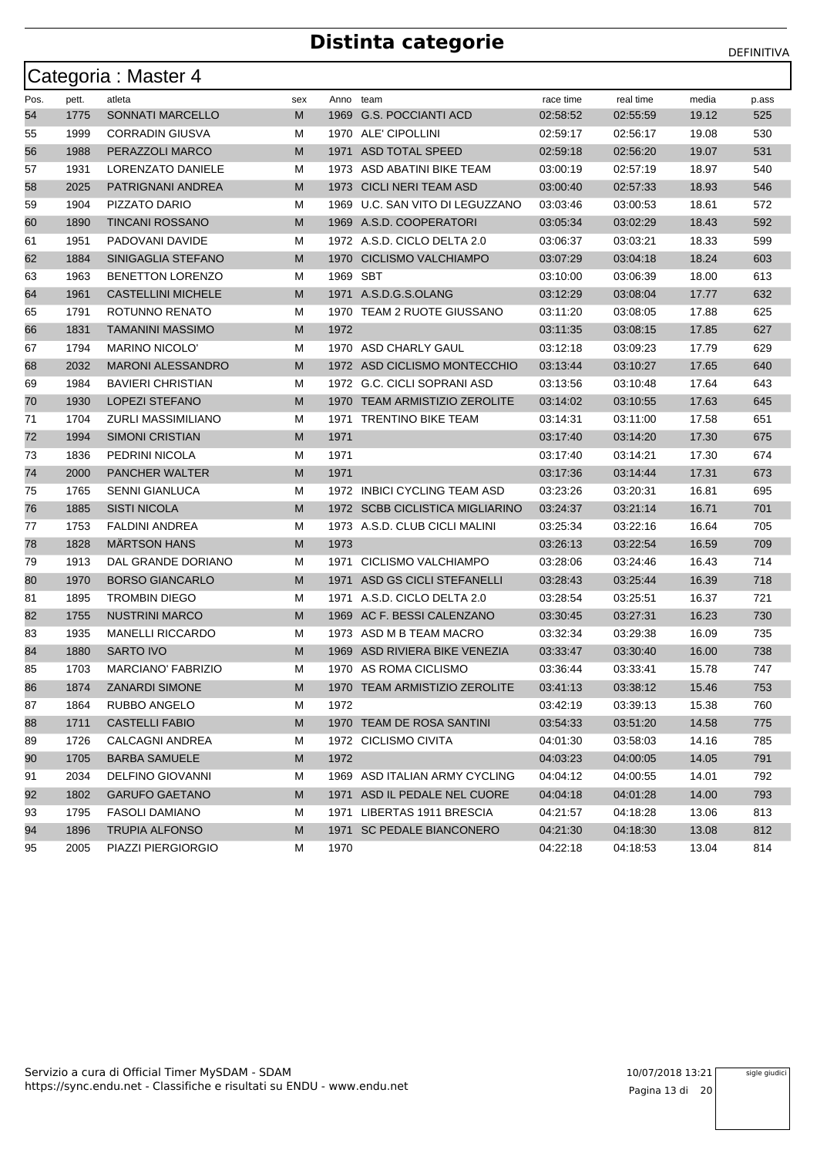|      |       | Categoria : Master 4      |     |           |                                 |           |           |       |       |
|------|-------|---------------------------|-----|-----------|---------------------------------|-----------|-----------|-------|-------|
| Pos. | pett. | atleta                    | sex | Anno team |                                 | race time | real time | media | p.ass |
| 54   | 1775  | <b>SONNATI MARCELLO</b>   | M   |           | 1969 G.S. POCCIANTI ACD         | 02:58:52  | 02:55:59  | 19.12 | 525   |
| 55   | 1999  | <b>CORRADIN GIUSVA</b>    | М   |           | 1970 ALE' CIPOLLINI             | 02:59:17  | 02:56:17  | 19.08 | 530   |
| 56   | 1988  | PERAZZOLI MARCO           | M   | 1971      | ASD TOTAL SPEED                 | 02:59:18  | 02:56:20  | 19.07 | 531   |
| 57   | 1931  | LORENZATO DANIELE         | М   |           | 1973 ASD ABATINI BIKE TEAM      | 03:00:19  | 02:57:19  | 18.97 | 540   |
| 58   | 2025  | PATRIGNANI ANDREA         | M   | 1973      | <b>CICLI NERI TEAM ASD</b>      | 03:00:40  | 02:57:33  | 18.93 | 546   |
| 59   | 1904  | PIZZATO DARIO             | М   | 1969      | U.C. SAN VITO DI LEGUZZANO      | 03:03:46  | 03:00:53  | 18.61 | 572   |
| 60   | 1890  | <b>TINCANI ROSSANO</b>    | M   |           | 1969 A.S.D. COOPERATORI         | 03:05:34  | 03:02:29  | 18.43 | 592   |
| 61   | 1951  | PADOVANI DAVIDE           | М   |           | 1972 A.S.D. CICLO DELTA 2.0     | 03:06:37  | 03:03:21  | 18.33 | 599   |
| 62   | 1884  | SINIGAGLIA STEFANO        | M   |           | 1970 CICLISMO VALCHIAMPO        | 03:07:29  | 03:04:18  | 18.24 | 603   |
| 63   | 1963  | <b>BENETTON LORENZO</b>   | М   | 1969 SBT  |                                 | 03:10:00  | 03:06:39  | 18.00 | 613   |
| 64   | 1961  | <b>CASTELLINI MICHELE</b> | M   |           | 1971 A.S.D.G.S.OLANG            | 03:12:29  | 03:08:04  | 17.77 | 632   |
| 65   | 1791  | ROTUNNO RENATO            | М   |           | 1970 TEAM 2 RUOTE GIUSSANO      | 03:11:20  | 03:08:05  | 17.88 | 625   |
| 66   | 1831  | <b>TAMANINI MASSIMO</b>   | M   | 1972      |                                 | 03:11:35  | 03:08:15  | 17.85 | 627   |
| 67   | 1794  | <b>MARINO NICOLO'</b>     | М   |           | 1970 ASD CHARLY GAUL            | 03:12:18  | 03:09:23  | 17.79 | 629   |
| 68   | 2032  | <b>MARONI ALESSANDRO</b>  | M   |           | 1972 ASD CICLISMO MONTECCHIO    | 03:13:44  | 03:10:27  | 17.65 | 640   |
| 69   | 1984  | <b>BAVIERI CHRISTIAN</b>  | М   |           | 1972 G.C. CICLI SOPRANI ASD     | 03:13:56  | 03:10:48  | 17.64 | 643   |
| 70   | 1930  | <b>LOPEZI STEFANO</b>     | M   |           | 1970 TEAM ARMISTIZIO ZEROLITE   | 03:14:02  | 03:10:55  | 17.63 | 645   |
| 71   | 1704  | <b>ZURLI MASSIMILIANO</b> | М   | 1971      | <b>TRENTINO BIKE TEAM</b>       | 03:14:31  | 03:11:00  | 17.58 | 651   |
| 72   | 1994  | <b>SIMONI CRISTIAN</b>    | M   | 1971      |                                 | 03:17:40  | 03:14:20  | 17.30 | 675   |
| 73   | 1836  | PEDRINI NICOLA            | М   | 1971      |                                 | 03:17:40  | 03:14:21  | 17.30 | 674   |
| 74   | 2000  | <b>PANCHER WALTER</b>     | M   | 1971      |                                 | 03:17:36  | 03:14:44  | 17.31 | 673   |
| 75   | 1765  | <b>SENNI GIANLUCA</b>     | М   |           | 1972 INBICI CYCLING TEAM ASD    | 03:23:26  | 03:20:31  | 16.81 | 695   |
| 76   | 1885  | <b>SISTI NICOLA</b>       | M   |           | 1972 SCBB CICLISTICA MIGLIARINO | 03:24:37  | 03:21:14  | 16.71 | 701   |
| 77   | 1753  | <b>FALDINI ANDREA</b>     | М   |           | 1973 A.S.D. CLUB CICLI MALINI   | 03:25:34  | 03:22:16  | 16.64 | 705   |
| 78   | 1828  | <b>MARTSON HANS</b>       | M   | 1973      |                                 | 03:26:13  | 03:22:54  | 16.59 | 709   |
| 79   | 1913  | DAL GRANDE DORIANO        | М   | 1971      | CICLISMO VALCHIAMPO             | 03:28:06  | 03:24:46  | 16.43 | 714   |
| 80   | 1970  | <b>BORSO GIANCARLO</b>    | M   | 1971      | ASD GS CICLI STEFANELLI         | 03:28:43  | 03:25:44  | 16.39 | 718   |
| 81   | 1895  | <b>TROMBIN DIEGO</b>      | М   | 1971      | A.S.D. CICLO DELTA 2.0          | 03.28.54  | 03:25:51  | 16.37 | 721   |
| 82   | 1755  | <b>NUSTRINI MARCO</b>     | M   |           | 1969 AC F. BESSI CALENZANO      | 03:30:45  | 03:27:31  | 16.23 | 730   |
| 83   | 1935  | <b>MANELLI RICCARDO</b>   | М   |           | 1973 ASD M B TEAM MACRO         | 03:32:34  | 03:29:38  | 16.09 | 735   |
| 84   | 1880  | <b>SARTO IVO</b>          | M   | 1969      | ASD RIVIERA BIKE VENEZIA        | 03:33:47  | 03:30:40  | 16.00 | 738   |
| 85   | 1703  | <b>MARCIANO' FABRIZIO</b> | М   |           | 1970 AS ROMA CICLISMO           | 03:36:44  | 03:33:41  | 15.78 | 747   |
| 86   | 1874  | ZANARDI SIMONE            | M   |           | 1970 TEAM ARMISTIZIO ZEROLITE   | 03:41:13  | 03:38:12  | 15.46 | 753   |
| 87   | 1864  | RUBBO ANGELO              | M   | 1972      |                                 | 03:42:19  | 03:39:13  | 15.38 | 760   |
| 88   | 1711  | <b>CASTELLI FABIO</b>     | M   |           | 1970 TEAM DE ROSA SANTINI       | 03:54:33  | 03:51:20  | 14.58 | 775   |
| 89   | 1726  | CALCAGNI ANDREA           | М   |           | 1972 CICLISMO CIVITA            | 04:01:30  | 03:58:03  | 14.16 | 785   |
| 90   | 1705  | <b>BARBA SAMUELE</b>      | M   | 1972      |                                 | 04:03:23  | 04:00:05  | 14.05 | 791   |
| 91   | 2034  | <b>DELFINO GIOVANNI</b>   | М   |           | 1969 ASD ITALIAN ARMY CYCLING   | 04:04:12  | 04:00:55  | 14.01 | 792   |
| 92   | 1802  | <b>GARUFO GAETANO</b>     | M   |           | 1971 ASD IL PEDALE NEL CUORE    | 04:04:18  | 04:01:28  | 14.00 | 793   |
| 93   | 1795  | <b>FASOLI DAMIANO</b>     | M   |           | 1971 LIBERTAS 1911 BRESCIA      | 04:21:57  | 04:18:28  | 13.06 | 813   |
| 94   | 1896  | <b>TRUPIA ALFONSO</b>     | M   |           | 1971 SC PEDALE BIANCONERO       | 04:21:30  | 04:18:30  | 13.08 | 812   |
| 95   | 2005  | PIAZZI PIERGIORGIO        | М   | 1970      |                                 | 04:22:18  | 04:18:53  | 13.04 | 814   |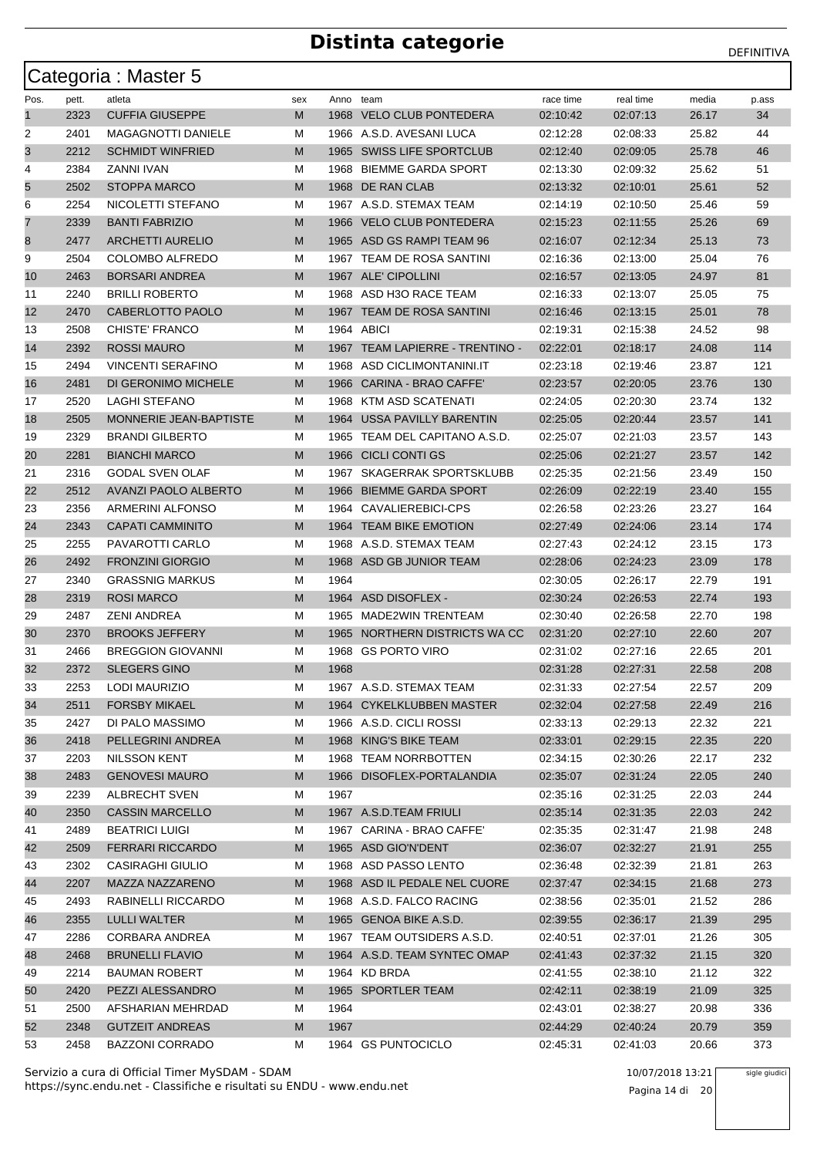|      |       | Categoria: Master 5           |     |           |                                 |           |           |       |       |
|------|-------|-------------------------------|-----|-----------|---------------------------------|-----------|-----------|-------|-------|
| Pos. | pett. | atleta                        | sex | Anno team |                                 | race time | real time | media | p.ass |
| 1    | 2323  | <b>CUFFIA GIUSEPPE</b>        | M   |           | 1968 VELO CLUB PONTEDERA        | 02:10:42  | 02:07:13  | 26.17 | 34    |
| 2    | 2401  | <b>MAGAGNOTTI DANIELE</b>     | М   |           | 1966 A.S.D. AVESANI LUCA        | 02:12:28  | 02:08:33  | 25.82 | 44    |
| 3    | 2212  | <b>SCHMIDT WINFRIED</b>       | М   |           | 1965 SWISS LIFE SPORTCLUB       | 02:12:40  | 02:09:05  | 25.78 | 46    |
| 4    | 2384  | ZANNI IVAN                    | М   | 1968      | BIEMME GARDA SPORT              | 02:13:30  | 02:09:32  | 25.62 | 51    |
| 5    | 2502  | <b>STOPPA MARCO</b>           | М   |           | 1968 DE RAN CLAB                | 02:13:32  | 02:10:01  | 25.61 | 52    |
| 6    | 2254  | NICOLETTI STEFANO             | М   |           | 1967 A.S.D. STEMAX TEAM         | 02:14:19  | 02:10:50  | 25.46 | 59    |
| 7    | 2339  | <b>BANTI FABRIZIO</b>         | М   |           | 1966 VELO CLUB PONTEDERA        | 02:15:23  | 02:11:55  | 25.26 | 69    |
| 8    | 2477  | <b>ARCHETTI AURELIO</b>       | М   |           | 1965 ASD GS RAMPI TEAM 96       | 02:16:07  | 02:12:34  | 25.13 | 73    |
| 9    | 2504  | <b>COLOMBO ALFREDO</b>        | М   | 1967      | TEAM DE ROSA SANTINI            | 02:16:36  | 02:13:00  | 25.04 | 76    |
| 10   | 2463  | <b>BORSARI ANDREA</b>         | М   |           | 1967 ALE' CIPOLLINI             | 02:16:57  | 02:13:05  | 24.97 | 81    |
| 11   | 2240  | <b>BRILLI ROBERTO</b>         | М   |           | 1968 ASD H3O RACE TEAM          | 02:16:33  | 02:13:07  | 25.05 | 75    |
| 12   | 2470  | CABERLOTTO PAOLO              | М   |           | 1967 TEAM DE ROSA SANTINI       | 02:16:46  | 02:13:15  | 25.01 | 78    |
| 13   | 2508  | CHISTE' FRANCO                | М   |           | 1964 ABICI                      | 02:19:31  | 02:15:38  | 24.52 | 98    |
| 14   | 2392  | <b>ROSSI MAURO</b>            | М   |           | 1967 TEAM LAPIERRE - TRENTINO - | 02:22:01  | 02:18:17  | 24.08 | 114   |
| 15   | 2494  | <b>VINCENTI SERAFINO</b>      | М   |           | 1968 ASD CICLIMONTANINI.IT      | 02:23:18  | 02:19:46  | 23.87 | 121   |
| 16   | 2481  | DI GERONIMO MICHELE           | М   | 1966      | CARINA - BRAO CAFFE'            | 02:23:57  | 02:20:05  | 23.76 | 130   |
| 17   | 2520  | LAGHI STEFANO                 | М   |           | 1968 KTM ASD SCATENATI          | 02:24:05  | 02:20:30  | 23.74 | 132   |
| 18   | 2505  | <b>MONNERIE JEAN-BAPTISTE</b> | М   | 1964      | USSA PAVILLY BARENTIN           | 02:25:05  | 02:20:44  | 23.57 | 141   |
| 19   | 2329  | <b>BRANDI GILBERTO</b>        | М   |           | 1965 TEAM DEL CAPITANO A.S.D.   | 02:25:07  | 02:21:03  | 23.57 | 143   |
| 20   | 2281  | <b>BIANCHI MARCO</b>          | М   |           | 1966 CICLI CONTI GS             | 02:25:06  | 02:21:27  | 23.57 | 142   |
| 21   | 2316  | <b>GODAL SVEN OLAF</b>        | М   |           | 1967 SKAGERRAK SPORTSKLUBB      | 02:25:35  | 02:21:56  | 23.49 | 150   |
| 22   | 2512  | AVANZI PAOLO ALBERTO          | М   | 1966      | <b>BIEMME GARDA SPORT</b>       | 02:26:09  | 02:22:19  | 23.40 | 155   |
| 23   | 2356  | ARMERINI ALFONSO              | М   |           | 1964 CAVALIEREBICI-CPS          | 02:26:58  | 02:23:26  | 23.27 | 164   |
| 24   | 2343  | <b>CAPATI CAMMINITO</b>       | М   |           | 1964 TEAM BIKE EMOTION          | 02:27:49  | 02:24:06  | 23.14 | 174   |
| 25   | 2255  | PAVAROTTI CARLO               | М   |           | 1968 A.S.D. STEMAX TEAM         | 02:27:43  | 02:24:12  | 23.15 | 173   |
| 26   | 2492  | <b>FRONZINI GIORGIO</b>       | M   |           | 1968 ASD GB JUNIOR TEAM         | 02:28:06  | 02:24:23  | 23.09 | 178   |
| 27   | 2340  | <b>GRASSNIG MARKUS</b>        | М   | 1964      |                                 | 02:30:05  | 02:26:17  | 22.79 | 191   |
| 28   | 2319  | <b>ROSI MARCO</b>             | М   |           | 1964 ASD DISOFLEX -             | 02:30:24  | 02:26:53  | 22.74 | 193   |
| 29   | 2487  | ZENI ANDREA                   | М   |           | 1965 MADE2WIN TRENTEAM          | 02:30:40  | 02:26:58  | 22.70 | 198   |
| 30   | 2370  | <b>BROOKS JEFFERY</b>         | М   | 1965      | NORTHERN DISTRICTS WA CC        | 02:31:20  | 02:27:10  | 22.60 | 207   |
| 31   | 2466  | <b>BREGGION GIOVANNI</b>      | М   |           | 1968 GS PORTO VIRO              | 02:31:02  | 02:27:16  | 22.65 | 201   |
| 32   | 2372  | <b>SLEGERS GINO</b>           | М   | 1968      |                                 | 02:31:28  | 02:27:31  | 22.58 | 208   |
| 33   | 2253  | LODI MAURIZIO                 | M   |           | 1967 A.S.D. STEMAX TEAM         | 02:31:33  | 02:27:54  | 22.57 | 209   |
| 34   | 2511  | <b>FORSBY MIKAEL</b>          | М   |           | 1964 CYKELKLUBBEN MASTER        | 02:32:04  | 02:27:58  | 22.49 | 216   |
| 35   | 2427  | DI PALO MASSIMO               | М   |           | 1966 A.S.D. CICLI ROSSI         | 02:33:13  | 02:29:13  | 22.32 | 221   |
| 36   | 2418  | PELLEGRINI ANDREA             | M   |           | 1968 KING'S BIKE TEAM           | 02:33:01  | 02:29:15  | 22.35 | 220   |
| 37   | 2203  | NILSSON KENT                  | M   |           | 1968 TEAM NORRBOTTEN            | 02:34:15  | 02:30:26  | 22.17 | 232   |
| 38   | 2483  | <b>GENOVESI MAURO</b>         | M   |           | 1966 DISOFLEX-PORTALANDIA       | 02:35:07  | 02:31:24  | 22.05 | 240   |
| 39   | 2239  | ALBRECHT SVEN                 | М   | 1967      |                                 | 02:35:16  | 02:31:25  | 22.03 | 244   |
| 40   | 2350  | <b>CASSIN MARCELLO</b>        | M   |           | 1967 A.S.D.TEAM FRIULI          | 02:35:14  | 02:31:35  | 22.03 | 242   |
| 41   | 2489  | <b>BEATRICI LUIGI</b>         | M   |           | 1967 CARINA - BRAO CAFFE'       | 02:35:35  | 02:31:47  | 21.98 | 248   |
| 42   | 2509  | <b>FERRARI RICCARDO</b>       | M   |           | 1965 ASD GIO'N'DENT             | 02:36:07  | 02:32:27  | 21.91 | 255   |
| 43   | 2302  | CASIRAGHI GIULIO              | M   |           | 1968 ASD PASSO LENTO            | 02:36:48  | 02:32:39  | 21.81 | 263   |
| 44   | 2207  | MAZZA NAZZARENO               | M   |           | 1968 ASD IL PEDALE NEL CUORE    | 02:37:47  | 02:34:15  | 21.68 | 273   |
| 45   | 2493  | RABINELLI RICCARDO            | M   |           | 1968 A.S.D. FALCO RACING        | 02:38:56  | 02:35:01  | 21.52 | 286   |
| 46   | 2355  | LULLI WALTER                  | М   |           | 1965 GENOA BIKE A.S.D.          | 02:39:55  | 02:36:17  | 21.39 | 295   |
| 47   | 2286  | CORBARA ANDREA                | M   |           | 1967 TEAM OUTSIDERS A.S.D.      | 02:40:51  | 02:37:01  | 21.26 | 305   |
| 48   | 2468  | <b>BRUNELLI FLAVIO</b>        | M   |           | 1964 A.S.D. TEAM SYNTEC OMAP    | 02:41:43  | 02:37:32  | 21.15 | 320   |
| 49   | 2214  | <b>BAUMAN ROBERT</b>          | М   |           | 1964 KD BRDA                    | 02:41:55  | 02:38:10  | 21.12 | 322   |
| 50   | 2420  | PEZZI ALESSANDRO              | M   |           | 1965 SPORTLER TEAM              | 02:42:11  | 02:38:19  | 21.09 | 325   |
| 51   | 2500  | AFSHARIAN MEHRDAD             | м   | 1964      |                                 | 02:43:01  | 02:38:27  | 20.98 | 336   |
| 52   | 2348  | <b>GUTZEIT ANDREAS</b>        | М   | 1967      |                                 | 02:44:29  | 02:40:24  | 20.79 | 359   |
| 53   | 2458  | <b>BAZZONI CORRADO</b>        | м   |           | 1964 GS PUNTOCICLO              | 02:45:31  | 02:41:03  | 20.66 | 373   |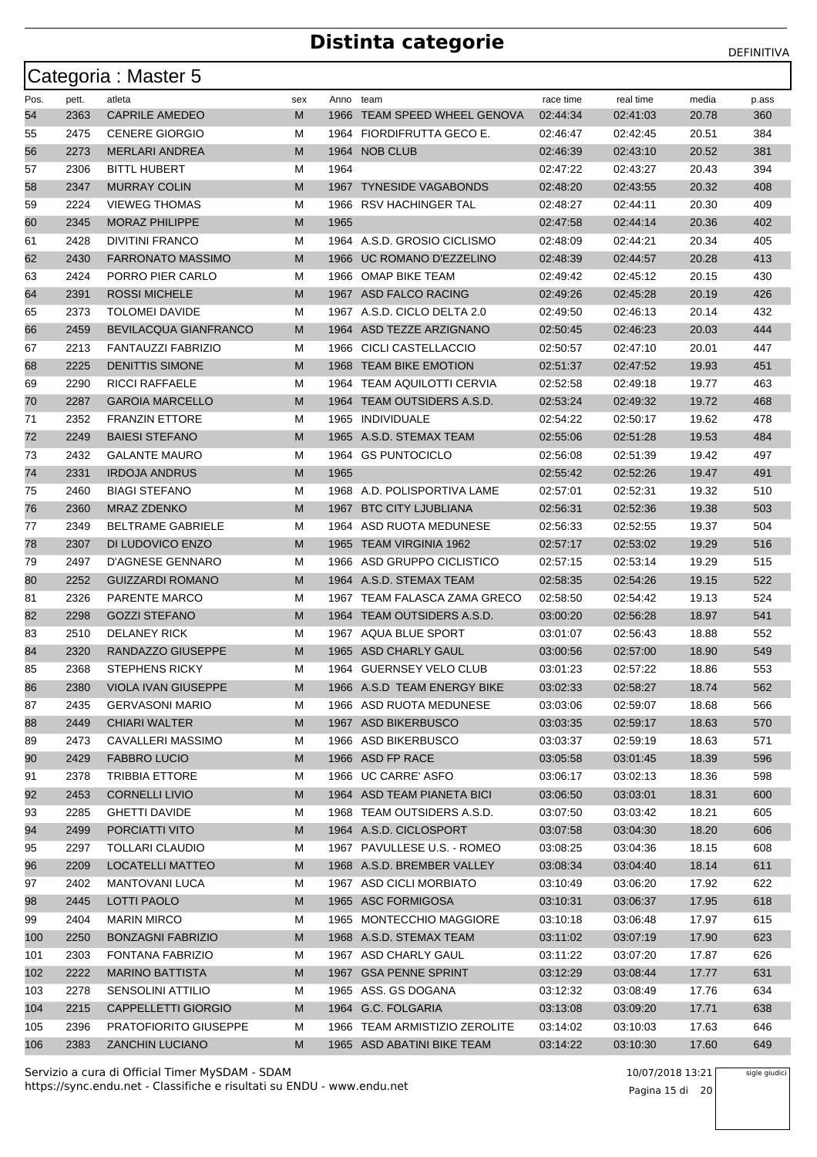|      |       | Categoria: Master 5          |     |           |                               |           |           |       |       |
|------|-------|------------------------------|-----|-----------|-------------------------------|-----------|-----------|-------|-------|
| Pos. | pett. | atleta                       | sex | Anno team |                               | race time | real time | media | p.ass |
| 54   | 2363  | <b>CAPRILE AMEDEO</b>        | M   | 1966      | TEAM SPEED WHEEL GENOVA       | 02:44:34  | 02:41:03  | 20.78 | 360   |
| 55   | 2475  | <b>CENERE GIORGIO</b>        | М   |           | 1964 FIORDIFRUTTA GECO E.     | 02:46:47  | 02:42:45  | 20.51 | 384   |
| 56   | 2273  | <b>MERLARI ANDREA</b>        | M   |           | 1964 NOB CLUB                 | 02:46:39  | 02:43:10  | 20.52 | 381   |
| 57   | 2306  | <b>BITTL HUBERT</b>          | м   | 1964      |                               | 02:47:22  | 02:43:27  | 20.43 | 394   |
| 58   | 2347  | <b>MURRAY COLIN</b>          | M   |           | 1967 TYNESIDE VAGABONDS       | 02:48:20  | 02:43:55  | 20.32 | 408   |
| 59   | 2224  | <b>VIEWEG THOMAS</b>         | м   |           | 1966 RSV HACHINGER TAL        | 02:48:27  | 02:44:11  | 20.30 | 409   |
| 60   | 2345  | <b>MORAZ PHILIPPE</b>        | M   | 1965      |                               | 02:47:58  | 02:44:14  | 20.36 | 402   |
| 61   | 2428  | <b>DIVITINI FRANCO</b>       | М   |           | 1964 A.S.D. GROSIO CICLISMO   | 02:48:09  | 02:44:21  | 20.34 | 405   |
| 62   | 2430  | <b>FARRONATO MASSIMO</b>     | M   |           | 1966 UC ROMANO D'EZZELINO     | 02:48:39  | 02:44:57  | 20.28 | 413   |
| 63   | 2424  | PORRO PIER CARLO             | М   |           | 1966 OMAP BIKE TEAM           | 02:49:42  | 02:45:12  | 20.15 | 430   |
| 64   | 2391  | <b>ROSSI MICHELE</b>         | M   |           | 1967 ASD FALCO RACING         | 02:49:26  | 02:45:28  | 20.19 | 426   |
| 65   | 2373  | <b>TOLOMEI DAVIDE</b>        | М   |           | 1967 A.S.D. CICLO DELTA 2.0   | 02:49:50  | 02:46:13  | 20.14 | 432   |
| 66   | 2459  | <b>BEVILACQUA GIANFRANCO</b> | M   |           | 1964 ASD TEZZE ARZIGNANO      | 02:50:45  | 02:46:23  | 20.03 | 444   |
| 67   | 2213  | FANTAUZZI FABRIZIO           | м   |           | 1966 CICLI CASTELLACCIO       | 02:50:57  | 02:47:10  | 20.01 | 447   |
| 68   | 2225  | <b>DENITTIS SIMONE</b>       | M   | 1968      | <b>TEAM BIKE EMOTION</b>      | 02:51:37  | 02:47:52  | 19.93 | 451   |
| 69   | 2290  | RICCI RAFFAELE               | м   |           | 1964 TEAM AQUILOTTI CERVIA    | 02:52:58  | 02:49:18  | 19.77 | 463   |
| 70   | 2287  | <b>GAROIA MARCELLO</b>       | M   |           | 1964 TEAM OUTSIDERS A.S.D.    | 02:53:24  | 02:49:32  | 19.72 | 468   |
| 71   | 2352  | <b>FRANZIN ETTORE</b>        | М   | 1965      | INDIVIDUALE                   | 02:54:22  | 02:50:17  | 19.62 | 478   |
| 72   | 2249  | <b>BAIESI STEFANO</b>        | M   |           | 1965 A.S.D. STEMAX TEAM       | 02:55:06  | 02:51:28  | 19.53 | 484   |
| 73   | 2432  | <b>GALANTE MAURO</b>         | м   |           | 1964 GS PUNTOCICLO            | 02:56:08  | 02:51:39  | 19.42 | 497   |
| 74   | 2331  | <b>IRDOJA ANDRUS</b>         | M   | 1965      |                               | 02:55:42  | 02:52:26  | 19.47 | 491   |
| 75   | 2460  | <b>BIAGI STEFANO</b>         | М   |           | 1968 A.D. POLISPORTIVA LAME   | 02:57:01  | 02:52:31  | 19.32 | 510   |
| 76   | 2360  | <b>MRAZ ZDENKO</b>           | M   | 1967      | <b>BTC CITY LJUBLIANA</b>     | 02:56:31  | 02:52:36  | 19.38 | 503   |
| 77   | 2349  | BELTRAME GABRIELE            | М   | 1964      | ASD RUOTA MEDUNESE            | 02:56:33  | 02:52:55  | 19.37 | 504   |
| 78   | 2307  | DI LUDOVICO ENZO             | M   |           | 1965 TEAM VIRGINIA 1962       | 02:57:17  | 02:53:02  | 19.29 | 516   |
| 79   | 2497  | D'AGNESE GENNARO             | м   |           | 1966 ASD GRUPPO CICLISTICO    | 02:57:15  | 02:53:14  | 19.29 | 515   |
| 80   | 2252  | <b>GUIZZARDI ROMANO</b>      | M   |           | 1964 A.S.D. STEMAX TEAM       | 02:58:35  | 02:54:26  | 19.15 | 522   |
| 81   | 2326  | PARENTE MARCO                | м   |           | 1967 TEAM FALASCA ZAMA GRECO  | 02:58:50  | 02:54:42  | 19.13 | 524   |
| 82   | 2298  | <b>GOZZI STEFANO</b>         | M   |           | 1964 TEAM OUTSIDERS A.S.D.    | 03:00:20  | 02:56:28  | 18.97 | 541   |
| 83   | 2510  | <b>DELANEY RICK</b>          | М   |           | 1967 AQUA BLUE SPORT          | 03:01:07  | 02:56:43  | 18.88 | 552   |
| 84   | 2320  | RANDAZZO GIUSEPPE            | M   |           | 1965 ASD CHARLY GAUL          | 03:00:56  | 02:57:00  | 18.90 | 549   |
| 85   | 2368  | <b>STEPHENS RICKY</b>        | м   |           | 1964 GUERNSEY VELO CLUB       | 03:01:23  | 02:57:22  | 18.86 | 553   |
| 86   | 2380  | VIOLA IVAN GIUSEPPE          | M   |           | 1966 A.S.D TEAM ENERGY BIKE   | 03:02:33  | 02:58:27  | 18.74 | 562   |
| 87   | 2435  | <b>GERVASONI MARIO</b>       | м   |           | 1966 ASD RUOTA MEDUNESE       | 03:03:06  | 02:59:07  | 18.68 | 566   |
| 88   | 2449  | <b>CHIARI WALTER</b>         | M   |           | 1967 ASD BIKERBUSCO           | 03:03:35  | 02:59:17  | 18.63 | 570   |
| 89   | 2473  | CAVALLERI MASSIMO            | М   |           | 1966 ASD BIKERBUSCO           | 03:03:37  | 02:59:19  | 18.63 | 571   |
| 90   | 2429  | <b>FABBRO LUCIO</b>          | M   |           | 1966 ASD FP RACE              | 03:05:58  | 03:01:45  | 18.39 | 596   |
| 91   | 2378  | <b>TRIBBIA ETTORE</b>        | M   |           | 1966 UC CARRE' ASFO           | 03:06:17  | 03:02:13  | 18.36 | 598   |
| 92   | 2453  | <b>CORNELLI LIVIO</b>        | M   |           | 1964 ASD TEAM PIANETA BICI    | 03:06:50  | 03:03:01  | 18.31 | 600   |
| 93   | 2285  | <b>GHETTI DAVIDE</b>         | M   |           | 1968 TEAM OUTSIDERS A.S.D.    | 03:07:50  | 03:03:42  | 18.21 | 605   |
| 94   | 2499  | PORCIATTI VITO               | M   |           | 1964 A.S.D. CICLOSPORT        | 03:07:58  | 03:04:30  | 18.20 | 606   |
| 95   | 2297  | <b>TOLLARI CLAUDIO</b>       | М   |           | 1967 PAVULLESE U.S. - ROMEO   | 03:08:25  | 03:04:36  | 18.15 | 608   |
| 96   | 2209  | <b>LOCATELLI MATTEO</b>      | M   |           | 1968 A.S.D. BREMBER VALLEY    | 03:08:34  | 03:04:40  | 18.14 | 611   |
| 97   | 2402  | <b>MANTOVANI LUCA</b>        | M   |           | 1967 ASD CICLI MORBIATO       | 03:10:49  | 03:06:20  | 17.92 | 622   |
| 98   | 2445  | <b>LOTTI PAOLO</b>           | M   |           | 1965 ASC FORMIGOSA            | 03:10:31  | 03:06:37  | 17.95 | 618   |
| 99   | 2404  | <b>MARIN MIRCO</b>           | м   |           | 1965 MONTECCHIO MAGGIORE      | 03:10:18  | 03:06:48  | 17.97 | 615   |
| 100  | 2250  | <b>BONZAGNI FABRIZIO</b>     | M   |           | 1968 A.S.D. STEMAX TEAM       | 03:11:02  | 03:07:19  | 17.90 | 623   |
| 101  | 2303  | FONTANA FABRIZIO             | М   |           | 1967 ASD CHARLY GAUL          | 03:11:22  | 03:07:20  | 17.87 | 626   |
| 102  | 2222  | <b>MARINO BATTISTA</b>       | M   |           | 1967 GSA PENNE SPRINT         | 03:12:29  | 03:08:44  | 17.77 | 631   |
| 103  | 2278  | SENSOLINI ATTILIO            | М   |           | 1965 ASS. GS DOGANA           | 03:12:32  | 03:08:49  | 17.76 | 634   |
| 104  | 2215  | <b>CAPPELLETTI GIORGIO</b>   | M   |           | 1964 G.C. FOLGARIA            | 03:13:08  | 03:09:20  | 17.71 | 638   |
| 105  | 2396  | <b>PRATOFIORITO GIUSEPPE</b> | м   |           | 1966 TEAM ARMISTIZIO ZEROLITE | 03:14:02  | 03:10:03  | 17.63 | 646   |
| 106  | 2383  | <b>ZANCHIN LUCIANO</b>       | M   |           | 1965 ASD ABATINI BIKE TEAM    | 03:14:22  | 03:10:30  | 17.60 | 649   |

sigle giudici

Pagina 15 di 20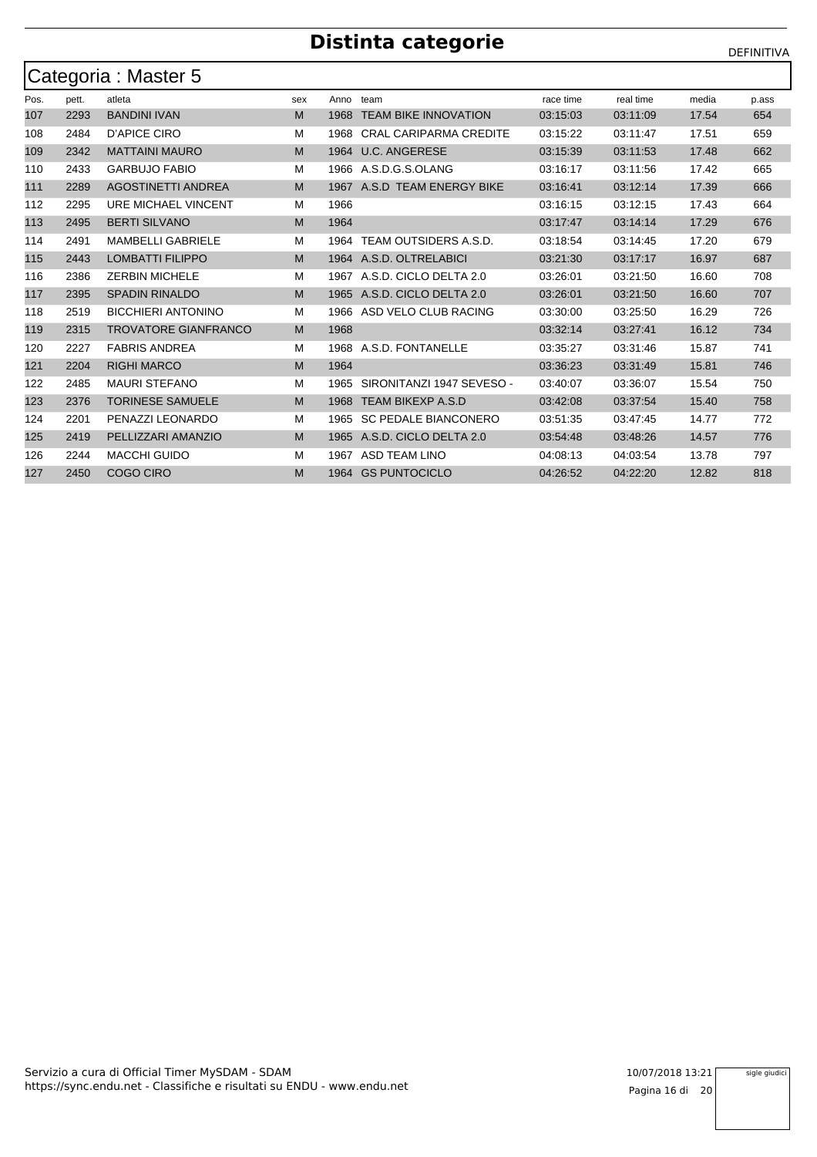|      | Categoria: Master 5 |                             |     |      |                               |           |           |       |       |  |  |  |  |
|------|---------------------|-----------------------------|-----|------|-------------------------------|-----------|-----------|-------|-------|--|--|--|--|
| Pos. | pett.               | atleta                      | sex | Anno | team                          | race time | real time | media | p.ass |  |  |  |  |
| 107  | 2293                | <b>BANDINI IVAN</b>         | M   | 1968 | <b>TEAM BIKE INNOVATION</b>   | 03:15:03  | 03:11:09  | 17.54 | 654   |  |  |  |  |
| 108  | 2484                | D'APICE CIRO                | м   | 1968 | <b>CRAL CARIPARMA CREDITE</b> | 03:15:22  | 03:11:47  | 17.51 | 659   |  |  |  |  |
| 109  | 2342                | <b>MATTAINI MAURO</b>       | M   | 1964 | <b>U.C. ANGERESE</b>          | 03:15:39  | 03:11:53  | 17.48 | 662   |  |  |  |  |
| 110  | 2433                | <b>GARBUJO FABIO</b>        | м   | 1966 | A.S.D.G.S.OLANG               | 03:16:17  | 03:11:56  | 17.42 | 665   |  |  |  |  |
| 111  | 2289                | <b>AGOSTINETTI ANDREA</b>   | M   | 1967 | A.S.D TEAM ENERGY BIKE        | 03:16:41  | 03:12:14  | 17.39 | 666   |  |  |  |  |
| 112  | 2295                | URE MICHAEL VINCENT         | M   | 1966 |                               | 03:16:15  | 03:12:15  | 17.43 | 664   |  |  |  |  |
| 113  | 2495                | <b>BERTI SILVANO</b>        | M   | 1964 |                               | 03:17:47  | 03:14:14  | 17.29 | 676   |  |  |  |  |
| 114  | 2491                | <b>MAMBELLI GABRIELE</b>    | м   | 1964 | TEAM OUTSIDERS A.S.D.         | 03:18:54  | 03:14:45  | 17.20 | 679   |  |  |  |  |
| 115  | 2443                | <b>LOMBATTI FILIPPO</b>     | M   | 1964 | A.S.D. OLTRELABICI            | 03:21:30  | 03:17:17  | 16.97 | 687   |  |  |  |  |
| 116  | 2386                | <b>ZERBIN MICHELE</b>       | M   | 1967 | A.S.D. CICLO DELTA 2.0        | 03:26:01  | 03:21:50  | 16.60 | 708   |  |  |  |  |
| 117  | 2395                | <b>SPADIN RINALDO</b>       | M   | 1965 | A.S.D. CICLO DELTA 2.0        | 03:26:01  | 03:21:50  | 16.60 | 707   |  |  |  |  |
| 118  | 2519                | <b>BICCHIERI ANTONINO</b>   | м   | 1966 | ASD VELO CLUB RACING          | 03:30:00  | 03:25:50  | 16.29 | 726   |  |  |  |  |
| 119  | 2315                | <b>TROVATORE GIANFRANCO</b> | M   | 1968 |                               | 03:32:14  | 03:27:41  | 16.12 | 734   |  |  |  |  |
| 120  | 2227                | <b>FABRIS ANDREA</b>        | м   | 1968 | A.S.D. FONTANELLE             | 03:35:27  | 03:31:46  | 15.87 | 741   |  |  |  |  |
| 121  | 2204                | <b>RIGHI MARCO</b>          | M   | 1964 |                               | 03:36:23  | 03:31:49  | 15.81 | 746   |  |  |  |  |
| 122  | 2485                | <b>MAURI STEFANO</b>        | M   | 1965 | SIRONITANZI 1947 SEVESO -     | 03:40:07  | 03:36:07  | 15.54 | 750   |  |  |  |  |
| 123  | 2376                | <b>TORINESE SAMUELE</b>     | M   | 1968 | <b>TEAM BIKEXP A.S.D</b>      | 03:42:08  | 03:37:54  | 15.40 | 758   |  |  |  |  |
| 124  | 2201                | PENAZZI LEONARDO            | м   | 1965 | <b>SC PEDALE BIANCONERO</b>   | 03:51:35  | 03:47:45  | 14.77 | 772   |  |  |  |  |
| 125  | 2419                | PELLIZZARI AMANZIO          | M   | 1965 | A.S.D. CICLO DELTA 2.0        | 03:54:48  | 03:48:26  | 14.57 | 776   |  |  |  |  |
| 126  | 2244                | <b>MACCHI GUIDO</b>         | M   | 1967 | <b>ASD TEAM LINO</b>          | 04:08:13  | 04:03:54  | 13.78 | 797   |  |  |  |  |
| 127  | 2450                | <b>COGO CIRO</b>            | M   | 1964 | <b>GS PUNTOCICLO</b>          | 04:26:52  | 04:22:20  | 12.82 | 818   |  |  |  |  |

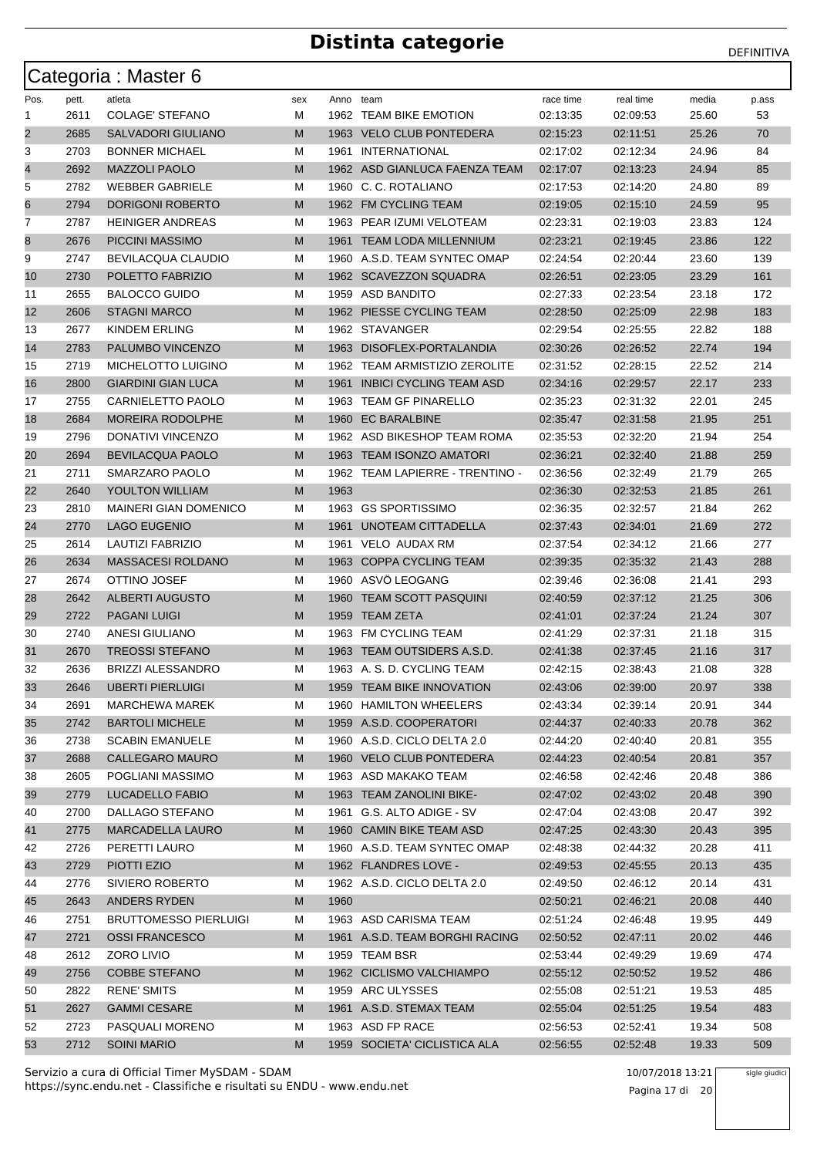|                |              | Categoria: Master 6                   |        |           |                                                  |                      |                      |                |            |
|----------------|--------------|---------------------------------------|--------|-----------|--------------------------------------------------|----------------------|----------------------|----------------|------------|
| Pos.           | pett.        | atleta                                | sex    | Anno team |                                                  | race time            | real time            | media          | p.ass      |
| 1              | 2611         | <b>COLAGE' STEFANO</b>                | М      |           | 1962 TEAM BIKE EMOTION                           | 02:13:35             | 02:09:53             | 25.60          | 53         |
| $\overline{2}$ | 2685         | <b>SALVADORI GIULIANO</b>             | М      |           | 1963 VELO CLUB PONTEDERA                         | 02:15:23             | 02:11:51             | 25.26          | 70         |
| 3              | 2703         | <b>BONNER MICHAEL</b>                 | М      |           | 1961 INTERNATIONAL                               | 02:17:02             | 02:12:34             | 24.96          | 84         |
| 4              | 2692         | <b>MAZZOLI PAOLO</b>                  | М      |           | 1962 ASD GIANLUCA FAENZA TEAM                    | 02:17:07             | 02:13:23             | 24.94          | 85         |
| 5              | 2782         | <b>WEBBER GABRIELE</b>                | М      |           | 1960 C. C. ROTALIANO                             | 02:17:53             | 02:14:20             | 24.80          | 89         |
| 6              | 2794         | <b>DORIGONI ROBERTO</b>               | М      |           | 1962 FM CYCLING TEAM                             | 02:19:05             | 02:15:10             | 24.59          | 95         |
| 7              | 2787         | <b>HEINIGER ANDREAS</b>               | М      |           | 1963 PEAR IZUMI VELOTEAM                         | 02:23:31             | 02:19:03             | 23.83          | 124        |
| 8              | 2676         | PICCINI MASSIMO                       | M      |           | 1961 TEAM LODA MILLENNIUM                        | 02:23:21             | 02:19:45             | 23.86          | 122        |
| 9              | 2747         | <b>BEVILACQUA CLAUDIO</b>             | М      |           | 1960 A.S.D. TEAM SYNTEC OMAP                     | 02:24:54             | 02:20:44             | 23.60          | 139        |
| 10             | 2730         | POLETTO FABRIZIO                      | М      |           | 1962 SCAVEZZON SQUADRA                           | 02:26:51             | 02:23:05             | 23.29          | 161        |
| 11             | 2655         | <b>BALOCCO GUIDO</b>                  | М      |           | 1959 ASD BANDITO                                 | 02:27:33             | 02:23:54             | 23.18          | 172        |
| 12             | 2606         | <b>STAGNI MARCO</b>                   | М      |           | 1962 PIESSE CYCLING TEAM                         | 02:28:50             | 02:25:09             | 22.98          | 183        |
| 13             | 2677         | KINDEM ERLING                         | М      |           | 1962 STAVANGER                                   | 02:29:54             | 02:25:55             | 22.82          | 188        |
| 14             | 2783         | PALUMBO VINCENZO                      | M      |           | 1963 DISOFLEX-PORTALANDIA                        | 02:30:26             | 02:26:52             | 22.74          | 194        |
| 15             | 2719         | <b>MICHELOTTO LUIGINO</b>             | М      |           | 1962 TEAM ARMISTIZIO ZEROLITE                    | 02:31:52             | 02:28:15             | 22.52          | 214        |
| 16             | 2800         | <b>GIARDINI GIAN LUCA</b>             | М      |           | 1961 INBICI CYCLING TEAM ASD                     | 02:34:16             | 02:29:57             | 22.17          | 233        |
| 17             | 2755         | <b>CARNIELETTO PAOLO</b>              | М      |           | 1963 TEAM GF PINARELLO                           | 02:35:23             | 02:31:32             | 22.01          | 245        |
| 18             | 2684         | <b>MOREIRA RODOLPHE</b>               | М      | 1960      | <b>EC BARALBINE</b>                              | 02:35:47             | 02:31:58             | 21.95          | 251        |
| 19             | 2796         | DONATIVI VINCENZO                     | М      |           | 1962 ASD BIKESHOP TEAM ROMA                      | 02:35:53             | 02:32:20             | 21.94          | 254        |
| 20             | 2694         | <b>BEVILACQUA PAOLO</b>               | M      |           | 1963 TEAM ISONZO AMATORI                         | 02:36:21             | 02:32:40             | 21.88          | 259        |
| 21             | 2711         | SMARZARO PAOLO                        | М      |           | 1962 TEAM LAPIERRE - TRENTINO -                  | 02:36:56             | 02:32:49             | 21.79          | 265        |
| 22             | 2640         | <b>YOULTON WILLIAM</b>                | М      | 1963      |                                                  | 02:36:30             | 02:32:53             | 21.85          | 261        |
| 23             | 2810         | <b>MAINERI GIAN DOMENICO</b>          | М      |           | 1963 GS SPORTISSIMO                              | 02:36:35             | 02:32:57             | 21.84          | 262        |
| 24             | 2770         | <b>LAGO EUGENIO</b>                   | М      | 1961      | UNOTEAM CITTADELLA                               | 02:37:43             | 02:34:01             | 21.69          | 272        |
| 25             | 2614         | LAUTIZI FABRIZIO                      | М      |           | 1961 VELO AUDAX RM                               | 02:37:54             | 02:34:12             | 21.66          | 277        |
| 26             | 2634         | <b>MASSACESI ROLDANO</b>              | М      |           | 1963 COPPA CYCLING TEAM                          | 02:39:35             | 02:35:32             | 21.43          | 288        |
| 27             | 2674         | OTTINO JOSEF                          | М      |           | 1960 ASVÖ LEOGANG                                | 02:39:46             | 02:36:08             | 21.41          | 293        |
| 28             | 2642         | <b>ALBERTI AUGUSTO</b>                | М      | 1960      | <b>TEAM SCOTT PASQUINI</b>                       | 02:40:59             | 02:37:12             | 21.25          | 306        |
| 29             | 2722         | <b>PAGANI LUIGI</b>                   | M      |           | 1959 TEAM ZETA                                   | 02:41:01             | 02:37:24             | 21.24          | 307        |
| 30             | 2740         | <b>ANESI GIULIANO</b>                 | М      |           | 1963 FM CYCLING TEAM                             | 02:41:29             | 02:37:31             | 21.18          | 315        |
| 31             | 2670         | <b>TREOSSI STEFANO</b>                | М      |           | 1963 TEAM OUTSIDERS A.S.D.                       | 02:41:38             | 02:37:45             | 21.16          | 317        |
| 32             | 2636         | <b>BRIZZI ALESSANDRO</b>              | м      |           | 1963 A. S. D. CYCLING TEAM                       | 02:42:15             | 02:38:43             | 21.08          | 328        |
| 33             | 2646         | <b>UBERTI PIERLUIGI</b>               | M      |           | 1959 TEAM BIKE INNOVATION                        | 02:43:06             | 02:39:00             | 20.97          | 338        |
| 34             | 2691         | <b>MARCHEWA MAREK</b>                 | M      |           | 1960 HAMILTON WHEELERS                           | 02:43:34             | 02:39:14             | 20.91          | 344        |
| 35             | 2742         | <b>BARTOLI MICHELE</b>                | M      |           | 1959 A.S.D. COOPERATORI                          | 02:44:37             | 02:40:33             | 20.78          | 362        |
| 36             | 2738         | <b>SCABIN EMANUELE</b>                | М      |           | 1960 A.S.D. CICLO DELTA 2.0                      | 02:44:20             | 02:40:40             | 20.81          | 355        |
| 37             | 2688         | CALLEGARO MAURO                       | M      |           | 1960 VELO CLUB PONTEDERA                         | 02:44:23             | 02:40:54             | 20.81          | 357        |
| 38             | 2605         | POGLIANI MASSIMO                      | М      |           | 1963 ASD MAKAKO TEAM                             | 02:46:58             | 02:42:46             | 20.48          | 386        |
| 39             | 2779         | LUCADELLO FABIO                       | M      |           | 1963 TEAM ZANOLINI BIKE-                         | 02:47:02             | 02:43:02             | 20.48          | 390        |
| 40             | 2700         | DALLAGO STEFANO                       | M      |           | 1961 G.S. ALTO ADIGE - SV                        | 02:47:04             | 02:43:08             | 20.47          | 392        |
| 41             | 2775         | <b>MARCADELLA LAURO</b>               | M      |           | 1960 CAMIN BIKE TEAM ASD                         | 02:47:25             | 02:43:30             | 20.43          | 395        |
| 42             | 2726         | PERETTI LAURO                         | М      |           | 1960 A.S.D. TEAM SYNTEC OMAP                     | 02:48:38             | 02:44:32             | 20.28          | 411        |
| 43             | 2729         | PIOTTI EZIO                           | M      |           | 1962 FLANDRES LOVE -                             | 02:49:53             | 02:45:55             | 20.13          | 435        |
| 44             | 2776         | SIVIERO ROBERTO                       | М      |           | 1962 A.S.D. CICLO DELTA 2.0                      | 02:49:50             | 02:46:12             | 20.14          | 431        |
| 45             | 2643         | ANDERS RYDEN                          | M      | 1960      |                                                  | 02:50:21             | 02:46:21             | 20.08          | 440        |
| 46             | 2751         | <b>BRUTTOMESSO PIERLUIGI</b>          | M      |           | 1963 ASD CARISMA TEAM                            | 02:51:24             | 02:46:48             | 19.95          | 449        |
| 47             | 2721         | <b>OSSI FRANCESCO</b>                 | M      |           | 1961 A.S.D. TEAM BORGHI RACING                   | 02:50:52             | 02:47:11             | 20.02          | 446        |
| 48             | 2612         | ZORO LIVIO                            | М      |           | 1959 TEAM BSR                                    | 02:53:44             | 02:49:29             | 19.69          | 474        |
| 49             | 2756         | <b>COBBE STEFANO</b>                  | M      |           | 1962 CICLISMO VALCHIAMPO                         | 02:55:12             | 02:50:52             | 19.52          | 486        |
| 50             | 2822         | <b>RENE' SMITS</b>                    | М      |           | 1959 ARC ULYSSES                                 | 02:55:08             | 02:51:21             | 19.53          | 485        |
| 51             | 2627         | <b>GAMMI CESARE</b>                   | M      |           | 1961 A.S.D. STEMAX TEAM                          | 02:55:04             | 02:51:25             | 19.54          | 483        |
| 52<br>53       | 2723<br>2712 | PASQUALI MORENO<br><b>SOINI MARIO</b> | M<br>M |           | 1963 ASD FP RACE<br>1959 SOCIETA' CICLISTICA ALA | 02:56:53<br>02:56:55 | 02:52:41<br>02:52:48 | 19.34<br>19.33 | 508<br>509 |
|                |              |                                       |        |           |                                                  |                      |                      |                |            |

https://sync.endu.net - Classifiche e risultati su ENDU - www.endu.net Servizio a cura di Official Timer MySDAM - SDAM 10/07/2018 13:21 sigle giudici

Pagina 17 di 20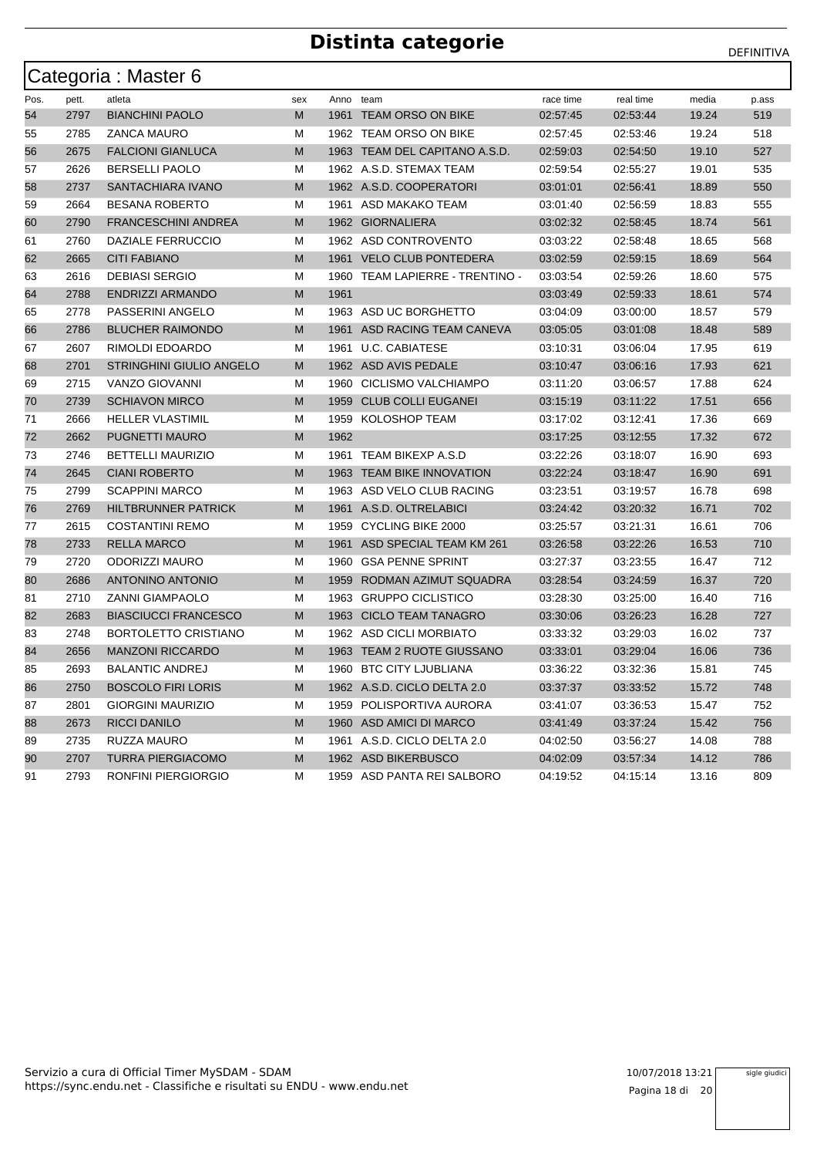|      |       | Categoria: Master 6             |     |           |                               |           |           |       |       |
|------|-------|---------------------------------|-----|-----------|-------------------------------|-----------|-----------|-------|-------|
| Pos. | pett. | atleta                          | sex | Anno team |                               | race time | real time | media | p.ass |
| 54   | 2797  | <b>BIANCHINI PAOLO</b>          | M   |           | 1961 TEAM ORSO ON BIKE        | 02:57:45  | 02.53.44  | 19.24 | 519   |
| 55   | 2785  | ZANCA MAURO                     | М   |           | 1962 TEAM ORSO ON BIKE        | 02:57:45  | 02:53:46  | 19.24 | 518   |
| 56   | 2675  | <b>FALCIONI GIANLUCA</b>        | M   |           | 1963 TEAM DEL CAPITANO A.S.D. | 02:59:03  | 02:54:50  | 19.10 | 527   |
| 57   | 2626  | <b>BERSELLI PAOLO</b>           | М   |           | 1962 A.S.D. STEMAX TEAM       | 02:59:54  | 02:55:27  | 19.01 | 535   |
| 58   | 2737  | SANTACHIARA IVANO               | M   |           | 1962 A.S.D. COOPERATORI       | 03:01:01  | 02:56:41  | 18.89 | 550   |
| 59   | 2664  | <b>BESANA ROBERTO</b>           | М   |           | 1961 ASD MAKAKO TEAM          | 03:01:40  | 02:56:59  | 18.83 | 555   |
| 60   | 2790  | <b>FRANCESCHINI ANDREA</b>      | M   |           | 1962 GIORNALIERA              | 03:02:32  | 02:58:45  | 18.74 | 561   |
| 61   | 2760  | DAZIALE FERRUCCIO               | М   |           | 1962 ASD CONTROVENTO          | 03:03:22  | 02:58:48  | 18.65 | 568   |
| 62   | 2665  | <b>CITI FABIANO</b>             | M   |           | 1961 VELO CLUB PONTEDERA      | 03:02:59  | 02:59:15  | 18.69 | 564   |
| 63   | 2616  | <b>DEBIASI SERGIO</b>           | М   | 1960      | TEAM LAPIERRE - TRENTINO -    | 03:03:54  | 02:59:26  | 18.60 | 575   |
| 64   | 2788  | <b>ENDRIZZI ARMANDO</b>         | M   | 1961      |                               | 03:03:49  | 02:59:33  | 18.61 | 574   |
| 65   | 2778  | PASSERINI ANGELO                | м   |           | 1963 ASD UC BORGHETTO         | 03:04:09  | 03:00:00  | 18.57 | 579   |
| 66   | 2786  | <b>BLUCHER RAIMONDO</b>         | M   | 1961      | ASD RACING TEAM CANEVA        | 03:05:05  | 03:01:08  | 18.48 | 589   |
| 67   | 2607  | RIMOLDI EDOARDO                 | М   | 1961      | U.C. CABIATESE                | 03:10:31  | 03:06:04  | 17.95 | 619   |
| 68   | 2701  | <b>STRINGHINI GIULIO ANGELO</b> | M   |           | 1962 ASD AVIS PEDALE          | 03:10:47  | 03:06:16  | 17.93 | 621   |
| 69   | 2715  | <b>VANZO GIOVANNI</b>           | М   |           | 1960 CICLISMO VALCHIAMPO      | 03:11:20  | 03:06:57  | 17.88 | 624   |
| 70   | 2739  | <b>SCHIAVON MIRCO</b>           | M   | 1959      | <b>CLUB COLLI EUGANEI</b>     | 03:15:19  | 03:11:22  | 17.51 | 656   |
| 71   | 2666  | <b>HELLER VLASTIMIL</b>         | М   | 1959      | KOLOSHOP TEAM                 | 03:17:02  | 03:12:41  | 17.36 | 669   |
| 72   | 2662  | <b>PUGNETTI MAURO</b>           | M   | 1962      |                               | 03:17:25  | 03:12:55  | 17.32 | 672   |
| 73   | 2746  | <b>BETTELLI MAURIZIO</b>        | М   |           | 1961 TEAM BIKEXP A.S.D        | 03:22:26  | 03:18:07  | 16.90 | 693   |
| 74   | 2645  | <b>CIANI ROBERTO</b>            | M   |           | 1963 TEAM BIKE INNOVATION     | 03:22:24  | 03:18:47  | 16.90 | 691   |
| 75   | 2799  | <b>SCAPPINI MARCO</b>           | М   |           | 1963 ASD VELO CLUB RACING     | 03:23:51  | 03:19:57  | 16.78 | 698   |
| 76   | 2769  | <b>HILTBRUNNER PATRICK</b>      | M   |           | 1961 A.S.D. OLTRELABICI       | 03:24:42  | 03:20:32  | 16.71 | 702   |
| 77   | 2615  | <b>COSTANTINI REMO</b>          | М   |           | 1959 CYCLING BIKE 2000        | 03:25:57  | 03:21:31  | 16.61 | 706   |
| 78   | 2733  | <b>RELLA MARCO</b>              | M   | 1961      | ASD SPECIAL TEAM KM 261       | 03:26:58  | 03:22:26  | 16.53 | 710   |
| 79   | 2720  | <b>ODORIZZI MAURO</b>           | М   |           | 1960 GSA PENNE SPRINT         | 03:27:37  | 03:23:55  | 16.47 | 712   |
| 80   | 2686  | <b>ANTONINO ANTONIO</b>         | M   | 1959      | RODMAN AZIMUT SQUADRA         | 03:28:54  | 03:24:59  | 16.37 | 720   |
| 81   | 2710  | <b>ZANNI GIAMPAOLO</b>          | М   |           | 1963 GRUPPO CICLISTICO        | 03:28:30  | 03:25:00  | 16.40 | 716   |
| 82   | 2683  | <b>BIASCIUCCI FRANCESCO</b>     | M   |           | 1963 CICLO TEAM TANAGRO       | 03:30:06  | 03:26:23  | 16.28 | 727   |
| 83   | 2748  | BORTOLETTO CRISTIANO            | М   |           | 1962 ASD CICLI MORBIATO       | 03:33:32  | 03:29:03  | 16.02 | 737   |
| 84   | 2656  | <b>MANZONI RICCARDO</b>         | M   |           | 1963 TEAM 2 RUOTE GIUSSANO    | 03:33:01  | 03:29:04  | 16.06 | 736   |
| 85   | 2693  | <b>BALANTIC ANDREJ</b>          | М   | 1960      | <b>BTC CITY LJUBLIANA</b>     | 03:36:22  | 03:32:36  | 15.81 | 745   |
| 86   | 2750  | <b>BOSCOLO FIRI LORIS</b>       | M   |           | 1962 A.S.D. CICLO DELTA 2.0   | 03:37:37  | 03:33:52  | 15.72 | 748   |
| 87   | 2801  | <b>GIORGINI MAURIZIO</b>        | М   |           | 1959 POLISPORTIVA AURORA      | 03:41:07  | 03:36:53  | 15.47 | 752   |
| 88   | 2673  | <b>RICCI DANILO</b>             | M   |           | 1960 ASD AMICI DI MARCO       | 03:41:49  | 03:37:24  | 15.42 | 756   |
| 89   | 2735  | <b>RUZZA MAURO</b>              | М   |           | 1961 A.S.D. CICLO DELTA 2.0   | 04:02:50  | 03:56:27  | 14.08 | 788   |
| 90   | 2707  | <b>TURRA PIERGIACOMO</b>        | M   |           | 1962 ASD BIKERBUSCO           | 04:02:09  | 03:57:34  | 14.12 | 786   |
| 91   | 2793  | <b>RONFINI PIERGIORGIO</b>      | М   |           | 1959 ASD PANTA REI SALBORO    | 04:19:52  | 04:15:14  | 13.16 | 809   |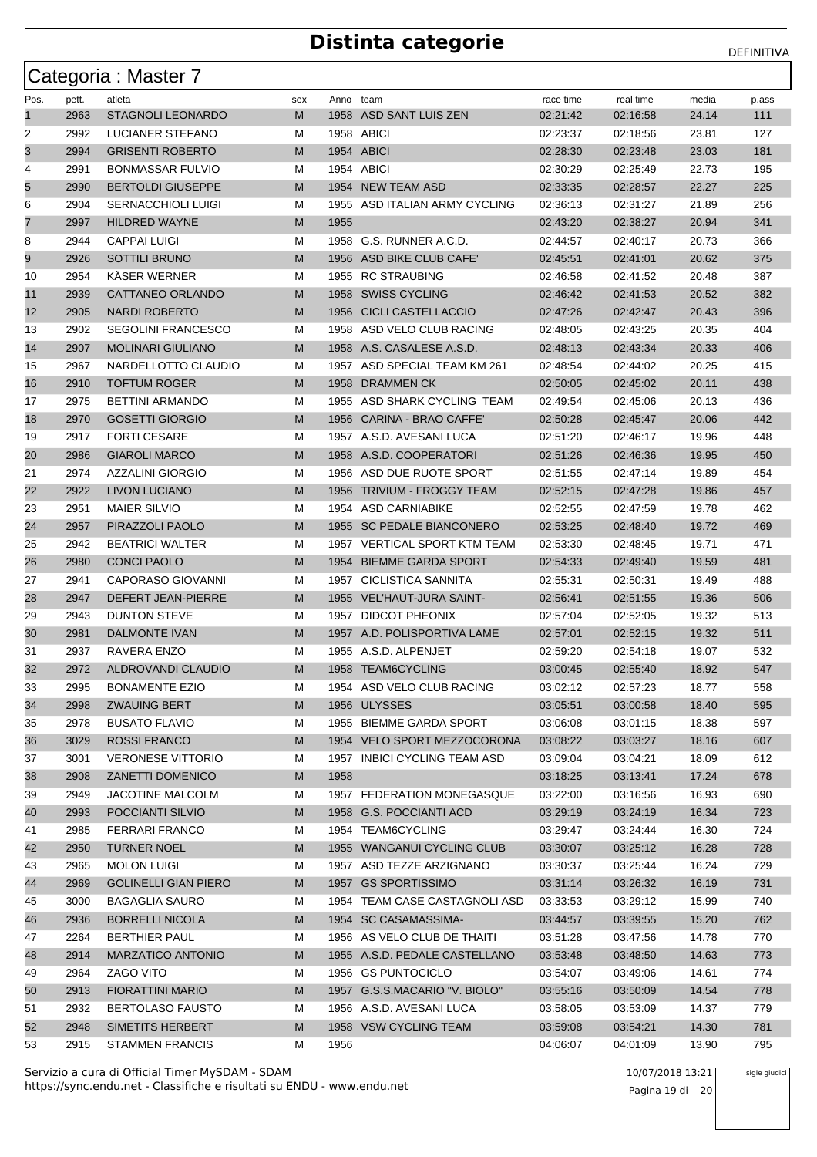|          |              | Categoria: Master 7                             |        |           |                                                       |                      |                      |                |            |
|----------|--------------|-------------------------------------------------|--------|-----------|-------------------------------------------------------|----------------------|----------------------|----------------|------------|
| Pos.     | pett.        | atleta                                          | sex    | Anno team |                                                       | race time            | real time            | media          | p ass      |
| 1        | 2963         | <b>STAGNOLI LEONARDO</b>                        | М      |           | 1958 ASD SANT LUIS ZEN                                | 02:21:42             | 02:16:58             | 24.14          | 111        |
| 2        | 2992         | LUCIANER STEFANO                                | М      |           | 1958 ABICI                                            | 02:23:37             | 02:18:56             | 23.81          | 127        |
| 3        | 2994         | <b>GRISENTI ROBERTO</b>                         | М      |           | 1954 ABICI                                            | 02:28:30             | 02:23:48             | 23.03          | 181        |
| 4        | 2991         | <b>BONMASSAR FULVIO</b>                         | м      |           | 1954 ABICI                                            | 02:30:29             | 02.25.49             | 22.73          | 195        |
| 5        | 2990         | <b>BERTOLDI GIUSEPPE</b>                        | М      |           | 1954 NEW TEAM ASD                                     | 02:33:35             | 02:28:57             | 22.27          | 225        |
| 6        | 2904         | <b>SERNACCHIOLI LUIGI</b>                       | М      | 1955      | ASD ITALIAN ARMY CYCLING                              | 02:36:13             | 02:31:27             | 21.89          | 256        |
| 7        | 2997         | <b>HILDRED WAYNE</b>                            | М      | 1955      |                                                       | 02:43:20             | 02:38:27             | 20.94          | 341        |
| 8        | 2944         | <b>CAPPAI LUIGI</b>                             | М      |           | 1958 G.S. RUNNER A.C.D.                               | 02:44:57             | 02:40:17             | 20.73          | 366        |
| 9        | 2926         | <b>SOTTILI BRUNO</b>                            | М      |           | 1956 ASD BIKE CLUB CAFE'                              | 02:45:51             | 02:41:01             | 20.62          | 375        |
| 10       | 2954         | <b>KASER WERNER</b>                             | М      | 1955      | <b>RC STRAUBING</b>                                   | 02:46:58             | 02:41:52             | 20.48          | 387        |
| 11       | 2939         | CATTANEO ORLANDO                                | М      | 1958      | <b>SWISS CYCLING</b>                                  | 02:46:42             | 02:41:53             | 20.52          | 382        |
| 12       | 2905         | NARDI ROBERTO                                   | М      | 1956      | <b>CICLI CASTELLACCIO</b>                             | 02:47:26             | 02:42:47             | 20.43          | 396        |
| 13       | 2902         | <b>SEGOLINI FRANCESCO</b>                       | М      | 1958      | ASD VELO CLUB RACING                                  | 02:48:05             | 02:43:25             | 20.35          | 404        |
| 14       | 2907         | <b>MOLINARI GIULIANO</b>                        | М      |           | 1958 A.S. CASALESE A.S.D.                             | 02:48:13             | 02:43:34             | 20.33          | 406        |
| 15       | 2967         | NARDELLOTTO CLAUDIO                             | М      | 1957      | ASD SPECIAL TEAM KM 261                               | 02:48:54             | 02:44:02             | 20.25          | 415        |
| 16       | 2910         | <b>TOFTUM ROGER</b>                             | М      | 1958      | DRAMMEN CK                                            | 02:50:05             | 02:45:02             | 20.11          | 438        |
| 17       | 2975         | <b>BETTINI ARMANDO</b>                          | М      |           | 1955 ASD SHARK CYCLING TEAM                           | 02:49:54             | 02:45:06             | 20.13          | 436        |
| 18       | 2970         | <b>GOSETTI GIORGIO</b>                          | М      | 1956      | CARINA - BRAO CAFFE'                                  | 02:50:28             | 02:45:47             | 20.06          | 442        |
| 19       | 2917         | <b>FORTI CESARE</b>                             | М      |           | 1957 A.S.D. AVESANI LUCA                              | 02:51:20             | 02:46:17             | 19.96          | 448        |
| 20       | 2986         | <b>GIAROLI MARCO</b>                            | М      |           | 1958 A.S.D. COOPERATORI                               | 02:51:26             | 02:46:36             | 19.95          | 450        |
| 21       | 2974         | <b>AZZALINI GIORGIO</b>                         | М      |           | 1956 ASD DUE RUOTE SPORT                              | 02:51:55             | 02:47:14             | 19.89          | 454        |
| 22       | 2922         | <b>LIVON LUCIANO</b>                            | М      | 1956      | TRIVIUM - FROGGY TEAM                                 | 02:52:15             | 02:47:28             | 19.86          | 457        |
| 23       | 2951         | <b>MAIER SILVIO</b>                             | М      |           | 1954 ASD CARNIABIKE                                   | 02:52:55             | 02:47:59             | 19.78          | 462        |
| 24       | 2957         | PIRAZZOLI PAOLO                                 | М      |           | 1955 SC PEDALE BIANCONERO                             | 02:53:25             | 02:48:40             | 19.72          | 469        |
| 25       | 2942         | <b>BEATRICI WALTER</b>                          | М      |           | 1957 VERTICAL SPORT KTM TEAM                          | 02:53:30             | 02:48:45             | 19.71          | 471        |
| 26       | 2980         | <b>CONCI PAOLO</b>                              | М      |           | 1954 BIEMME GARDA SPORT                               | 02:54:33             | 02:49:40             | 19.59          | 481        |
| 27       | 2941         | CAPORASO GIOVANNI                               | М      | 1957      | CICLISTICA SANNITA                                    | 02.55:31             | 02:50:31             | 19.49          | 488        |
| 28       | 2947         | DEFERT JEAN-PIERRE                              | М      | 1955      | VEL'HAUT-JURA SAINT-                                  | 02:56:41             | 02:51:55             | 19.36          | 506        |
| 29       | 2943         | <b>DUNTON STEVE</b>                             | М      |           | 1957 DIDCOT PHEONIX                                   | 02:57:04             | 02:52:05             | 19.32          | 513        |
| 30       | 2981         | <b>DALMONTE IVAN</b>                            | М      |           | 1957 A.D. POLISPORTIVA LAME                           | 02:57:01             | 02:52:15             | 19.32          | 511        |
| 31       | 2937         | RAVERA ENZO                                     | М      |           | 1955 A.S.D. ALPENJET                                  | 02:59:20             | 02:54:18             | 19.07          | 532        |
| 32       | 2972         | ALDROVANDI CLAUDIO                              | М      |           | 1958 TEAM6CYCLING                                     | 03:00:45             | 02:55:40             | 18.92          | 547        |
| 33       | 2995         | <b>BONAMENTE EZIO</b>                           | M      |           | 1954 ASD VELO CLUB RACING                             | 03:02:12             | 02.57:23             | 18.77          | 558        |
| 34       | 2998         | <b>ZWAUING BERT</b>                             | М      |           | 1956 ULYSSES                                          | 03:05:51             | 03:00:58             | 18.40          | 595        |
| 35       | 2978         | <b>BUSATO FLAVIO</b>                            | M      |           | 1955 BIEMME GARDA SPORT                               | 03:06:08             | 03:01:15             | 18.38          | 597        |
| 36       | 3029         | <b>ROSSI FRANCO</b>                             | M      |           | 1954 VELO SPORT MEZZOCORONA                           | 03:08:22             | 03:03:27             | 18.16          | 607        |
| 37       | 3001         | <b>VERONESE VITTORIO</b>                        | M      |           | 1957 INBICI CYCLING TEAM ASD                          | 03:09:04             | 03:04:21             | 18.09          | 612        |
| 38       | 2908         | <b>ZANETTI DOMENICO</b>                         | M      | 1958      |                                                       | 03:18:25             | 03:13:41             | 17.24          | 678        |
| 39<br>40 | 2949<br>2993 | JACOTINE MALCOLM<br>POCCIANTI SILVIO            | M<br>M |           | 1957 FEDERATION MONEGASQUE<br>1958 G.S. POCCIANTI ACD | 03:22:00<br>03:29:19 | 03:16:56<br>03:24:19 | 16.93<br>16.34 | 690<br>723 |
|          | 2985         | FERRARI FRANCO                                  | M      |           | 1954 TEAM6CYCLING                                     | 03:29:47             | 03:24:44             | 16.30          | 724        |
| 41<br>42 | 2950         | <b>TURNER NOEL</b>                              | M      |           | 1955 WANGANUI CYCLING CLUB                            |                      |                      |                |            |
| 43       | 2965         | <b>MOLON LUIGI</b>                              | M      |           | 1957 ASD TEZZE ARZIGNANO                              | 03:30:07<br>03:30:37 | 03:25:12<br>03:25:44 | 16.28<br>16.24 | 728<br>729 |
| 44       | 2969         | <b>GOLINELLI GIAN PIERO</b>                     | M      |           | 1957 GS SPORTISSIMO                                   | 03:31:14             | 03:26:32             | 16.19          | 731        |
|          | 3000         |                                                 |        |           | 1954 TEAM CASE CASTAGNOLI ASD                         |                      |                      |                |            |
| 45<br>46 | 2936         | <b>BAGAGLIA SAURO</b><br><b>BORRELLI NICOLA</b> | M<br>M |           | 1954 SC CASAMASSIMA-                                  | 03:33:53<br>03:44:57 | 03:29:12<br>03:39:55 | 15.99<br>15.20 | 740<br>762 |
| 47       | 2264         | <b>BERTHIER PAUL</b>                            | M      |           | 1956 AS VELO CLUB DE THAITI                           | 03:51:28             | 03:47:56             | 14.78          | 770        |
| 48       | 2914         | <b>MARZATICO ANTONIO</b>                        | M      |           | 1955 A.S.D. PEDALE CASTELLANO                         | 03:53:48             | 03:48:50             | 14.63          | 773        |
| 49       | 2964         | <b>ZAGO VITO</b>                                | M      |           | 1956 GS PUNTOCICLO                                    | 03:54:07             | 03:49:06             | 14.61          | 774        |
| 50       | 2913         | <b>FIORATTINI MARIO</b>                         | M      |           | 1957 G.S.S.MACARIO "V. BIOLO"                         | 03:55:16             | 03:50:09             | 14.54          | 778        |
| 51       | 2932         | <b>BERTOLASO FAUSTO</b>                         | M      |           | 1956 A.S.D. AVESANI LUCA                              | 03:58:05             | 03:53:09             | 14.37          | 779        |
| 52       | 2948         | SIMETITS HERBERT                                | M      |           | 1958 VSW CYCLING TEAM                                 | 03:59:08             | 03:54:21             | 14.30          | 781        |
| 53       | 2915         | <b>STAMMEN FRANCIS</b>                          | М      | 1956      |                                                       | 04:06:07             | 04:01:09             | 13.90          | 795        |
|          |              |                                                 |        |           |                                                       |                      |                      |                |            |